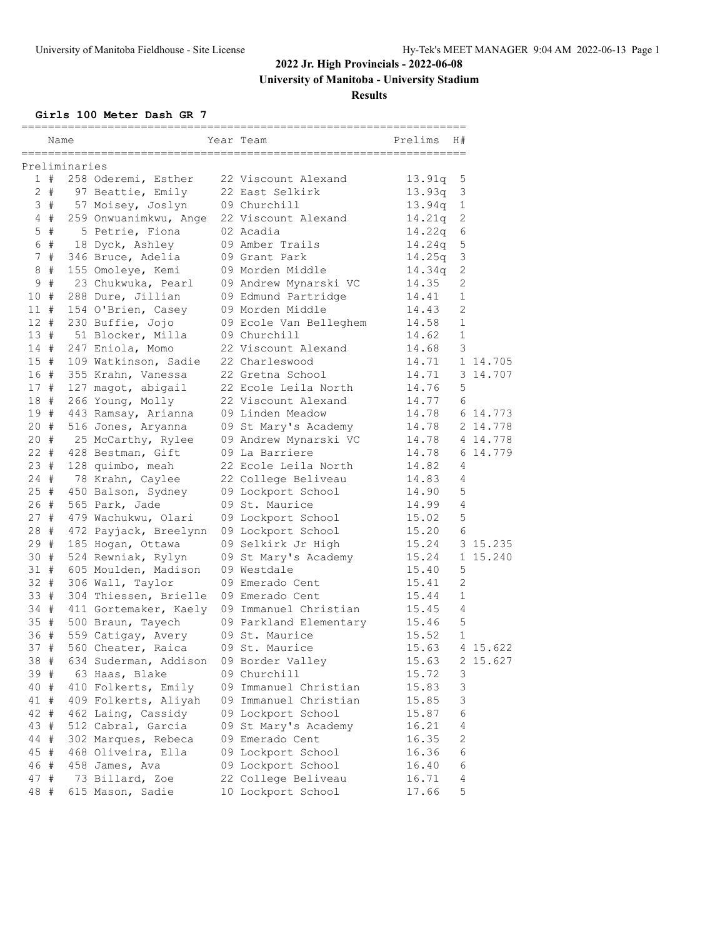**University of Manitoba - University Stadium**

**Results**

### **Girls 100 Meter Dash GR 7**

| Preliminaries<br>1#<br>258 Oderemi, Esther<br>22 Viscount Alexand<br>13.91q<br>$2 +$<br>13.93q<br>97 Beattie, Emily<br>22 East Selkirk<br>3#<br>57 Moisey, Joslyn<br>09 Churchill<br>$13.94q$ 1<br>259 Onwuanimkwu, Ange<br>22 Viscount Alexand<br>14.21q<br>4#<br>$5$ #<br>5 Petrie, Fiona<br>02 Acadia<br>14.22q<br>6 #<br>18 Dyck, Ashley<br>09 Amber Trails<br>14.24q<br>7#<br>346 Bruce, Adelia<br>09 Grant Park<br>14.25q<br>8#<br>14.34q<br>09 Morden Middle<br>155 Omoleye, Kemi<br>$\#$<br>9<br>23 Chukwuka, Pearl<br>09 Andrew Mynarski VC<br>14.35<br>10 #<br>288 Dure, Jillian<br>09 Edmund Partridge<br>14.41<br>154 O'Brien, Casey<br>09 Morden Middle<br>14.43<br>11 #<br>12#<br>230 Buffie, Jojo<br>09 Ecole Van Belleghem<br>14.58<br>13#<br>51 Blocker, Milla<br>09 Churchill<br>14.62<br>14 #<br>247 Eniola, Momo<br>22 Viscount Alexand<br>14.68<br>15#<br>109 Watkinson, Sadie<br>22 Charleswood<br>14.71<br>16 #<br>355 Krahn, Vanessa<br>22 Gretna School<br>14.71<br>22 Ecole Leila North<br>17 #<br>127 magot, abigail<br>14.76<br>18 #<br>266 Young, Molly<br>22 Viscount Alexand<br>14.77<br>19 #<br>14.78<br>443 Ramsay, Arianna<br>09 Linden Meadow<br>$20 +$<br>516 Jones, Aryanna<br>09 St Mary's Academy<br>14.78<br>20#<br>25 McCarthy, Rylee<br>09 Andrew Mynarski VC<br>14.78<br>$22 +$<br>428 Bestman, Gift<br>09 La Barriere<br>14.78<br>23 #<br>128 quimbo, meah<br>22 Ecole Leila North<br>14.82<br>$24 +$<br>78 Krahn, Caylee<br>22 College Beliveau<br>14.83 |              |
|-------------------------------------------------------------------------------------------------------------------------------------------------------------------------------------------------------------------------------------------------------------------------------------------------------------------------------------------------------------------------------------------------------------------------------------------------------------------------------------------------------------------------------------------------------------------------------------------------------------------------------------------------------------------------------------------------------------------------------------------------------------------------------------------------------------------------------------------------------------------------------------------------------------------------------------------------------------------------------------------------------------------------------------------------------------------------------------------------------------------------------------------------------------------------------------------------------------------------------------------------------------------------------------------------------------------------------------------------------------------------------------------------------------------------------------------------------------------------------------------------------|--------------|
|                                                                                                                                                                                                                                                                                                                                                                                                                                                                                                                                                                                                                                                                                                                                                                                                                                                                                                                                                                                                                                                                                                                                                                                                                                                                                                                                                                                                                                                                                                       |              |
|                                                                                                                                                                                                                                                                                                                                                                                                                                                                                                                                                                                                                                                                                                                                                                                                                                                                                                                                                                                                                                                                                                                                                                                                                                                                                                                                                                                                                                                                                                       | 5            |
|                                                                                                                                                                                                                                                                                                                                                                                                                                                                                                                                                                                                                                                                                                                                                                                                                                                                                                                                                                                                                                                                                                                                                                                                                                                                                                                                                                                                                                                                                                       | 3            |
|                                                                                                                                                                                                                                                                                                                                                                                                                                                                                                                                                                                                                                                                                                                                                                                                                                                                                                                                                                                                                                                                                                                                                                                                                                                                                                                                                                                                                                                                                                       |              |
|                                                                                                                                                                                                                                                                                                                                                                                                                                                                                                                                                                                                                                                                                                                                                                                                                                                                                                                                                                                                                                                                                                                                                                                                                                                                                                                                                                                                                                                                                                       | $\mathbf{2}$ |
|                                                                                                                                                                                                                                                                                                                                                                                                                                                                                                                                                                                                                                                                                                                                                                                                                                                                                                                                                                                                                                                                                                                                                                                                                                                                                                                                                                                                                                                                                                       | 6            |
|                                                                                                                                                                                                                                                                                                                                                                                                                                                                                                                                                                                                                                                                                                                                                                                                                                                                                                                                                                                                                                                                                                                                                                                                                                                                                                                                                                                                                                                                                                       | 5            |
|                                                                                                                                                                                                                                                                                                                                                                                                                                                                                                                                                                                                                                                                                                                                                                                                                                                                                                                                                                                                                                                                                                                                                                                                                                                                                                                                                                                                                                                                                                       | 3            |
|                                                                                                                                                                                                                                                                                                                                                                                                                                                                                                                                                                                                                                                                                                                                                                                                                                                                                                                                                                                                                                                                                                                                                                                                                                                                                                                                                                                                                                                                                                       | $\mathbf{2}$ |
|                                                                                                                                                                                                                                                                                                                                                                                                                                                                                                                                                                                                                                                                                                                                                                                                                                                                                                                                                                                                                                                                                                                                                                                                                                                                                                                                                                                                                                                                                                       | 2            |
|                                                                                                                                                                                                                                                                                                                                                                                                                                                                                                                                                                                                                                                                                                                                                                                                                                                                                                                                                                                                                                                                                                                                                                                                                                                                                                                                                                                                                                                                                                       | 1            |
|                                                                                                                                                                                                                                                                                                                                                                                                                                                                                                                                                                                                                                                                                                                                                                                                                                                                                                                                                                                                                                                                                                                                                                                                                                                                                                                                                                                                                                                                                                       | 2            |
|                                                                                                                                                                                                                                                                                                                                                                                                                                                                                                                                                                                                                                                                                                                                                                                                                                                                                                                                                                                                                                                                                                                                                                                                                                                                                                                                                                                                                                                                                                       | $\mathbf{1}$ |
|                                                                                                                                                                                                                                                                                                                                                                                                                                                                                                                                                                                                                                                                                                                                                                                                                                                                                                                                                                                                                                                                                                                                                                                                                                                                                                                                                                                                                                                                                                       | $\mathbf{1}$ |
|                                                                                                                                                                                                                                                                                                                                                                                                                                                                                                                                                                                                                                                                                                                                                                                                                                                                                                                                                                                                                                                                                                                                                                                                                                                                                                                                                                                                                                                                                                       | 3            |
|                                                                                                                                                                                                                                                                                                                                                                                                                                                                                                                                                                                                                                                                                                                                                                                                                                                                                                                                                                                                                                                                                                                                                                                                                                                                                                                                                                                                                                                                                                       | 1 14.705     |
|                                                                                                                                                                                                                                                                                                                                                                                                                                                                                                                                                                                                                                                                                                                                                                                                                                                                                                                                                                                                                                                                                                                                                                                                                                                                                                                                                                                                                                                                                                       | 3 14.707     |
|                                                                                                                                                                                                                                                                                                                                                                                                                                                                                                                                                                                                                                                                                                                                                                                                                                                                                                                                                                                                                                                                                                                                                                                                                                                                                                                                                                                                                                                                                                       | 5            |
|                                                                                                                                                                                                                                                                                                                                                                                                                                                                                                                                                                                                                                                                                                                                                                                                                                                                                                                                                                                                                                                                                                                                                                                                                                                                                                                                                                                                                                                                                                       | 6            |
|                                                                                                                                                                                                                                                                                                                                                                                                                                                                                                                                                                                                                                                                                                                                                                                                                                                                                                                                                                                                                                                                                                                                                                                                                                                                                                                                                                                                                                                                                                       | 6 14.773     |
|                                                                                                                                                                                                                                                                                                                                                                                                                                                                                                                                                                                                                                                                                                                                                                                                                                                                                                                                                                                                                                                                                                                                                                                                                                                                                                                                                                                                                                                                                                       | 2 14.778     |
|                                                                                                                                                                                                                                                                                                                                                                                                                                                                                                                                                                                                                                                                                                                                                                                                                                                                                                                                                                                                                                                                                                                                                                                                                                                                                                                                                                                                                                                                                                       | 4 14.778     |
|                                                                                                                                                                                                                                                                                                                                                                                                                                                                                                                                                                                                                                                                                                                                                                                                                                                                                                                                                                                                                                                                                                                                                                                                                                                                                                                                                                                                                                                                                                       | 6 14.779     |
|                                                                                                                                                                                                                                                                                                                                                                                                                                                                                                                                                                                                                                                                                                                                                                                                                                                                                                                                                                                                                                                                                                                                                                                                                                                                                                                                                                                                                                                                                                       | 4            |
|                                                                                                                                                                                                                                                                                                                                                                                                                                                                                                                                                                                                                                                                                                                                                                                                                                                                                                                                                                                                                                                                                                                                                                                                                                                                                                                                                                                                                                                                                                       | 4            |
| 25#<br>450 Balson, Sydney<br>09 Lockport School<br>14.90                                                                                                                                                                                                                                                                                                                                                                                                                                                                                                                                                                                                                                                                                                                                                                                                                                                                                                                                                                                                                                                                                                                                                                                                                                                                                                                                                                                                                                              | 5            |
| 26#<br>565 Park, Jade<br>09 St. Maurice<br>14.99                                                                                                                                                                                                                                                                                                                                                                                                                                                                                                                                                                                                                                                                                                                                                                                                                                                                                                                                                                                                                                                                                                                                                                                                                                                                                                                                                                                                                                                      | 4            |
| 27 #<br>479 Wachukwu, Olari<br>09 Lockport School<br>15.02                                                                                                                                                                                                                                                                                                                                                                                                                                                                                                                                                                                                                                                                                                                                                                                                                                                                                                                                                                                                                                                                                                                                                                                                                                                                                                                                                                                                                                            | 5            |
| 28 #<br>472 Payjack, Breelynn<br>09 Lockport School<br>15.20                                                                                                                                                                                                                                                                                                                                                                                                                                                                                                                                                                                                                                                                                                                                                                                                                                                                                                                                                                                                                                                                                                                                                                                                                                                                                                                                                                                                                                          | 6            |
| 15.24<br>29#<br>185 Hogan, Ottawa<br>09 Selkirk Jr High                                                                                                                                                                                                                                                                                                                                                                                                                                                                                                                                                                                                                                                                                                                                                                                                                                                                                                                                                                                                                                                                                                                                                                                                                                                                                                                                                                                                                                               | 3 15.235     |
| 30 #<br>524 Rewniak, Rylyn<br>09 St Mary's Academy<br>15.24                                                                                                                                                                                                                                                                                                                                                                                                                                                                                                                                                                                                                                                                                                                                                                                                                                                                                                                                                                                                                                                                                                                                                                                                                                                                                                                                                                                                                                           | 1 15.240     |
| 31 #<br>605 Moulden, Madison<br>09 Westdale<br>15.40                                                                                                                                                                                                                                                                                                                                                                                                                                                                                                                                                                                                                                                                                                                                                                                                                                                                                                                                                                                                                                                                                                                                                                                                                                                                                                                                                                                                                                                  | 5            |
| $32 +$<br>306 Wall, Taylor<br>15.41<br>09 Emerado Cent                                                                                                                                                                                                                                                                                                                                                                                                                                                                                                                                                                                                                                                                                                                                                                                                                                                                                                                                                                                                                                                                                                                                                                                                                                                                                                                                                                                                                                                | 2            |
| 33#<br>304 Thiessen, Brielle<br>09 Emerado Cent<br>15.44                                                                                                                                                                                                                                                                                                                                                                                                                                                                                                                                                                                                                                                                                                                                                                                                                                                                                                                                                                                                                                                                                                                                                                                                                                                                                                                                                                                                                                              | $\mathbf 1$  |
| 34 #<br>411 Gortemaker, Kaely<br>09 Immanuel Christian<br>15.45                                                                                                                                                                                                                                                                                                                                                                                                                                                                                                                                                                                                                                                                                                                                                                                                                                                                                                                                                                                                                                                                                                                                                                                                                                                                                                                                                                                                                                       | 4            |
| 35#<br>09 Parkland Elementary<br>500 Braun, Tayech<br>15.46                                                                                                                                                                                                                                                                                                                                                                                                                                                                                                                                                                                                                                                                                                                                                                                                                                                                                                                                                                                                                                                                                                                                                                                                                                                                                                                                                                                                                                           | 5            |
| 36 #<br>09 St. Maurice<br>559 Catigay, Avery<br>15.52                                                                                                                                                                                                                                                                                                                                                                                                                                                                                                                                                                                                                                                                                                                                                                                                                                                                                                                                                                                                                                                                                                                                                                                                                                                                                                                                                                                                                                                 | 1            |
| 37#<br>09 St. Maurice<br>560 Cheater, Raica<br>15.63                                                                                                                                                                                                                                                                                                                                                                                                                                                                                                                                                                                                                                                                                                                                                                                                                                                                                                                                                                                                                                                                                                                                                                                                                                                                                                                                                                                                                                                  | 4 15.622     |
| 38 #<br>634 Suderman, Addison<br>09 Border Valley<br>15.63                                                                                                                                                                                                                                                                                                                                                                                                                                                                                                                                                                                                                                                                                                                                                                                                                                                                                                                                                                                                                                                                                                                                                                                                                                                                                                                                                                                                                                            | 2 15.627     |
| 63 Haas, Blake<br>39 #<br>09 Churchill<br>15.72                                                                                                                                                                                                                                                                                                                                                                                                                                                                                                                                                                                                                                                                                                                                                                                                                                                                                                                                                                                                                                                                                                                                                                                                                                                                                                                                                                                                                                                       | 3            |
| 40 #<br>410 Folkerts, Emily<br>09 Immanuel Christian<br>15.83                                                                                                                                                                                                                                                                                                                                                                                                                                                                                                                                                                                                                                                                                                                                                                                                                                                                                                                                                                                                                                                                                                                                                                                                                                                                                                                                                                                                                                         | 3            |
| 409 Folkerts, Aliyah<br>09 Immanuel Christian<br>41 #<br>15.85                                                                                                                                                                                                                                                                                                                                                                                                                                                                                                                                                                                                                                                                                                                                                                                                                                                                                                                                                                                                                                                                                                                                                                                                                                                                                                                                                                                                                                        | 3            |
| 42 #<br>462 Laing, Cassidy<br>09 Lockport School<br>15.87                                                                                                                                                                                                                                                                                                                                                                                                                                                                                                                                                                                                                                                                                                                                                                                                                                                                                                                                                                                                                                                                                                                                                                                                                                                                                                                                                                                                                                             | 6            |
| 43 #<br>512 Cabral, Garcia<br>09 St Mary's Academy<br>16.21                                                                                                                                                                                                                                                                                                                                                                                                                                                                                                                                                                                                                                                                                                                                                                                                                                                                                                                                                                                                                                                                                                                                                                                                                                                                                                                                                                                                                                           | 4            |
| 44 #<br>09 Emerado Cent<br>302 Marques, Rebeca<br>16.35                                                                                                                                                                                                                                                                                                                                                                                                                                                                                                                                                                                                                                                                                                                                                                                                                                                                                                                                                                                                                                                                                                                                                                                                                                                                                                                                                                                                                                               | 2            |
| 45 #<br>468 Oliveira, Ella<br>09 Lockport School<br>16.36                                                                                                                                                                                                                                                                                                                                                                                                                                                                                                                                                                                                                                                                                                                                                                                                                                                                                                                                                                                                                                                                                                                                                                                                                                                                                                                                                                                                                                             | 6            |
| 46 #<br>458 James, Ava<br>09 Lockport School<br>16.40                                                                                                                                                                                                                                                                                                                                                                                                                                                                                                                                                                                                                                                                                                                                                                                                                                                                                                                                                                                                                                                                                                                                                                                                                                                                                                                                                                                                                                                 | 6            |
| 47 #<br>73 Billard, Zoe<br>22 College Beliveau<br>16.71                                                                                                                                                                                                                                                                                                                                                                                                                                                                                                                                                                                                                                                                                                                                                                                                                                                                                                                                                                                                                                                                                                                                                                                                                                                                                                                                                                                                                                               | 4            |
| 48 #<br>615 Mason, Sadie<br>10 Lockport School<br>17.66                                                                                                                                                                                                                                                                                                                                                                                                                                                                                                                                                                                                                                                                                                                                                                                                                                                                                                                                                                                                                                                                                                                                                                                                                                                                                                                                                                                                                                               |              |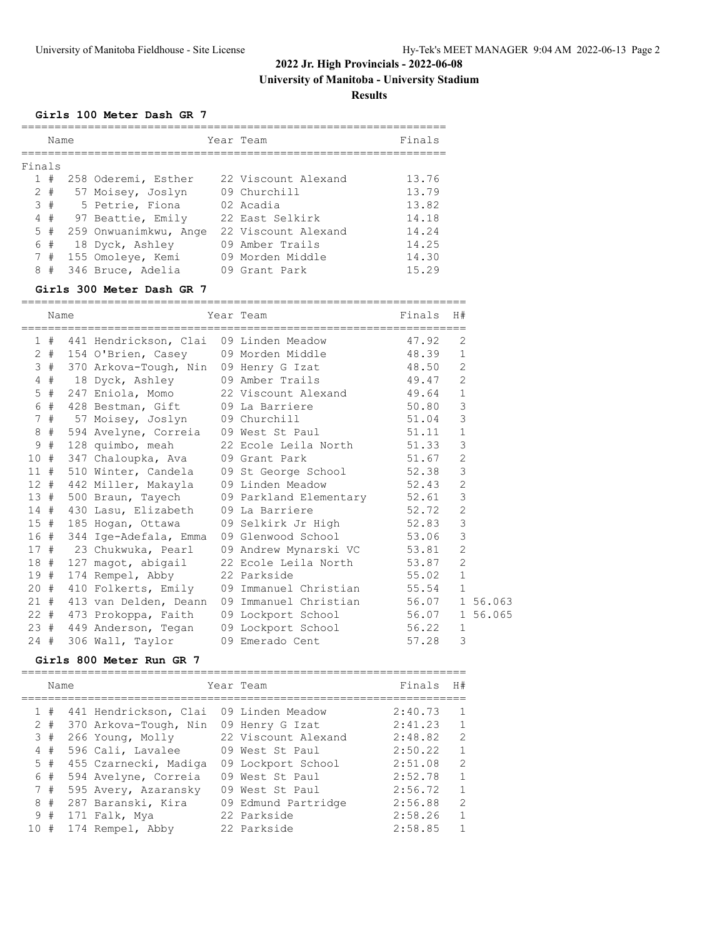**University of Manitoba - University Stadium**

**Results**

#### **Girls 100 Meter Dash GR 7**

|        | Name  |                       | Year Team           | Finals |
|--------|-------|-----------------------|---------------------|--------|
|        |       |                       |                     |        |
| Finals |       |                       |                     |        |
|        | #     | 258 Oderemi, Esther   | 22 Viscount Alexand | 13.76  |
|        | $2 +$ | 57 Moisey, Joslyn     | 09 Churchill        | 13.79  |
|        | 3#    | 5 Petrie, Fiona       | 02 Acadia           | 13.82  |
| 4      | #     | 97 Beattie, Emily     | 22 East Selkirk     | 14.18  |
| 5      | #     | 259 Onwuanimkwu, Ange | 22 Viscount Alexand | 14.24  |
|        | 6 #   | 18 Dyck, Ashley       | 09 Amber Trails     | 14.25  |
| 7      | #     | 155 Omoleve, Kemi     | 09 Morden Middle    | 14.30  |
| 8      | #     | 346 Bruce, Adelia     | 09 Grant Park       | 15.29  |

#### **Girls 300 Meter Dash GR 7**

| Name  | :=================         | Year Team                                            | Finals H# |                |
|-------|----------------------------|------------------------------------------------------|-----------|----------------|
|       |                            | ;============================                        |           |                |
|       |                            | 1 # 441 Hendrickson, Clai 09 Linden Meadow 47.92     |           | 2              |
|       |                            | 2 # 154 O'Brien, Casey 09 Morden Middle 48.39        |           | $\mathbf{1}$   |
|       |                            | 3 # 370 Arkova-Tough, Nin 09 Henry G Izat 48.50      |           | $\overline{c}$ |
|       | 4 # 18 Dyck, Ashley        | 09 Amber Trails 49.47 2                              |           |                |
|       |                            | 5 # 247 Eniola, Momo 22 Viscount Alexand 49.64       |           | $\mathbf{1}$   |
|       |                            | 6 # 428 Bestman, Gift 09 La Barriere 50.80           |           | 3              |
|       |                            | 7 # 57 Moisey, Joslyn 09 Churchill 51.04             |           | 3              |
| $8$ # |                            | 594 Avelyne, Correia 09 West St Paul 51.11           |           | $\mathbf{1}$   |
| 9 #   |                            | 128 quimbo, meah 22 Ecole Leila North 51.33          |           | 3              |
|       |                            | 10 # 347 Chaloupka, Ava 09 Grant Park 51.67          |           | $\overline{2}$ |
|       |                            | 11 # 510 Winter, Candela 09 St George School 52.38   |           | 3              |
|       | 12 # 442 Miller, Makayla   | 09 Linden Meadow 52.43                               |           | $\overline{2}$ |
|       |                            | 13 # 500 Braun, Tayech 09 Parkland Elementary 52.61  |           | $\mathcal{E}$  |
|       | 14 # 430 Lasu, Elizabeth   | 09 La Barriere 52.72                                 |           | $\overline{c}$ |
| 15#   | 185 Hogan, Ottawa          | 09 Selkirk Jr High 52.83                             |           | 3              |
|       | 16 # 344 Ige-Adefala, Emma | 09 Glenwood School 53.06                             |           | 3              |
|       | 17 # 23 Chukwuka, Pearl    | 09 Andrew Mynarski VC 53.81                          |           | $\overline{2}$ |
|       |                            | 18 # 127 magot, abigail 22 Ecole Leila North 53.87   |           | $\overline{2}$ |
|       | 19 # 174 Rempel, Abby      | 22 Parkside 55.02                                    |           | $\mathbf{1}$   |
|       |                            | 20 # 410 Folkerts, Emily 09 Immanuel Christian 55.54 |           | $\mathbf{1}$   |
|       | 21 # 413 van Delden, Deann | 09 Immanuel Christian 56.07 1 56.063                 |           |                |
|       | 22 # 473 Prokoppa, Faith   | 09 Lockport School 56.07 1 56.065                    |           |                |
|       |                            | 23 # 449 Anderson, Tegan 09 Lockport School 56.22    |           | $\mathbf{1}$   |
| 24#   | 306 Wall, Taylor           | 09 Emerado Cent                                      | 57.28     | 3              |

#### **Girls 800 Meter Run GR 7**

=================================================================== Name **Name Communist State Team** Primals H<sup>#</sup> =================================================================== 1 # 441 Hendrickson, Clai 09 Linden Meadow 2:40.73 1 2 # 370 Arkova-Tough, Nin 09 Henry G Izat 2:41.23 1 3 # 266 Young, Molly 22 Viscount Alexand 2:48.82 2 4 # 596 Cali, Lavalee 09 West St Paul 2:50.22 1 5 # 455 Czarnecki, Madiga 09 Lockport School 2:51.08 2 6 # 594 Avelyne, Correia 09 West St Paul 2:52.78 1 7 # 595 Avery, Azaransky 09 West St Paul 2:56.72 1 8 # 287 Baranski, Kira 09 Edmund Partridge 2:56.88 2 9 # 171 Falk, Mya 22 Parkside 2:58.26 1 10 # 174 Rempel, Abby 22 Parkside 2:58.85 1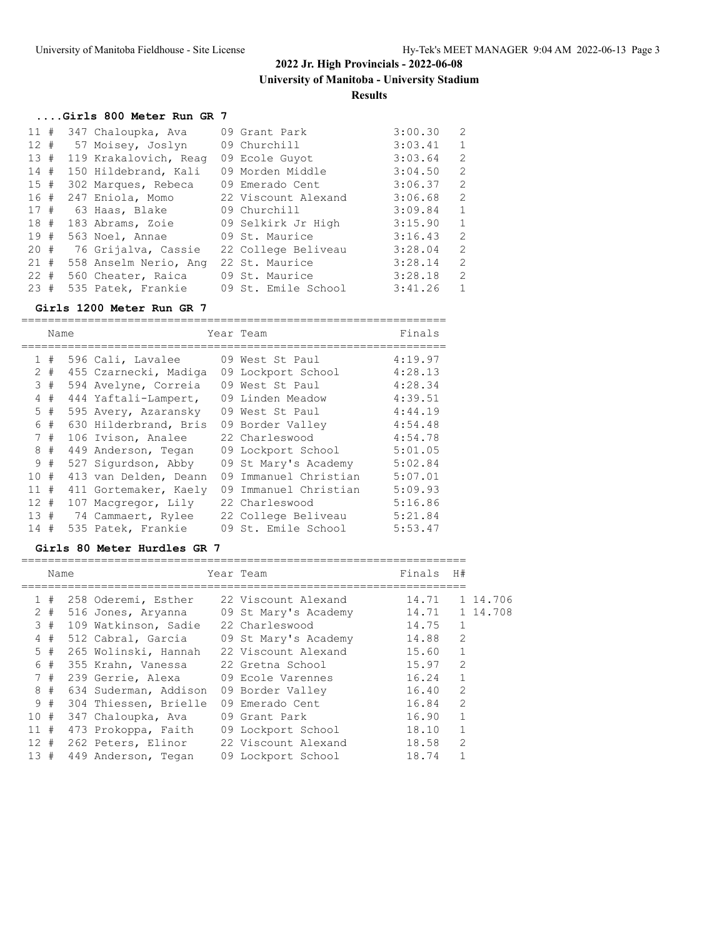# **....Girls 800 Meter Run GR 7**

| 11#    |  | 347 Chaloupka, Ava     | 09 Grant Park       | 3:00.30 | 2              |
|--------|--|------------------------|---------------------|---------|----------------|
|        |  | 12 # 57 Moisey, Joslyn | 09 Churchill        | 3:03.41 | $\mathbf{1}$   |
| 13#    |  | 119 Krakalovich, Reag  | 09 Ecole Guyot      | 3:03.64 | 2              |
| 14#    |  | 150 Hildebrand, Kali   | 09 Morden Middle    | 3:04.50 | $\overline{2}$ |
| 15#    |  | 302 Marques, Rebeca    | 09 Emerado Cent     | 3:06.37 | $\overline{2}$ |
| 16#    |  | 247 Eniola, Momo       | 22 Viscount Alexand | 3:06.68 | $\overline{2}$ |
| 17#    |  | 63 Haas, Blake         | 09 Churchill        | 3:09.84 | $\mathbf{1}$   |
| 18 #   |  | 183 Abrams, Zoie       | 09 Selkirk Jr High  | 3:15.90 | $\mathbf{1}$   |
| 19#    |  | 563 Noel, Annae        | 09 St. Maurice      | 3:16.43 | $\overline{2}$ |
| $20 +$ |  | 76 Grijalva, Cassie    | 22 College Beliveau | 3:28.04 | 2              |
| 21#    |  | 558 Anselm Nerio, Ang  | 22 St. Maurice      | 3:28.14 | $\overline{2}$ |
| 22#    |  | 560 Cheater, Raica     | 09 St. Maurice      | 3:28.18 | $\overline{2}$ |
| 23#    |  | 535 Patek, Frankie     | 09 St. Emile School | 3:41.26 | $\mathbf{1}$   |

#### **Girls 1200 Meter Run GR 7**

|                      | Name |  |                       |    | Year Team             | Finals  |  |
|----------------------|------|--|-----------------------|----|-----------------------|---------|--|
| $\mathbf{1}$         | #    |  | 596 Cali, Lavalee     |    | 09 West St Paul       | 4:19.97 |  |
| $\mathbf{2}^{\circ}$ | #    |  | 455 Czarnecki, Madiga |    | 09 Lockport School    | 4:28.13 |  |
|                      | 3#   |  | 594 Avelyne, Correia  |    | 09 West St Paul       | 4:28.34 |  |
| 4                    | #    |  | 444 Yaftali-Lampert,  |    | 09 Linden Meadow      | 4:39.51 |  |
| 5                    | #    |  | 595 Avery, Azaransky  |    | 09 West St Paul       | 4:44.19 |  |
| 6                    | #    |  | 630 Hilderbrand, Bris |    | 09 Border Valley      | 4:54.48 |  |
| $7^{\circ}$          | #    |  | 106 Ivison, Analee    |    | 22 Charleswood        | 4:54.78 |  |
| 8                    | #    |  | 449 Anderson, Tegan   |    | 09 Lockport School    | 5:01.05 |  |
| 9                    | #    |  | 527 Sigurdson, Abby   |    | 09 St Mary's Academy  | 5:02.84 |  |
| 10 <sup>°</sup>      | #    |  | 413 van Delden, Deann |    | 09 Immanuel Christian | 5:07.01 |  |
| 11                   | #    |  | 411 Gortemaker, Kaely | 09 | Immanuel Christian    | 5:09.93 |  |
| 12 <sup>7</sup>      | #    |  | 107 Macqregor, Lily   |    | 22 Charleswood        | 5:16.86 |  |
| 13#                  |      |  | 74 Cammaert, Rylee    |    | 22 College Beliveau   | 5:21.84 |  |
| 14                   | #    |  | 535 Patek, Frankie    |    | 09 St. Emile School   | 5:53.47 |  |

#### **Girls 80 Meter Hurdles GR 7**

|     | Name  |                       | Year Team            | Finals | H#             |          |
|-----|-------|-----------------------|----------------------|--------|----------------|----------|
|     | 1#    | 258 Oderemi, Esther   | 22 Viscount Alexand  | 14.71  |                | 1 14.706 |
|     | $2 +$ | 516 Jones, Aryanna    | 09 St Mary's Academy | 14.71  |                | 1 14.708 |
|     | 3#    | 109 Watkinson, Sadie  | 22 Charleswood       | 14.75  | $\mathbf{1}$   |          |
|     | 4#    | 512 Cabral, Garcia    | 09 St Mary's Academy | 14.88  | $\overline{2}$ |          |
|     | 5#    | 265 Wolinski, Hannah  | 22 Viscount Alexand  | 15.60  | $\mathbf{1}$   |          |
|     | 6#    | 355 Krahn, Vanessa    | 22 Gretna School     | 15.97  | $\mathcal{L}$  |          |
|     | 7#    | 239 Gerrie, Alexa     | 09 Ecole Varennes    | 16.24  | $\mathbf{1}$   |          |
|     | 8#    | 634 Suderman, Addison | 09 Border Valley     | 16.40  | $\mathcal{L}$  |          |
|     | 9#    | 304 Thiessen, Brielle | 09 Emerado Cent      | 16.84  | 2              |          |
| 10# |       | 347 Chaloupka, Ava    | 09 Grant Park        | 16.90  | $\mathbf{1}$   |          |
| 11# |       | 473 Prokoppa, Faith   | 09 Lockport School   | 18.10  |                |          |
| 12# |       | 262 Peters, Elinor    | 22 Viscount Alexand  | 18.58  | $\overline{2}$ |          |
| 13# |       | 449 Anderson, Tegan   | 09 Lockport School   | 18.74  |                |          |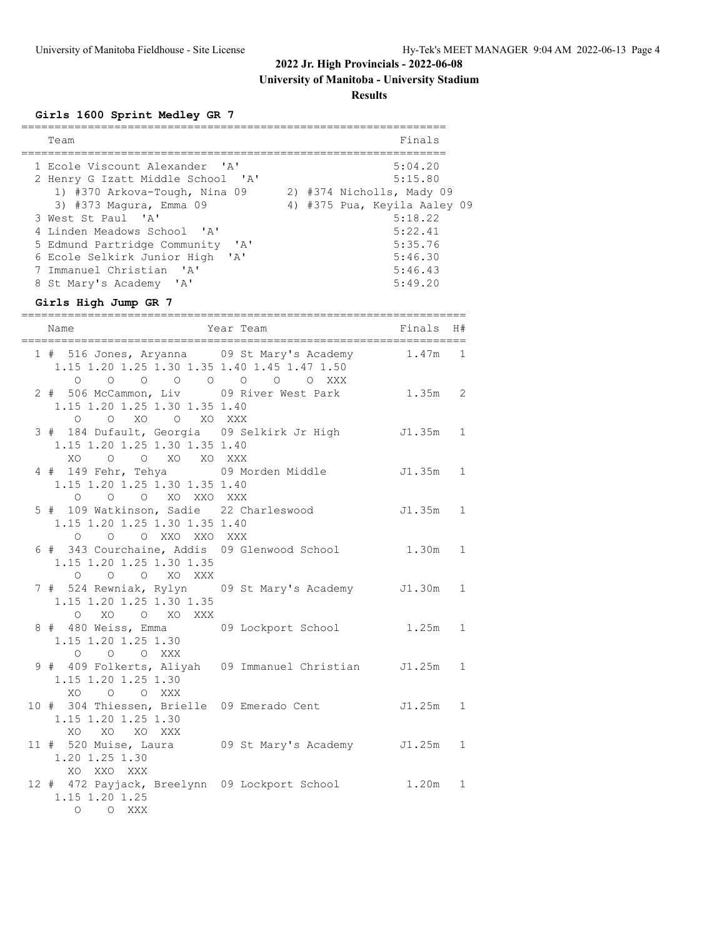# **University of Manitoba - University Stadium**

**Results**

# **Girls 1600 Sprint Medley GR 7**

| Team                                                                                                                                                                                                                                                                                                                                       |                                                                                         | Finals                                                                               |              |
|--------------------------------------------------------------------------------------------------------------------------------------------------------------------------------------------------------------------------------------------------------------------------------------------------------------------------------------------|-----------------------------------------------------------------------------------------|--------------------------------------------------------------------------------------|--------------|
| 1 Ecole Viscount Alexander 'A'<br>2 Henry G Izatt Middle School 'A'<br>1) #370 Arkova-Tough, Nina 09<br>3) #373 Magura, Emma 09<br>3 West St Paul 'A'<br>4 Linden Meadows School 'A'<br>5 Edmund Partridge Community 'A'<br>6 Ecole Selkirk Junior High 'A'<br>7 Immanuel Christian 'A'<br>8 St Mary's Academy 'A'<br>Girls High Jump GR 7 | 2) #374 Nicholls, Mady 09<br>4) #375 Pua, Keyila Aaley 09                               | 5:04.20<br>5:15.80<br>5:18.22<br>5:22.41<br>5:35.76<br>5:46.30<br>5:46.43<br>5:49.20 |              |
| ____________________________________<br>Name                                                                                                                                                                                                                                                                                               | Year Team                                                                               | Finals                                                                               | H#           |
| ======================================<br>1.15 1.20 1.25 1.30 1.35 1.40 1.45 1.47 1.50<br>$\circ$                                                                                                                                                                                                                                          | ________________________________<br>1 # 516 Jones, Aryanna 09 St Mary's Academy 1.47m 1 |                                                                                      |              |
| $\circ$<br>2 # 506 McCammon, Liv 09 River West Park<br>1.15 1.20 1.25 1.30 1.35 1.40<br>O O XO O XO XXX                                                                                                                                                                                                                                    | 0 0 0 0 0 0 XXX                                                                         | $1.35m$ 2                                                                            |              |
| 3 # 184 Dufault, Georgia 09 Selkirk Jr High<br>1.15 1.20 1.25 1.30 1.35 1.40<br>$XO$ 0<br>O XO XO XXX                                                                                                                                                                                                                                      |                                                                                         | $J1.35m$ 1                                                                           |              |
| 4 # 149 Fehr, Tehya     09 Morden Middle<br>1.15 1.20 1.25 1.30 1.35 1.40<br>O O O XO XXO XXX                                                                                                                                                                                                                                              |                                                                                         | J1.35m 1                                                                             |              |
| 5 # 109 Watkinson, Sadie 22 Charleswood<br>1.15 1.20 1.25 1.30 1.35 1.40<br>O O XXO XXO XXX<br>$\circ$                                                                                                                                                                                                                                     |                                                                                         | J1.35m 1                                                                             |              |
| 6 # 343 Courchaine, Addis 09 Glenwood School<br>1.15 1.20 1.25 1.30 1.35<br>O O O XO XXX                                                                                                                                                                                                                                                   |                                                                                         | 1.30m 1                                                                              |              |
| 1.15 1.20 1.25 1.30 1.35<br>$O$ XO<br>O XO XXX                                                                                                                                                                                                                                                                                             | 7 # 524 Rewniak, Rylyn 09 St Mary's Academy J1.30m 1                                    |                                                                                      |              |
| 8 # 480 Weiss, Emma<br>1.15 1.20 1.25 1.30<br>O O O XXX                                                                                                                                                                                                                                                                                    | 09 Lockport School                                                                      | $1.25m$ 1                                                                            |              |
| 1.15 1.20 1.25 1.30<br>XO O O XXX                                                                                                                                                                                                                                                                                                          | 9 # 409 Folkerts, Aliyah 09 Immanuel Christian J1.25m                                   |                                                                                      | $\mathbf{1}$ |
| 10 # 304 Thiessen, Brielle 09 Emerado Cent<br>1.15 1.20 1.25 1.30<br>XO XO XO XXX                                                                                                                                                                                                                                                          |                                                                                         | J1.25m                                                                               | $\mathbf{1}$ |
| 1.20 1.25 1.30<br>XO XXO XXX                                                                                                                                                                                                                                                                                                               |                                                                                         |                                                                                      | $\mathbf{1}$ |
| 12 # 472 Payjack, Breelynn 09 Lockport School<br>1.15 1.20 1.25<br>$\begin{matrix} \mathsf{O} \qquad & \mathsf{O} \qquad \mathsf{XXX} \end{matrix}$                                                                                                                                                                                        |                                                                                         | 1.20m                                                                                | $\mathbf{1}$ |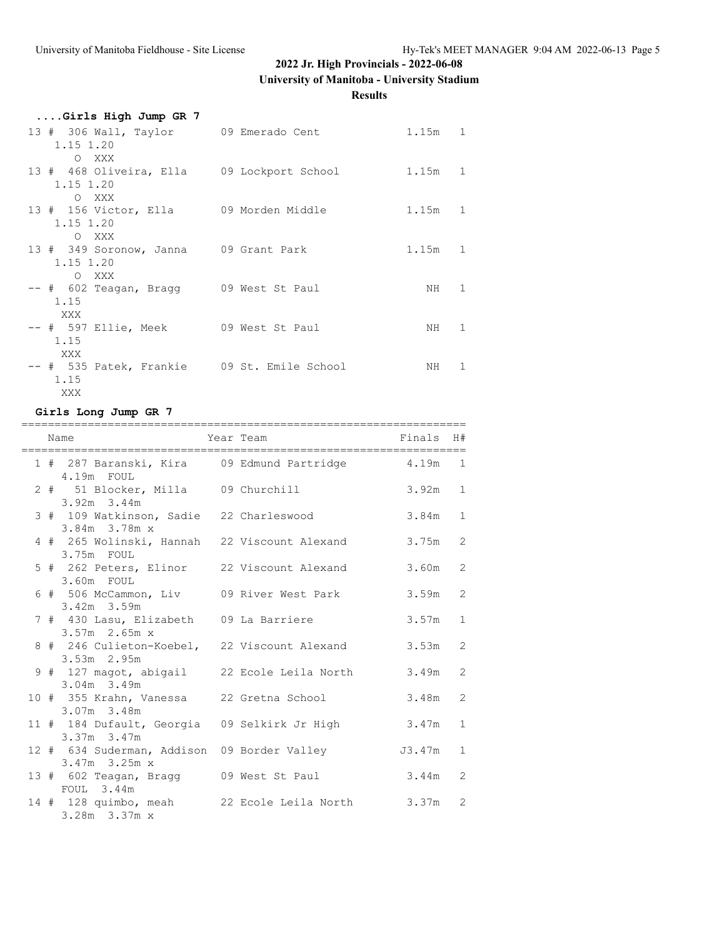# **University of Manitoba - University Stadium**

**Results**

| Girls High Jump GR 7                        |           |                |
|---------------------------------------------|-----------|----------------|
| 13 # 306 Wall, Taylor 09 Emerado Cent       | $1.15m$ 1 |                |
| 1.15 1.20                                   |           |                |
| O XXX                                       |           |                |
| 13 # 468 Oliveira, Ella 09 Lockport School  | 1.15m 1   |                |
| 1.15 1.20<br>O XXX                          |           |                |
| 13 # 156 Victor, Ella 09 Morden Middle      | 1.15m 1   |                |
| 1.15 1.20                                   |           |                |
| O XXX                                       |           |                |
| 13 # 349 Soronow, Janna 09 Grant Park       | $1.15m$ 1 |                |
| 1.15 1.20                                   |           |                |
| O XXX                                       |           |                |
| -- # 602 Teagan, Bragg 09 West St Paul      | NH 1      | $\overline{1}$ |
| 1.15                                        |           |                |
| XXX                                         |           |                |
| -- # 597 Ellie, Meek 09 West St Paul        | NH 1      | $\overline{1}$ |
| 1.15                                        |           |                |
| XXX                                         |           |                |
| -- # 535 Patek, Frankie 09 St. Emile School | NH 1      | $\overline{1}$ |
| 1.15                                        |           |                |
| XXX                                         |           |                |

#### **Girls Long Jump GR 7**

|  | Name                                                      | Year Team                                          | Finals    | H#             |
|--|-----------------------------------------------------------|----------------------------------------------------|-----------|----------------|
|  | 4.19m FOUL                                                | 1 # 287 Baranski, Kira 09 Edmund Partridge 4.19m   |           | 1              |
|  | 2 # 51 Blocker, Milla 09 Churchill<br>$3.92m$ $3.44m$     |                                                    | $3.92m$ 1 |                |
|  | 3 # 109 Watkinson, Sadie 22 Charleswood<br>3.84m 3.78m x  |                                                    | 3.84m     | $\mathbf{1}$   |
|  | 3.75m FOUL                                                | 4 # 265 Wolinski, Hannah 22 Viscount Alexand       | 3.75m     | 2              |
|  | 5 # 262 Peters, Elinor 22 Viscount Alexand<br>3.60m FOUL  |                                                    | 3.60m     | $\overline{2}$ |
|  | $3.42m$ 3.59m                                             | 6 # 506 McCammon, Liv     09 River West Park       | 3.59m     | $\overline{2}$ |
|  | 7 # 430 Lasu, Elizabeth 09 La Barriere<br>$3.57m$ 2.65m x |                                                    | 3.57m     | $\mathbf{1}$   |
|  | 3.53m 2.95m                                               | 8 # 246 Culieton-Koebel, 22 Viscount Alexand       | 3.53m     | $\overline{2}$ |
|  | $3.04m$ 3.49m                                             | 9 # 127 magot, abigail 22 Ecole Leila North        | 3.49m     | 2              |
|  | 10 # 355 Krahn, Vanessa 22 Gretna School<br>3.07m 3.48m   |                                                    | 3.48m     | $\overline{2}$ |
|  | 3.37m 3.47m                                               | 11 # 184 Dufault, Georgia 09 Selkirk Jr High 3.47m |           | 1              |
|  | 3.47m 3.25m x                                             | 12 # 634 Suderman, Addison 09 Border Valley 53.47m |           | $\mathbf{1}$   |
|  | $FOUL$ 3.44m                                              | 13 # 602 Teagan, Bragg 09 West St Paul             | 3.44m     | 2              |
|  | 3.28m 3.37m x                                             | 14 # 128 quimbo, meah 22 Ecole Leila North         | 3.37m     | 2              |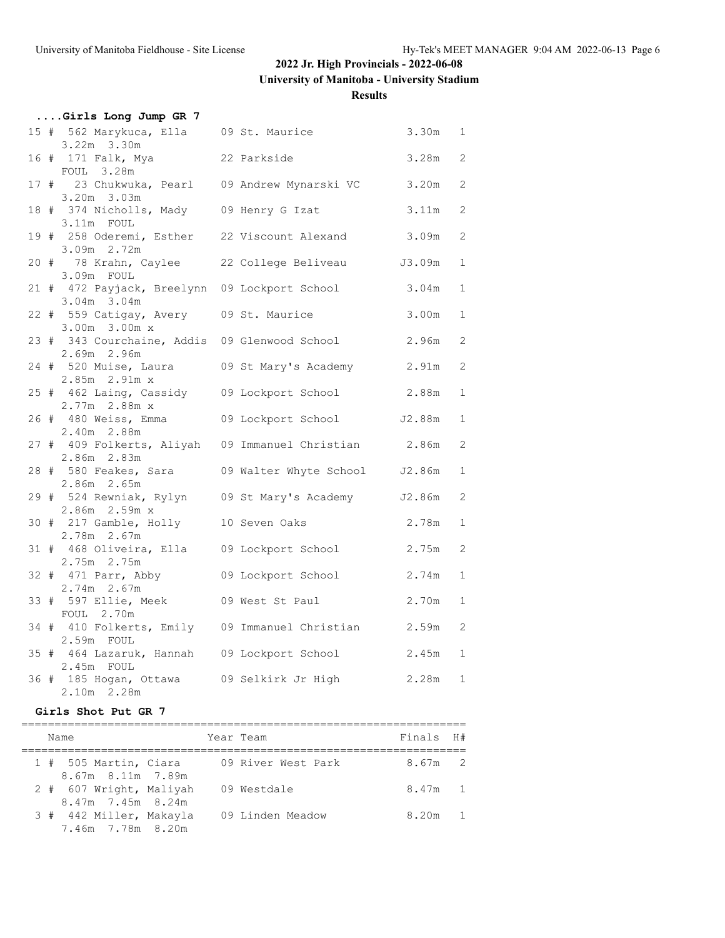**University of Manitoba - University Stadium**

### **Results**

|  | Girls Long Jump GR 7                                  |  |       |              |
|--|-------------------------------------------------------|--|-------|--------------|
|  | 15 # 562 Marykuca, Ella 09 St. Maurice                |  | 3.30m | 1            |
|  | $3.22m$ $3.30m$                                       |  |       |              |
|  | 16 # 171 Falk, Mya <a> 22 Parkside</a>                |  | 3.28m | 2            |
|  | FOUL 3.28m                                            |  |       |              |
|  | 17 # 23 Chukwuka, Pearl 09 Andrew Mynarski VC         |  | 3.20m | 2            |
|  | 3.20m 3.03m                                           |  |       |              |
|  | 18 # 374 Nicholls, Mady 09 Henry G Izat               |  | 3.11m | 2            |
|  | 3.11m FOUL                                            |  |       |              |
|  | 19 # 258 Oderemi, Esther 22 Viscount Alexand 3.09m    |  |       | 2            |
|  | 3.09m 2.72m                                           |  |       |              |
|  | 20 # 78 Krahn, Caylee 22 College Beliveau 53.09m      |  |       | $\mathbf{1}$ |
|  | 3.09m FOUL                                            |  |       |              |
|  | 21 # 472 Payjack, Breelynn 09 Lockport School         |  | 3.04m | $\mathbf{1}$ |
|  | $3.04m$ $3.04m$                                       |  |       |              |
|  | 22 # 559 Catigay, Avery 09 St. Maurice                |  | 3.00m | $\mathbf{1}$ |
|  | 3.00m 3.00m x                                         |  |       |              |
|  | 23 # 343 Courchaine, Addis 09 Glenwood School         |  | 2.96m | 2            |
|  | 2.69m 2.96m                                           |  |       |              |
|  | 24 # 520 Muise, Laura 09 St Mary's Academy 2.91m      |  |       | 2            |
|  | 2.85m 2.91m x                                         |  |       |              |
|  | 25 # 462 Laing, Cassidy 09 Lockport School 2.88m      |  |       | $\mathbf{1}$ |
|  | 2.77m 2.88m x                                         |  |       |              |
|  | 26 # 480 Weiss, Emma 09 Lockport School J2.88m        |  |       | $\mathbf{1}$ |
|  | 2.40m 2.88m                                           |  |       |              |
|  | 27 # 409 Folkerts, Aliyah 09 Immanuel Christian 2.86m |  |       | 2            |
|  | $2.86m$ $2.83m$                                       |  |       |              |
|  | 28 # 580 Feakes, Sara 09 Walter Whyte School J2.86m   |  |       | $\mathbf{1}$ |
|  | 2.86m 2.65m                                           |  |       |              |
|  | 29 # 524 Rewniak, Rylyn 09 St Mary's Academy J2.86m   |  |       | 2            |
|  | 2.86m 2.59m x                                         |  |       |              |
|  | 30 # 217 Gamble, Holly 10 Seven Oaks                  |  | 2.78m | $\mathbf{1}$ |
|  | 2.78m 2.67m                                           |  |       |              |
|  | 31 # 468 Oliveira, Ella 09 Lockport School            |  | 2.75m | 2            |
|  | 2.75m 2.75m                                           |  |       |              |
|  | 32 # 471 Parr, Abby 09 Lockport School                |  | 2.74m | $\mathbf{1}$ |
|  | 2.74m 2.67m                                           |  |       |              |
|  | 33 # 597 Ellie, Meek 09 West St Paul                  |  | 2.70m | $\mathbf{1}$ |
|  | FOUL 2.70m                                            |  |       |              |
|  | 34 # 410 Folkerts, Emily 09 Immanuel Christian 2.59m  |  |       | 2            |
|  | 2.59m FOUL                                            |  |       |              |
|  | 35 # 464 Lazaruk, Hannah 09 Lockport School           |  | 2.45m | 1            |
|  | 2.45m FOUL                                            |  |       |              |
|  | 36 # 185 Hogan, Ottawa 09 Selkirk Jr High             |  | 2.28m | $\mathbf{1}$ |
|  | 2.10m 2.28m                                           |  |       |              |

### **Girls Shot Put GR 7**

| Name                                         | Year Team |                    | Finals H# |  |
|----------------------------------------------|-----------|--------------------|-----------|--|
| 1 # 505 Martin, Ciara<br>8.67m 8.11m 7.89m   |           | 09 River West Park | 8.67m 2   |  |
| 2 # 607 Wright, Maliyah<br>8.47m 7.45m 8.24m |           | 09 Westdale        | 8.47m 1   |  |
| 3 # 442 Miller, Makayla<br>7.46m 7.78m 8.20m |           | 09 Linden Meadow   | 8.20m     |  |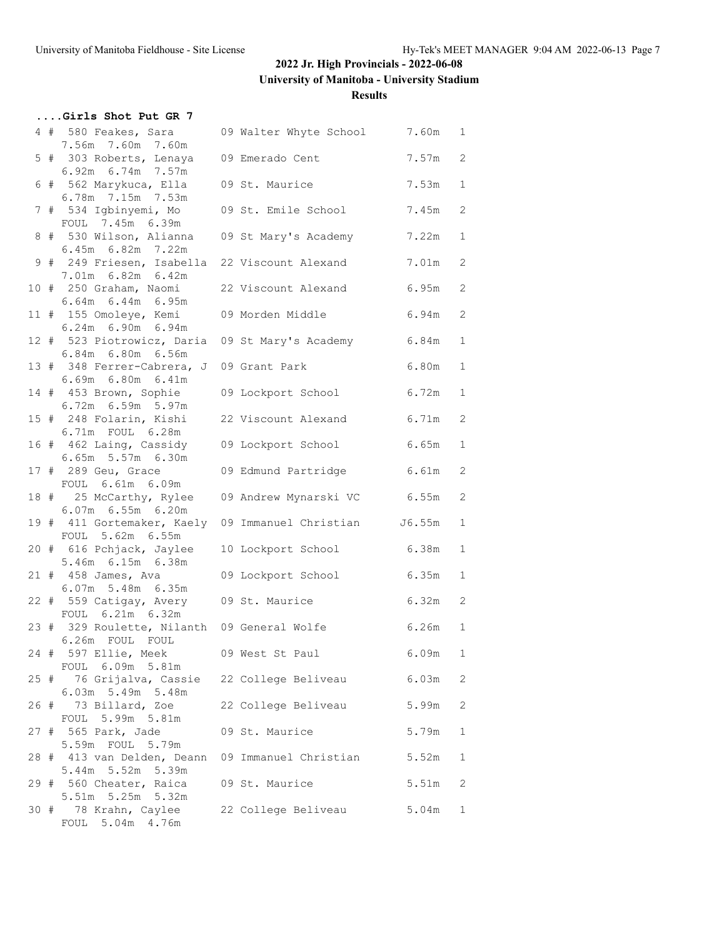**....Girls Shot Put GR 7**

# **2022 Jr. High Provincials - 2022-06-08**

**University of Manitoba - University Stadium**

**Results**

|  | 4 # 580 Feakes, Sara 09 Walter Whyte School 7.60m 1<br>7.56m 7.60m 7.60m           |                         |           |              |
|--|------------------------------------------------------------------------------------|-------------------------|-----------|--------------|
|  | 5 # 303 Roberts, Lenaya 09 Emerado Cent                                            |                         | 7.57m     | 2            |
|  | 6.92m 6.74m 7.57m<br>6 # 562 Marykuca, Ella                                        | 09 St. Maurice          | 7.53m     | $\mathbf{1}$ |
|  | 6.78m 7.15m 7.53m<br>7 # 534 Igbinyemi, Mo                                         | 09 St. Emile School     | 7.45m     | 2            |
|  | FOUL 7.45m 6.39m<br>8 # 530 Wilson, Alianna                                        | 09 St Mary's Academy    | 7.22m     | 1            |
|  | 6.45m 6.82m 7.22m<br>9 # 249 Friesen, Isabella 22 Viscount Alexand                 |                         | 7.01m     | 2            |
|  | 7.01m 6.82m 6.42m<br>10 # 250 Graham, Naomi                                        | 22 Viscount Alexand     | 6.95m     | -2           |
|  | 6.64m 6.44m 6.95m<br>11 # 155 Omoleye, Kemi 09 Morden Middle                       |                         | 6.94m     | 2            |
|  | 6.24m 6.90m 6.94m<br>12 # 523 Piotrowicz, Daria 09 St Mary's Academy               |                         | 6.84m     | $\mathbf{1}$ |
|  | 6.84m 6.80m 6.56m<br>13 # 348 Ferrer-Cabrera, J 09 Grant Park                      |                         | 6.80m     | $\mathbf{1}$ |
|  | 6.69m 6.80m 6.41m<br>14 # 453 Brown, Sophie 09 Lockport School                     |                         | 6.72m     | $\mathbf{1}$ |
|  | 6.72m 6.59m 5.97m<br>15 # 248 Folarin, Kishi 22 Viscount Alexand                   |                         | 6.71m     | 2            |
|  | $6.71m$ FOUL $6.28m$<br>16 # 462 Laing, Cassidy                                    | 09 Lockport School      | 6.65m     | 1            |
|  | 6.65m 5.57m 6.30m<br>17 # 289 Geu, Grace                                           | 09 Edmund Partridge     | 6.61m     | 2            |
|  | FOUL 6.61m 6.09m<br>18 # 25 McCarthy, Rylee 09 Andrew Mynarski VC 6.55m            |                         |           | 2            |
|  | $6.07m$ $6.55m$ $6.20m$<br>19 # 411 Gortemaker, Kaely 09 Immanuel Christian J6.55m |                         |           | 1            |
|  | FOUL 5.62m 6.55m<br>20 # 616 Pchjack, Jaylee 10 Lockport School                    |                         | 6.38m     | $\mathbf{1}$ |
|  | 5.46m 6.15m 6.38m<br>21 # 458 James, Ava                                           | 09 Lockport School      | 6.35m     | $\mathbf{1}$ |
|  | 6.07m 5.48m 6.35m<br>22 # 559 Catigay, Avery 09 St. Maurice                        |                         | $6.32m$ 2 |              |
|  | FOUL 6.21m 6.32m<br>23 # 329 Roulette, Nilanth 09 General Wolfe                    |                         | $6.26m$ 1 |              |
|  | 6.26m FOUL FOUL<br>24 # 597 Ellie, Meek                                            | 09 West St Paul 6.09m 1 |           |              |
|  | FOUL 6.09m 5.81m<br>25 # 76 Grijalva, Cassie 22 College Beliveau                   |                         | 6.03m     | 2            |
|  | 6.03m 5.49m 5.48m<br>26 # 73 Billard, Zoe                                          | 22 College Beliveau     | 5.99m     | 2            |
|  | FOUL 5.99m 5.81m<br>27 # 565 Park, Jade                                            | 09 St. Maurice          | 5.79m     | 1            |
|  | 5.59m FOUL 5.79m<br>28 # 413 van Delden, Deann 09 Immanuel Christian               |                         | 5.52m     | 1            |
|  | 5.44m 5.52m 5.39m<br>29 # 560 Cheater, Raica                                       | 09 St. Maurice          | 5.51m     | 2            |
|  | 5.51m 5.25m 5.32m<br>30 # 78 Krahn, Caylee                                         | 22 College Beliveau     | 5.04m     | 1            |
|  | FOUL 5.04m 4.76m                                                                   |                         |           |              |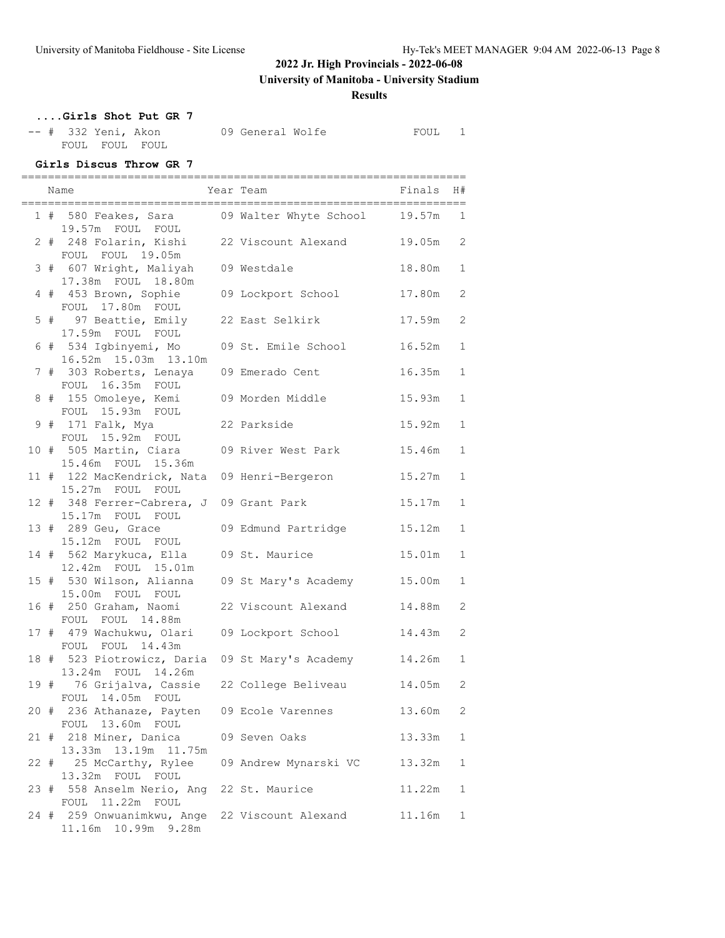**University of Manitoba - University Stadium**

### **Results**

# **....Girls Shot Put GR 7**

|  | -- # 332 Yeni, Akon |                | 09 General Wolfe | FOUL |  |
|--|---------------------|----------------|------------------|------|--|
|  |                     | FOUL FOUL FOUL |                  |      |  |

#### **Girls Discus Throw GR 7**

|  | Name                                                                         | Year Team             | Finals | H#                    |
|--|------------------------------------------------------------------------------|-----------------------|--------|-----------------------|
|  | 1 # 580 Feakes, Sara 69 Walter Whyte School 19.57m<br>19.57m FOUL FOUL       |                       |        | 1                     |
|  | 2 # 248 Folarin, Kishi 22 Viscount Alexand 19.05m<br>FOUL FOUL 19.05m        |                       |        | 2                     |
|  | 3 # 607 Wright, Maliyah 09 Westdale<br>17.38m FOUL 18.80m                    |                       | 18.80m | $\mathbf{1}$          |
|  | 4 # 453 Brown, Sophie<br>FOUL 17.80m FOUL                                    | 09 Lockport School    | 17.80m | $\mathbf{2}^{\prime}$ |
|  | 5 # 97 Beattie, Emily 22 East Selkirk<br>17.59m FOUL FOUL                    |                       | 17.59m | 2                     |
|  | 6 # 534 Igbinyemi, Mo<br>16.52m 15.03m 13.10m                                | 09 St. Emile School   | 16.52m | $\mathbf{1}$          |
|  | 7 # 303 Roberts, Lenaya 09 Emerado Cent<br>FOUL 16.35m FOUL                  |                       | 16.35m | $\mathbf 1$           |
|  | 8 # 155 Omoleye, Kemi<br>FOUL 15.93m FOUL                                    | 09 Morden Middle      | 15.93m | $\mathbf 1$           |
|  | 9 # 171 Falk, Mya<br>FOUL 15.92m FOUL                                        | 22 Parkside           | 15.92m | $\mathbf{1}$          |
|  | 10 # 505 Martin, Ciara<br>15.46m FOUL 15.36m                                 | 09 River West Park    | 15.46m | $\mathbf 1$           |
|  | 11 # 122 MacKendrick, Nata 09 Henri-Bergeron<br>15.27m FOUL FOUL             |                       | 15.27m | $\mathbf 1$           |
|  | 12 # 348 Ferrer-Cabrera, J 09 Grant Park<br>15.17m FOUL FOUL                 |                       | 15.17m | $\mathbf{1}$          |
|  | 13 # 289 Geu, Grace<br>15.12m FOUL FOUL                                      | 09 Edmund Partridge   | 15.12m | $\mathbf 1$           |
|  | 14 # 562 Marykuca, Ella<br>12.42m FOUL 15.01m                                | 09 St. Maurice        | 15.01m | $\mathbf 1$           |
|  | 15 # 530 Wilson, Alianna<br>15.00m FOUL FOUL                                 | 09 St Mary's Academy  | 15.00m | $\mathbf{1}$          |
|  | 16 # 250 Graham, Naomi<br>FOUL FOUL 14.88m                                   | 22 Viscount Alexand   | 14.88m | $\overline{2}$        |
|  | 17 # 479 Wachukwu, Olari<br>FOUL FOUL 14.43m                                 | 09 Lockport School    | 14.43m | 2                     |
|  | 18 # 523 Piotrowicz, Daria 09 St Mary's Academy 14.26m<br>13.24m FOUL 14.26m |                       |        | $\mathbf{1}$          |
|  | 19 # 76 Grijalva, Cassie 22 College Beliveau<br>FOUL 14.05m FOUL             |                       | 14.05m | 2                     |
|  | 20 # 236 Athanaze, Payten 09 Ecole Varennes<br>FOUL 13.60m FOUL              |                       | 13.60m | 2                     |
|  | 21 # 218 Miner, Danica<br>13.33m 13.19m 11.75m                               | 09 Seven Oaks         | 13.33m | $\mathbf 1$           |
|  | 22 # 25 McCarthy, Rylee<br>13.32m FOUL FOUL                                  | 09 Andrew Mynarski VC | 13.32m | 1                     |
|  | 23 # 558 Anselm Nerio, Ang<br>FOUL 11.22m FOUL                               | 22 St. Maurice        | 11.22m | 1                     |
|  | 24 # 259 Onwuanimkwu, Ange 22 Viscount Alexand<br>11.16m  10.99m  9.28m      |                       | 11.16m | 1                     |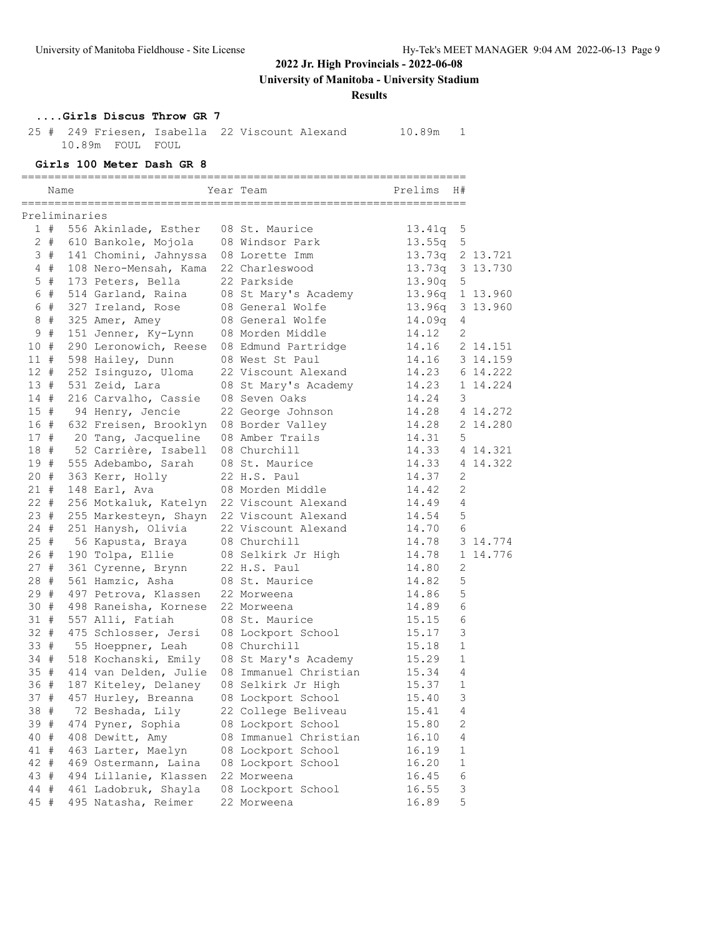**University of Manitoba - University Stadium**

**Results**

### **....Girls Discus Throw GR 7**

 25 # 249 Friesen, Isabella 22 Viscount Alexand 10.89m 1 10.89m FOUL FOUL

#### **Girls 100 Meter Dash GR 8**

|        |       | Name          |                       | Year Team             | Prelims         | H#           |          |
|--------|-------|---------------|-----------------------|-----------------------|-----------------|--------------|----------|
|        |       | Preliminaries |                       |                       |                 |              |          |
|        | 1#    |               | 556 Akinlade, Esther  | 08 St. Maurice        | 13.41q 5        |              |          |
|        | $2 +$ |               | 610 Bankole, Mojola   | 08 Windsor Park       | 13.55q          | 5            |          |
|        | 3#    |               | 141 Chomini, Jahnyssa | 08 Lorette Imm        | 13.73q 2 13.721 |              |          |
|        | 4#    |               | 108 Nero-Mensah, Kama | 22 Charleswood        | 13.73q 3 13.730 |              |          |
|        | $5$ # |               | 173 Peters, Bella     | 22 Parkside           | 13.90q          | 5            |          |
|        | 6 #   |               | 514 Garland, Raina    | 08 St Mary's Academy  | 13.96q 1 13.960 |              |          |
|        | 6 #   |               | 327 Ireland, Rose     | 08 General Wolfe      | 13.96q 3 13.960 |              |          |
|        | $8 +$ |               | 325 Amer, Amey        | 08 General Wolfe      | 14.09q          | 4            |          |
| 9      | #     |               | 151 Jenner, Ky-Lynn   | 08 Morden Middle      | 14.12           | 2            |          |
| 10     | #     |               | 290 Leronowich, Reese | 08 Edmund Partridge   | 14.16           |              | 2 14.151 |
| 11#    |       |               | 598 Hailey, Dunn      | 08 West St Paul       | 14.16           |              | 3 14.159 |
| 12#    |       |               | 252 Isinguzo, Uloma   | 22 Viscount Alexand   | 14.23           |              | 6 14.222 |
| 13#    |       |               | 531 Zeid, Lara        | 08 St Mary's Academy  | 14.23           |              | 1 14.224 |
| 14 #   |       |               | 216 Carvalho, Cassie  | 08 Seven Oaks         | 14.24           | 3            |          |
| 15#    |       |               | 94 Henry, Jencie      | 22 George Johnson     | 14.28           |              | 4 14.272 |
| 16 #   |       |               | 632 Freisen, Brooklyn | 08 Border Valley      | 14.28           |              | 2 14.280 |
| 17#    |       |               | 20 Tang, Jacqueline   | 08 Amber Trails       | 14.31           | 5            |          |
| 18#    |       |               | 52 Carrière, Isabell  | 08 Churchill          | 14.33           |              | 4 14.321 |
| 19#    |       |               | 555 Adebambo, Sarah   | 08 St. Maurice        | 14.33           |              | 4 14.322 |
| 20#    |       |               | 363 Kerr, Holly       | 22 H.S. Paul          | 14.37           | 2            |          |
| 21#    |       |               | 148 Earl, Ava         | 08 Morden Middle      | 14.42           | 2            |          |
| 22 #   |       |               | 256 Motkaluk, Katelyn | 22 Viscount Alexand   | 14.49           | 4            |          |
| 23#    |       |               | 255 Markesteyn, Shayn | 22 Viscount Alexand   | 14.54           | 5            |          |
| $24 +$ |       |               | 251 Hanysh, Olivia    | 22 Viscount Alexand   | 14.70           | 6            |          |
| $25$ # |       |               | 56 Kapusta, Braya     | 08 Churchill          | 14.78           |              | 3 14.774 |
| 26 #   |       |               | 190 Tolpa, Ellie      | 08 Selkirk Jr High    | 14.78           |              | 1 14.776 |
| 27#    |       |               | 361 Cyrenne, Brynn    | 22 H.S. Paul          | 14.80           | $\mathbf{2}$ |          |
| 28 #   |       |               | 561 Hamzic, Asha      | 08 St. Maurice        | 14.82           | 5            |          |
| 29#    |       |               | 497 Petrova, Klassen  | 22 Morweena           | 14.86           | 5            |          |
| 30#    |       |               | 498 Raneisha, Kornese | 22 Morweena           | 14.89           | 6            |          |
| 31#    |       |               | 557 Alli, Fatiah      | 08 St. Maurice        | 15.15           | 6            |          |
| $32 +$ |       |               | 475 Schlosser, Jersi  | 08 Lockport School    | 15.17           | 3            |          |
| 33#    |       |               | 55 Hoeppner, Leah     | 08 Churchill          | 15.18           | $\mathbf 1$  |          |
| 34 #   |       |               | 518 Kochanski, Emily  | 08 St Mary's Academy  | 15.29           | $\mathbf{1}$ |          |
| 35#    |       |               | 414 van Delden, Julie | 08 Immanuel Christian | 15.34           | 4            |          |
| 36#    |       |               | 187 Kiteley, Delaney  | 08 Selkirk Jr High    | 15.37           | 1            |          |
| 37#    |       |               | 457 Hurley, Breanna   | 08 Lockport School    | 15.40           | $\mathsf 3$  |          |
| 38 #   |       |               | 72 Beshada, Lily      | 22 College Beliveau   | 15.41           | 4            |          |
| 39 #   |       |               | 474 Pyner, Sophia     | 08 Lockport School    | 15.80           | 2            |          |
| 40 #   |       |               | 408 Dewitt, Amy       | 08 Immanuel Christian | 16.10           | 4            |          |
| 41 #   |       |               | 463 Larter, Maelyn    | 08 Lockport School    | 16.19           | 1            |          |
| 42 #   |       |               | 469 Ostermann, Laina  | 08 Lockport School    | 16.20           | 1            |          |
| 43 #   |       |               | 494 Lillanie, Klassen | 22 Morweena           | 16.45           | 6            |          |
| 44 #   |       |               | 461 Ladobruk, Shayla  | 08 Lockport School    | 16.55           | 3            |          |
| 45 #   |       |               | 495 Natasha, Reimer   | 22 Morweena           | 16.89           | 5            |          |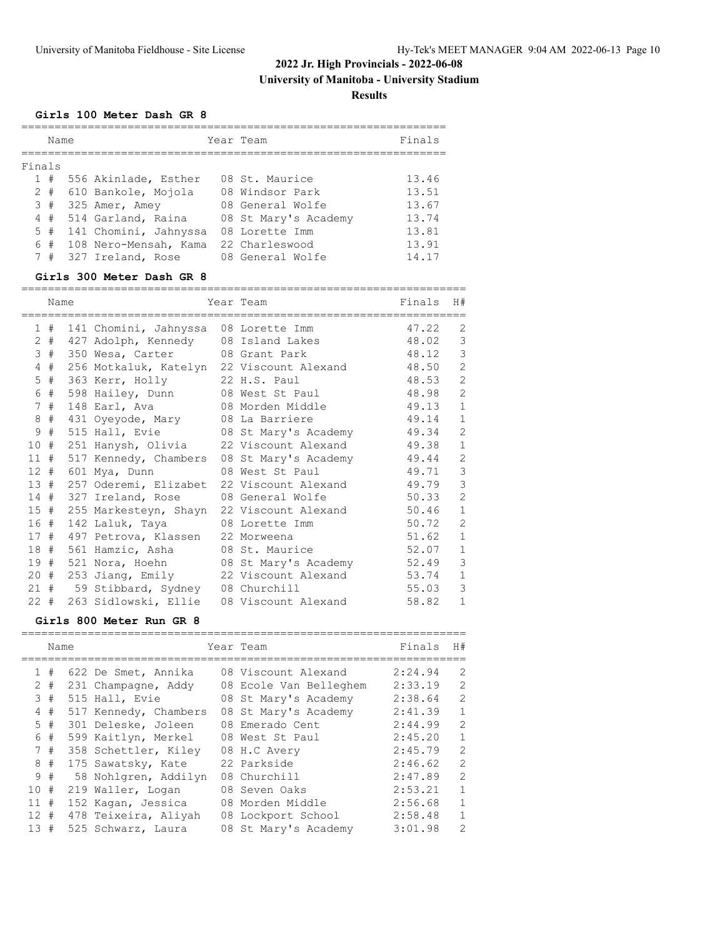**Results**

### **Girls 100 Meter Dash GR 8**

|        | Name  |  |                       | Year Team | Finals               |       |  |  |
|--------|-------|--|-----------------------|-----------|----------------------|-------|--|--|
| Finals |       |  |                       |           |                      |       |  |  |
|        | #     |  | 556 Akinlade, Esther  |           | 08 St. Maurice       | 13.46 |  |  |
|        | $2 +$ |  | 610 Bankole, Mojola   |           | 08 Windsor Park      | 13.51 |  |  |
|        | 3#    |  | 325 Amer, Amey        |           | 08 General Wolfe     | 13.67 |  |  |
|        | 4#    |  | 514 Garland, Raina    |           | 08 St Mary's Academy | 13.74 |  |  |
|        | 5#    |  | 141 Chomini, Jahnyssa |           | 08 Lorette Imm       | 13.81 |  |  |
|        | 6#    |  | 108 Nero-Mensah, Kama |           | 22 Charleswood       | 13.91 |  |  |
|        | #     |  | 327 Ireland, Rose     |           | 08 General Wolfe     | 14.17 |  |  |

#### **Girls 300 Meter Dash GR 8**

|        | Name |  |                                           | Year Team                                  | Finals | H#             |
|--------|------|--|-------------------------------------------|--------------------------------------------|--------|----------------|
|        | 1#   |  | 141 Chomini, Jahnyssa 08 Lorette Imm      |                                            | 47.22  | 2              |
| 2      | #    |  | 427 Adolph, Kennedy 08 Island Lakes       |                                            | 48.02  | 3              |
| 3      | #    |  | 350 Wesa, Carter 08 Grant Park            |                                            | 48.12  | 3              |
| 4      | #    |  | 256 Motkaluk, Katelyn 22 Viscount Alexand |                                            | 48.50  | $\overline{2}$ |
| 5      | #    |  | 363 Kerr, Holly                           | 22 H.S. Paul                               | 48.53  | $\overline{2}$ |
| 6      | #    |  | 598 Hailey, Dunn 08 West St Paul          |                                            | 48.98  | $\overline{2}$ |
| 7      | #    |  | 148 Earl, Ava 68 Morden Middle            |                                            | 49.13  | $\mathbf{1}$   |
| 8      | #    |  | 431 Oyeyode, Mary 08 La Barriere          |                                            | 49.14  | $\mathbf{1}$   |
| 9      | #    |  | 515 Hall, Evie 68 St Mary's Academy       |                                            | 49.34  | $\overline{2}$ |
| 10#    |      |  | 251 Hanysh, Olivia 22 Viscount Alexand    |                                            | 49.38  | $\mathbf{1}$   |
| 11#    |      |  |                                           | 517 Kennedy, Chambers 08 St Mary's Academy | 49.44  | $\overline{2}$ |
| 12#    |      |  | 601 Mya, Dunn                             | 08 West St Paul                            | 49.71  | 3              |
| 13#    |      |  | 257 Oderemi, Elizabet 22 Viscount Alexand |                                            | 49.79  | 3              |
| 14#    |      |  | 327 Ireland, Rose                         | 08 General Wolfe                           | 50.33  | $\overline{2}$ |
| 15#    |      |  | 255 Markesteyn, Shayn 22 Viscount Alexand |                                            | 50.46  | $\mathbf{1}$   |
| 16 #   |      |  | 142 Laluk, Taya                           | 08 Lorette Imm                             | 50.72  | $\overline{2}$ |
| 17#    |      |  | 497 Petrova, Klassen 22 Morweena          |                                            | 51.62  | $\mathbf{1}$   |
| 18#    |      |  | 561 Hamzic, Asha 08 St. Maurice           |                                            | 52.07  | $\mathbf{1}$   |
| 19#    |      |  |                                           | 521 Nora, Hoehn 68 St Mary's Academy       | 52.49  | 3              |
| $20 +$ |      |  | 253 Jiang, Emily 22 Viscount Alexand      |                                            | 53.74  | $\mathbf{1}$   |
| 21#    |      |  | 59 Stibbard, Sydney 08 Churchill          |                                            | 55.03  | 3              |
| $22 +$ |      |  | 263 Sidlowski, Ellie 08 Viscount Alexand  |                                            | 58.82  | $\mathbf 1$    |

### **Girls 800 Meter Run GR 8**

|        | Name  |  |                       | Year Team | Finals                 | H#      |                |  |
|--------|-------|--|-----------------------|-----------|------------------------|---------|----------------|--|
|        |       |  |                       |           |                        |         |                |  |
|        | 1#    |  | 622 De Smet, Annika   |           | 08 Viscount Alexand    | 2:24.94 | 2              |  |
|        | $2 +$ |  | 231 Champagne, Addy   |           | 08 Ecole Van Belleghem | 2:33.19 | $\mathcal{L}$  |  |
|        | 3#    |  | 515 Hall, Evie        |           | 08 St Mary's Academy   | 2:38.64 | $\overline{2}$ |  |
|        | 4#    |  | 517 Kennedy, Chambers |           | 08 St Mary's Academy   | 2:41.39 | $\mathbf{1}$   |  |
|        | 5#    |  | 301 Deleske, Joleen   |           | 08 Emerado Cent        | 2:44.99 | 2              |  |
|        | 6 #   |  | 599 Kaitlyn, Merkel   |           | 08 West St Paul        | 2:45.20 | $\mathbf{1}$   |  |
|        | 7#    |  | 358 Schettler, Kiley  |           | 08 H.C Avery           | 2:45.79 | $\mathcal{L}$  |  |
| 8      | #     |  | 175 Sawatsky, Kate    |           | 22 Parkside            | 2:46.62 | 2              |  |
|        | 9#    |  | 58 Nohlgren, Addilyn  |           | 08 Churchill           | 2:47.89 | $\overline{2}$ |  |
| 10#    |       |  | 219 Waller, Logan     |           | 08 Seven Oaks          | 2:53.21 | $\mathbf{1}$   |  |
| 11     | #     |  | 152 Kaqan, Jessica    |           | 08 Morden Middle       | 2:56.68 | $\mathbf{1}$   |  |
| $12 +$ |       |  | 478 Teixeira, Aliyah  |           | 08 Lockport School     | 2:58.48 | $\mathbf{1}$   |  |
| 13     | #     |  | 525 Schwarz, Laura    |           | 08 St Mary's Academy   | 3:01.98 | $\mathcal{L}$  |  |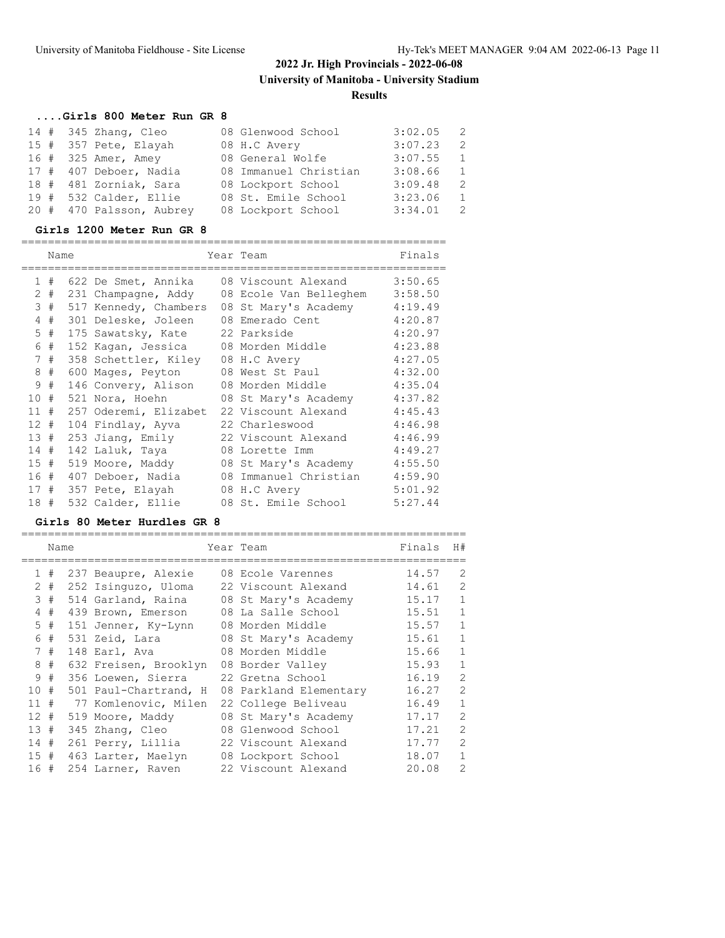# **....Girls 800 Meter Run GR 8**

|  | $14$ # 345 Zhang, Cleo   | 08 Glenwood School    | $3:02.05$ 2 |                |
|--|--------------------------|-----------------------|-------------|----------------|
|  | 15 # 357 Pete, Elayah    | 08 H.C Avery          | 3:07.23     | $\overline{2}$ |
|  | 16 # 325 Amer, Amey      | 08 General Wolfe      | $3:07.55$ 1 |                |
|  | 17 # 407 Deboer, Nadia   | 08 Immanuel Christian | 3:08.66     | $\sim$ 1       |
|  | 18 # 481 Zorniak, Sara   | 08 Lockport School    | 3:09.48     | $\overline{2}$ |
|  | 19 # 532 Calder, Ellie   | 08 St. Emile School   | 3:23.06     | $\sim$ 1       |
|  | 20 # 470 Palsson, Aubrey | 08 Lockport School    | 3:34.01     | $\mathcal{L}$  |

### **Girls 1200 Meter Run GR 8**

|                 | Name  |  |                       |  | Year Team              | Finals  |  |  |
|-----------------|-------|--|-----------------------|--|------------------------|---------|--|--|
| $\mathbf{1}$    | #     |  | 622 De Smet, Annika   |  | 08 Viscount Alexand    | 3:50.65 |  |  |
|                 | $2 +$ |  | 231 Champagne, Addy   |  | 08 Ecole Van Belleghem | 3:58.50 |  |  |
|                 | 3#    |  | 517 Kennedy, Chambers |  | 08 St Mary's Academy   | 4:19.49 |  |  |
| 4               | #     |  | 301 Deleske, Joleen   |  | 08 Emerado Cent        | 4:20.87 |  |  |
|                 | $5$ # |  | 175 Sawatsky, Kate    |  | 22 Parkside            | 4:20.97 |  |  |
| 6               | #     |  | 152 Kagan, Jessica    |  | 08 Morden Middle       | 4:23.88 |  |  |
| $\overline{7}$  | #     |  | 358 Schettler, Kiley  |  | 08 H.C Avery           | 4:27.05 |  |  |
| 8               | #     |  | 600 Mages, Peyton     |  | 08 West St Paul        | 4:32.00 |  |  |
| 9               | #     |  | 146 Convery, Alison   |  | 08 Morden Middle       | 4:35.04 |  |  |
| 10              | #     |  | 521 Nora, Hoehn       |  | 08 St Mary's Academy   | 4:37.82 |  |  |
| 11              | #     |  | 257 Oderemi, Elizabet |  | 22 Viscount Alexand    | 4:45.43 |  |  |
| 12 <sup>°</sup> | #     |  | 104 Findlay, Ayva     |  | 22 Charleswood         | 4:46.98 |  |  |
| 13#             |       |  | 253 Jiang, Emily      |  | 22 Viscount Alexand    | 4:46.99 |  |  |
| 14              | #     |  | 142 Laluk, Taya       |  | 08 Lorette Imm         | 4:49.27 |  |  |
| 15#             |       |  | 519 Moore, Maddy      |  | 08 St Mary's Academy   | 4:55.50 |  |  |
| 16#             |       |  | 407 Deboer, Nadia     |  | 08 Immanuel Christian  | 4:59.90 |  |  |
| 17#             |       |  | 357 Pete, Elayah      |  | 08 H.C Avery           | 5:01.92 |  |  |
| 18#             |       |  | 532 Calder, Ellie     |  | 08 St. Emile School    | 5:27.44 |  |  |

#### **Girls 80 Meter Hurdles GR 8**

|             | Name |                       | Year Team              | Finals | H#             |
|-------------|------|-----------------------|------------------------|--------|----------------|
| 1.          | #    | 237 Beaupre, Alexie   | 08 Ecole Varennes      | 14.57  | 2              |
| 2           | #    | 252 Isinguzo, Uloma   | 22 Viscount Alexand    | 14.61  | 2              |
| 3           | #    | 514 Garland, Raina    | 08 St Mary's Academy   | 15.17  | 1              |
| 4           | #    | 439 Brown, Emerson    | 08 La Salle School     | 15.51  | $\mathbf 1$    |
| 5.          | #    | 151 Jenner, Ky-Lynn   | 08 Morden Middle       | 15.57  | $\mathbf 1$    |
| 6           | #    | 531 Zeid, Lara        | 08 St Mary's Academy   | 15.61  | $\mathbf 1$    |
| $7^{\circ}$ | #    | 148 Earl, Ava         | 08 Morden Middle       | 15.66  | $\mathbf 1$    |
| 8           | #    | 632 Freisen, Brooklyn | 08 Border Valley       | 15.93  | $\mathbf{1}$   |
| 9           | #    | 356 Loewen, Sierra    | 22 Gretna School       | 16.19  | 2              |
| 10          | #    | 501 Paul-Chartrand, H | 08 Parkland Elementary | 16.27  | $\overline{2}$ |
| 11          | #    | 77 Komlenovic, Milen  | 22 College Beliveau    | 16.49  | $\mathbf{1}$   |
| 12#         |      | 519 Moore, Maddy      | 08 St Mary's Academy   | 17.17  | 2              |
| 13#         |      | 345 Zhang, Cleo       | 08 Glenwood School     | 17.21  | 2              |
| 14#         |      | 261 Perry, Lillia     | 22 Viscount Alexand    | 17.77  | 2              |
| 15#         |      | 463 Larter, Maelyn    | 08 Lockport School     | 18.07  | $\mathbf 1$    |
| 16#         |      | 254 Larner, Raven     | 22 Viscount Alexand    | 20.08  | $\overline{2}$ |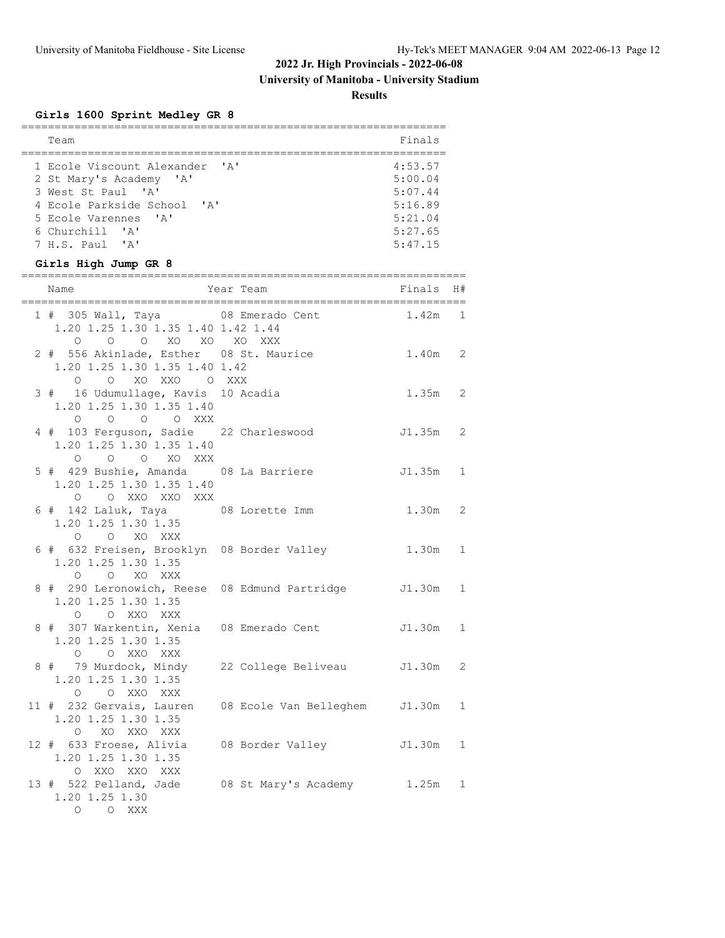**University of Manitoba - University Stadium**

**Results**

# **Girls 1600 Sprint Medley GR 8**

| Team                                                                                                           |                        | Finals                                   |   |
|----------------------------------------------------------------------------------------------------------------|------------------------|------------------------------------------|---|
|                                                                                                                |                        |                                          |   |
| 1 Ecole Viscount Alexander 'A'<br>2 St Mary's Academy 'A'<br>3 West St Paul 'A'<br>4 Ecole Parkside School 'A' |                        | 4:53.57<br>5:00.04<br>5:07.44<br>5:16.89 |   |
| 5 Ecole Varennes 'A'<br>6 Churchill 'A'<br>7 H.S. Paul 'A'<br>Girls High Jump GR 8                             |                        | 5:21.04<br>5:27.65<br>5:47.15            |   |
| Name                                                                                                           | Year Team              | Finals H#                                |   |
| 1 # 305 Wall, Taya 68 Emerado Cent<br>1.20 1.25 1.30 1.35 1.40 1.42 1.44<br>0 0 0 XO XO XO XXX                 |                        | $1.42m$ 1                                |   |
| 2 # 556 Akinlade, Esther 08 St. Maurice<br>1.20 1.25 1.30 1.35 1.40 1.42<br>O O XO XXO O XXX                   |                        | 1.40m 2                                  |   |
| 3 # 16 Udumullage, Kavis 10 Acadia<br>1.20 1.25 1.30 1.35 1.40<br>0 0 0 0 XXX                                  |                        | $1.35m$ 2                                |   |
| 4 # 103 Ferguson, Sadie 22 Charleswood<br>1.20 1.25 1.30 1.35 1.40<br>O O O XO XXX                             |                        | J1.35m 2                                 |   |
| 5 # 429 Bushie, Amanda 08 La Barriere<br>1.20 1.25 1.30 1.35 1.40<br>O O XXO XXO XXX                           |                        | $J1.35m$ 1                               |   |
| 6 # 142 Laluk, Taya 08 Lorette Imm<br>1.20 1.25 1.30 1.35<br>O O XO XXX                                        |                        | 1.30m                                    | 2 |
| 6 # 632 Freisen, Brooklyn 08 Border Valley<br>1.20 1.25 1.30 1.35<br>O O XO XXX                                |                        | 1.30m                                    | 1 |
| 8 # 290 Leronowich, Reese 08 Edmund Partridge<br>1.20 1.25 1.30 1.35<br>O O XXO XXX                            |                        | J1.30m 1                                 |   |
| 8 # 307 Warkentin, Xenia 08 Emerado Cent<br>1.20 1.25 1.30 1.35<br>O O XXO XXX                                 |                        | J1.30m 1                                 |   |
| 8 # 79 Murdock, Mindy<br>1.20 1.25 1.30 1.35<br>O O XXO XXX                                                    | 22 College Beliveau    | J1.30m                                   | 2 |
| 11 # 232 Gervais, Lauren<br>1.20 1.25 1.30 1.35<br>$\circ$<br>XO XXO XXX                                       | 08 Ecole Van Belleghem | J1.30m                                   | 1 |
| 12 # 633 Froese, Alivia<br>1.20 1.25 1.30 1.35<br>O XXO XXO XXX                                                | 08 Border Valley       | J1.30m                                   | 1 |
| 13 # 522 Pelland, Jade<br>1.20 1.25 1.30<br>$O$ $O$ XXX                                                        | 08 St Mary's Academy   | 1.25m                                    | 1 |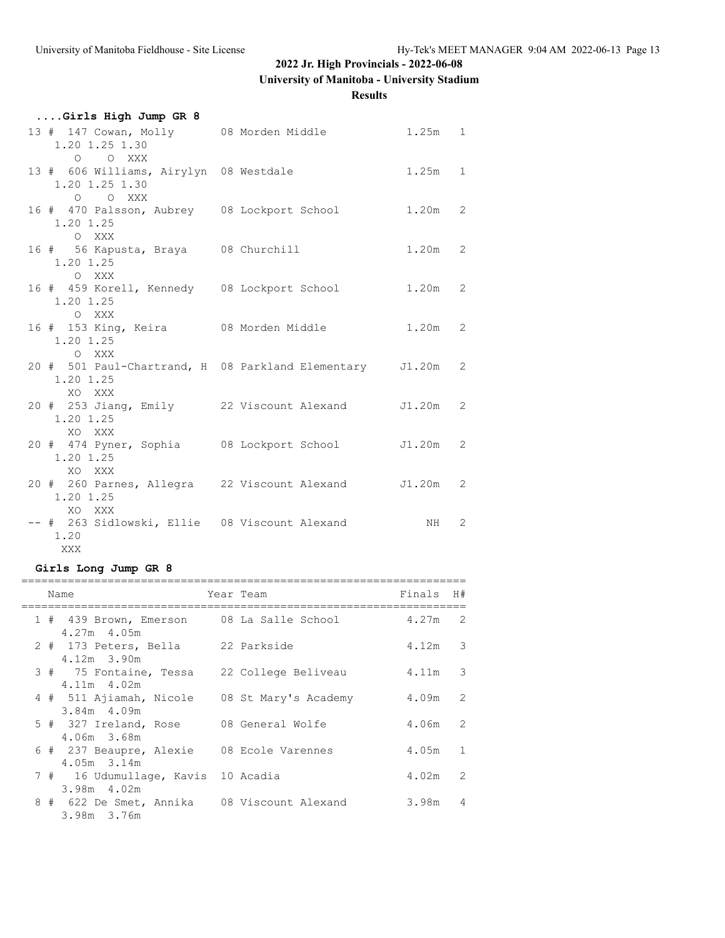**University of Manitoba - University Stadium**

**Results**

| Girls High Jump GR 8                                                                 |           |  |
|--------------------------------------------------------------------------------------|-----------|--|
| 13 # 147 Cowan, Molly 08 Morden Middle<br>1.20 1.25 1.30                             | $1.25m$ 1 |  |
| O O XXX<br>13 # 606 Williams, Airylyn 08 Westdale<br>1.20 1.25 1.30                  | $1.25m$ 1 |  |
| O O XXX<br>16 # 470 Palsson, Aubrey 08 Lockport School 1.20m 2<br>1.20 1.25<br>O XXX |           |  |
| 16 # 56 Kapusta, Braya 08 Churchill<br>1.20 1.25<br>O XXX                            | $1.20m$ 2 |  |
| 16 # 459 Korell, Kennedy 08 Lockport School<br>1.20 1.25                             | $1.20m$ 2 |  |
| O XXX<br>16 # 153 King, Keira 68 Morden Middle 1.20m 2<br>1.20 1.25<br>O XXX         |           |  |
| 20 # 501 Paul-Chartrand, H 08 Parkland Elementary J1.20m 2<br>1.20 1.25<br>XO XXX    |           |  |
| 20 # 253 Jiang, Emily 22 Viscount Alexand J1.20m 2<br>1.20 1.25<br>XO XXX            |           |  |
| 20 # 474 Pyner, Sophia 60 Lockport School 51.20m 2<br>1.20 1.25                      |           |  |
| XO XXX<br>20 # 260 Parnes, Allegra 22 Viscount Alexand J1.20m 2<br>1.20 1.25         |           |  |
| XO XXX<br>-- # 263 Sidlowski, Ellie 08 Viscount Alexand MH 2<br>1.20<br>XXX          |           |  |

# **Girls Long Jump GR 8**

| Name                                                         | Year Team |                                              | Finals    | H#             |
|--------------------------------------------------------------|-----------|----------------------------------------------|-----------|----------------|
| 1 # 439 Brown, Emerson 08 La Salle School<br>$4.27m$ $4.05m$ |           |                                              | 4.27m     | 2              |
| 2 # 173 Peters, Bella 22 Parkside<br>4.12m 3.90m             |           |                                              | $4.12m$ 3 |                |
| 4.11m 4.02m                                                  |           | 3 # 75 Fontaine, Tessa 22 College Beliveau   | 4.11m 3   |                |
| $3.84m$ 4.09m                                                |           | 4 # 511 Ajiamah, Nicole 08 St Mary's Academy | $4.09m$ 2 |                |
| 5 # 327 Ireland, Rose 608 General Wolfe<br>4.06m 3.68m       |           |                                              | 4.06m 2   |                |
| 6 # 237 Beaupre, Alexie 08 Ecole Varennes<br>4.05m 3.14m     |           |                                              | 4.05m     | $\mathbf{1}$   |
| 7 # 16 Udumullage, Kavis 10 Acadia<br>3.98m 4.02m            |           |                                              | 4.02m     | 2              |
| 3.98m 3.76m                                                  |           | 8 # 622 De Smet, Annika 08 Viscount Alexand  | 3.98m     | $\overline{4}$ |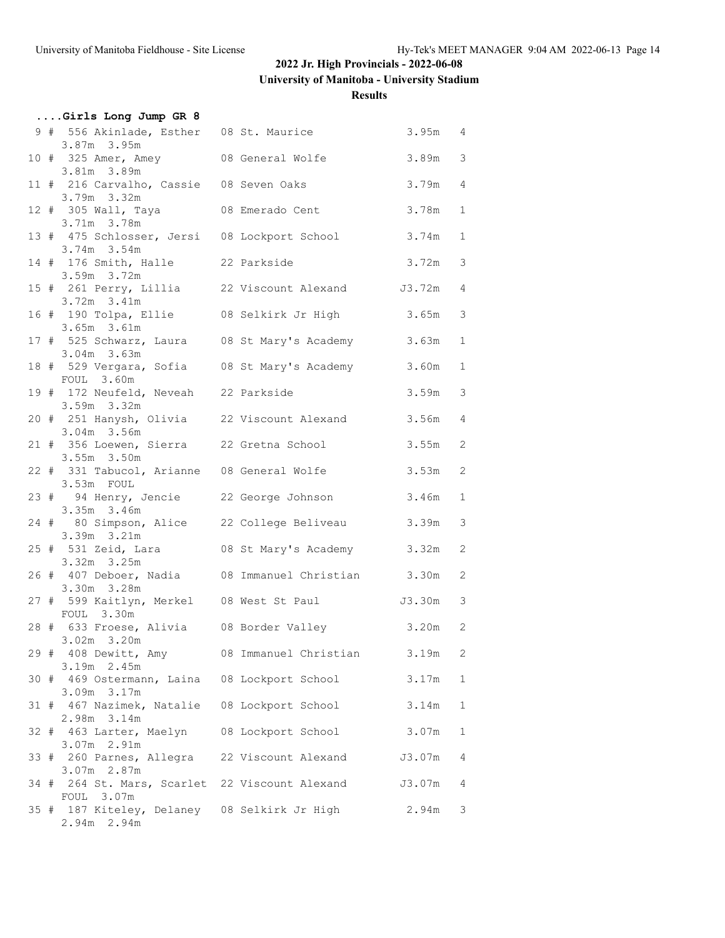**University of Manitoba - University Stadium**

### **Results**

|  | Girls Long Jump GR 8                                                          |  |           |               |
|--|-------------------------------------------------------------------------------|--|-----------|---------------|
|  | 9 # 556 Akinlade, Esther 08 St. Maurice<br>3.87m 3.95m                        |  | 3.95m 4   |               |
|  | 10 # 325 Amer, Amey 08 General Wolfe 3.89m<br>3.81m 3.89m                     |  |           | $\mathbf{3}$  |
|  | 11 # 216 Carvalho, Cassie 08 Seven Oaks<br>3.79m 3.32m                        |  | $3.79m$ 4 |               |
|  | 12 # 305 Wall, Taya 68 Emerado Cent<br>3.71m 3.78m                            |  | 3.78m     | $\mathbf{1}$  |
|  | 13 # 475 Schlosser, Jersi 08 Lockport School<br>3.74m 3.54m                   |  | $3.74m$ 1 |               |
|  | 14 # 176 Smith, Halle 22 Parkside<br>3.59m 3.72m                              |  | $3.72m$ 3 |               |
|  | 15 # 261 Perry, Lillia 22 Viscount Alexand J3.72m 4<br>$3.72m$ $3.41m$        |  |           |               |
|  | 16 # 190 Tolpa, Ellie 08 Selkirk Jr High 3.65m<br>$3.65m$ $3.61m$             |  |           | 3             |
|  | 17 # 525 Schwarz, Laura 08 St Mary's Academy<br>$3.04m$ $3.63m$               |  | 3.63m     | $\mathbf{1}$  |
|  | 18 # 529 Vergara, Sofia 08 St Mary's Academy 3.60m                            |  |           | 1             |
|  | FOUL 3.60m<br>19 # 172 Neufeld, Neveah 22 Parkside<br>3.59m 3.32m             |  | 3.59m     | $\mathcal{S}$ |
|  | 20 # 251 Hanysh, Olivia 22 Viscount Alexand                                   |  | $3.56m$ 4 |               |
|  | 3.04m 3.56m<br>21 # 356 Loewen, Sierra 22 Gretna School                       |  | $3.55m$ 2 |               |
|  | $3.55m$ $3.50m$<br>22 # 331 Tabucol, Arianne 08 General Wolfe                 |  | 3.53m     | 2             |
|  | 3.53m FOUL<br>23 # 94 Henry, Jencie 22 George Johnson                         |  | 3.46m     | $\mathbf{1}$  |
|  | $3.35m$ $3.46m$<br>24 # 80 Simpson, Alice 22 College Beliveau                 |  | 3.39m     | 3             |
|  | 3.39m 3.21m<br>25 # 531 Zeid, Lara 68 St Mary's Academy 3.32m<br>3.32m 3.25m  |  |           | 2             |
|  | 26 # 407 Deboer, Nadia 08 Immanuel Christian 3.30m                            |  |           | 2             |
|  | 3.30m 3.28m<br>27 # 599 Kaitlyn, Merkel 08 West St Paul 3.30m 3<br>FOUL 3.30m |  |           |               |
|  | 28 # 633 Froese, Alivia 08 Border Valley 3.20m 2<br>$3.02m$ $3.20m$           |  |           |               |
|  | 29 # 408 Dewitt, Amy 608 Immanuel Christian<br>3.19m 2.45m                    |  | 3.19m     | 2             |
|  | 30 # 469 Ostermann, Laina 08 Lockport School<br>3.09m 3.17m                   |  | 3.17m     | 1             |
|  | 31 # 467 Nazimek, Natalie 08 Lockport School<br>2.98m 3.14m                   |  | 3.14m     | 1             |
|  | 32 # 463 Larter, Maelyn 08 Lockport School                                    |  | 3.07m     | 1             |
|  | 3.07m 2.91m<br>33 # 260 Parnes, Allegra 22 Viscount Alexand                   |  | J3.07m    | 4             |
|  | 3.07m 2.87m<br>34 # 264 St. Mars, Scarlet 22 Viscount Alexand J3.07m          |  |           | 4             |
|  | FOUL 3.07m<br>35 # 187 Kiteley, Delaney 08 Selkirk Jr High<br>2.94m 2.94m     |  | 2.94m     | 3             |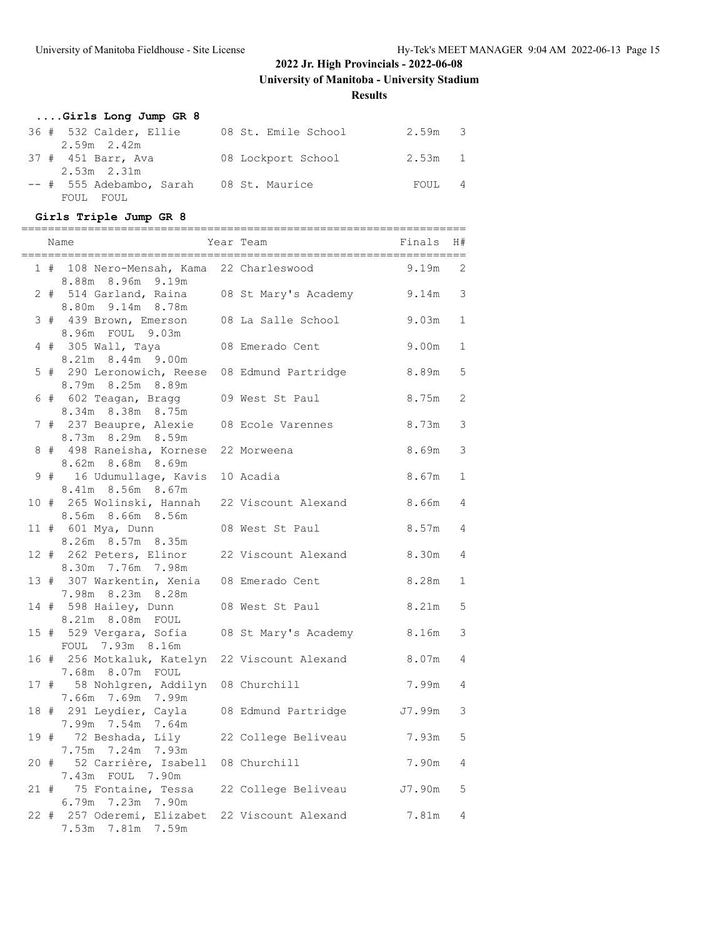**Results**

| Girls Long Jump GR 8     |                     |           |                |
|--------------------------|---------------------|-----------|----------------|
| 36 # 532 Calder, Ellie   | 08 St. Emile School | $2.59m$ 3 |                |
| $2.59m$ $2.42m$          |                     |           |                |
| 37 # 451 Barr, Ava       | 08 Lockport School  | 2.53m 1   |                |
| $2.53m$ $2.31m$          |                     |           |                |
| -- # 555 Adebambo, Sarah | 08 St. Maurice      | FOUL      | $\overline{4}$ |
| FOUL FOUL                |                     |           |                |

# **Girls Triple Jump GR 8**

|    | =============================<br>Name                               | --------------------------<br>Year Team | Finals    | H#             |
|----|---------------------------------------------------------------------|-----------------------------------------|-----------|----------------|
| 1# | 108 Nero-Mensah, Kama<br>8.88m 8.96m 9.19m                          | 22 Charleswood                          | 9.19m     | 2              |
|    | 2 # 514 Garland, Raina 08 St Mary's Academy<br>8.80m 9.14m 8.78m    |                                         | $9.14m$ 3 |                |
|    | 3 # 439 Brown, Emerson<br>8.96m FOUL 9.03m                          | 08 La Salle School                      | 9.03m     | $\mathbf{1}$   |
|    | 4 # 305 Wall, Taya<br>8.21m 8.44m 9.00m                             | 08 Emerado Cent                         | 9.00m     | $\mathbf{1}$   |
|    | 5 # 290 Leronowich, Reese 08 Edmund Partridge<br>8.79m 8.25m 8.89m  |                                         | 8.89m     | 5              |
|    | 6 # 602 Teagan, Bragg<br>8.34m 8.38m 8.75m                          | 09 West St Paul                         | 8.75m     | $\mathbf{2}$   |
|    | 7 # 237 Beaupre, Alexie<br>8.73m 8.29m 8.59m                        | 08 Ecole Varennes                       | 8.73m     | 3              |
|    | 8 # 498 Raneisha, Kornese 22 Morweena<br>8.62m 8.68m 8.69m          |                                         | 8.69m     | 3              |
|    | 9 # 16 Udumullage, Kavis 10 Acadia<br>8.41m 8.56m 8.67m             |                                         | 8.67m     | $\mathbf{1}$   |
|    | 10 # 265 Wolinski, Hannah 22 Viscount Alexand<br>8.56m 8.66m 8.56m  |                                         | 8.66m     | $\overline{4}$ |
|    | 11 # 601 Mya, Dunn<br>8.26m 8.57m 8.35m                             | 08 West St Paul                         | 8.57m     | $\overline{4}$ |
|    | 12 # 262 Peters, Elinor<br>8.30m 7.76m 7.98m                        | 22 Viscount Alexand                     | 8.30m     | $\overline{4}$ |
|    | 13 # 307 Warkentin, Xenia 08 Emerado Cent<br>7.98m 8.23m 8.28m      |                                         | 8.28m     | 1              |
|    | 14 # 598 Hailey, Dunn<br>8.21m 8.08m FOUL                           | 08 West St Paul                         | 8.21m     | 5              |
|    | 15 # 529 Vergara, Sofia<br>FOUL 7.93m 8.16m                         | 08 St Mary's Academy                    | 8.16m     | 3              |
|    | 16 # 256 Motkaluk, Katelyn<br>7.68m 8.07m FOUL                      | 22 Viscount Alexand                     | 8.07m     | $\overline{4}$ |
|    | 17 # 58 Nohlgren, Addilyn 08 Churchill<br>7.66m 7.69m 7.99m         |                                         | 7.99m     | 4              |
|    | 18 # 291 Leydier, Cayla 08 Edmund Partridge<br>7.99m 7.54m 7.64m    |                                         | J7.99m    | 3              |
|    | 19 # 72 Beshada, Lily<br>7.75m 7.24m 7.93m                          | 22 College Beliveau                     | 7.93m     | 5              |
|    | 20 # 52 Carrière, Isabell 08 Churchill<br>7.43m FOUL 7.90m          |                                         | 7.90m     | 4              |
|    | 21 # 75 Fontaine, Tessa 22 College Beliveau<br>6.79m 7.23m 7.90m    |                                         | J7.90m    | 5              |
|    | 22 # 257 Oderemi, Elizabet 22 Viscount Alexand<br>7.53m 7.81m 7.59m |                                         | 7.81m 4   |                |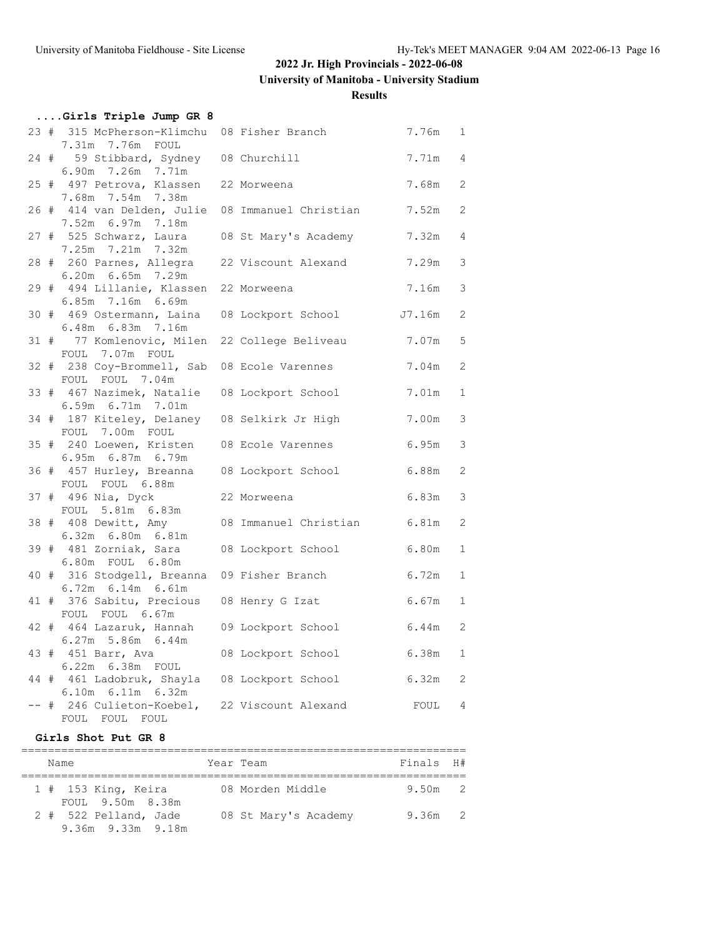**University of Manitoba - University Stadium**

### **Results**

| Girls Triple Jump GR 8                                                   |                       |                   |                |
|--------------------------------------------------------------------------|-----------------------|-------------------|----------------|
| 23 # 315 McPherson-Klimchu 08 Fisher Branch<br>7.31m 7.76m FOUL          |                       | 7.76m             | $\mathbf{1}$   |
| 24 # 59 Stibbard, Sydney 08 Churchill<br>6.90m 7.26m 7.71m               |                       | 7.71m             | $\overline{4}$ |
| 25 # 497 Petrova, Klassen 22 Morweena                                    |                       | 7.68m             | 2              |
| 7.68m 7.54m 7.38m<br>26 # 414 van Delden, Julie 08 Immanuel Christian    |                       | 7.52m             | $\mathbf{2}$   |
| 7.52m 6.97m 7.18m<br>27 # 525 Schwarz, Laura 08 St Mary's Academy        |                       | 7.32m             | 4              |
| 7.25m 7.21m 7.32m<br>28 # 260 Parnes, Allegra 22 Viscount Alexand        |                       | 7.29m             | 3              |
| 6.20m 6.65m 7.29m<br>29 # 494 Lillanie, Klassen 22 Morweena              |                       | 7.16m             | 3              |
| 6.85m 7.16m 6.69m<br>30 # 469 Ostermann, Laina 08 Lockport School J7.16m |                       |                   | 2              |
| 6.48m    6.83m    7.16m<br>31 # 77 Komlenovic, Milen 22 College Beliveau |                       | 7.07m             | 5              |
| FOUL 7.07m FOUL                                                          |                       |                   |                |
| 32 # 238 Coy-Brommell, Sab 08 Ecole Varennes<br>FOUL FOUL 7.04m          |                       | 7.04m             | 2              |
| 33 # 467 Nazimek, Natalie<br>6.59m 6.71m 7.01m                           | 08 Lockport School    | 7.01m             | $\mathbf{1}$   |
| 34 # 187 Kiteley, Delaney 08 Selkirk Jr High<br>FOUL 7.00m FOUL          |                       | 7.00m             | 3              |
| 35 # 240 Loewen, Kristen 08 Ecole Varennes<br>6.95m 6.87m 6.79m          |                       | 6.95m             | 3              |
| 36 # 457 Hurley, Breanna 08 Lockport School<br>FOUL FOUL 6.88m           |                       | 6.88m             | 2              |
| 37 # 496 Nia, Dyck<br>FOUL 5.81m 6.83m                                   | 22 Morweena           | 6.83m             | 3              |
| 38 # 408 Dewitt, Amy<br>6.32m 6.80m 6.81m                                | 08 Immanuel Christian | 6.81m             | $\mathbf{2}$   |
| 39 # 481 Zorniak, Sara                                                   | 08 Lockport School    | 6.80m             | $\mathbf{1}$   |
| 6.80m FOUL 6.80m<br>40 # 316 Stodgell, Breanna 09 Fisher Branch          |                       | 6.72m             | $\mathbf{1}$   |
| 6.72m 6.14m 6.61m<br>41 # 376 Sabitu, Precious 08 Henry G Izat           |                       | 6.67m             | $\mathbf{1}$   |
| FOUL FOUL 6.67m<br>42 # 464 Lazaruk, Hannah 09 Lockport School           |                       | 6.44m             | 2              |
| $6.27m$ 5.86m $6.44m$<br>43 # 451 Barr, Ava                              | 08 Lockport School    | 6.38m             | $\mathbf{1}$   |
| 6.22m  6.38m  FOUL<br>44 # 461 Ladobruk, Shayla 08 Lockport School       |                       | 6.32m             | 2              |
| $6.10m$ $6.11m$ $6.32m$<br>-- # 246 Culieton-Koebel, 22 Viscount Alexand |                       | FOUL <sub>4</sub> |                |
| FOUL FOUL FOUL                                                           |                       |                   |                |

#### **Girls Shot Put GR 8**

| Name                                       | Year Team            | Finals H# |  |
|--------------------------------------------|----------------------|-----------|--|
| 1 # 153 King, Keira<br>FOUL 9.50m 8.38m    | 08 Morden Middle     | $9.50m$ 2 |  |
| 2 # 522 Pelland, Jade<br>9.36m 9.33m 9.18m | 08 St Mary's Academy | $9.36m$ 2 |  |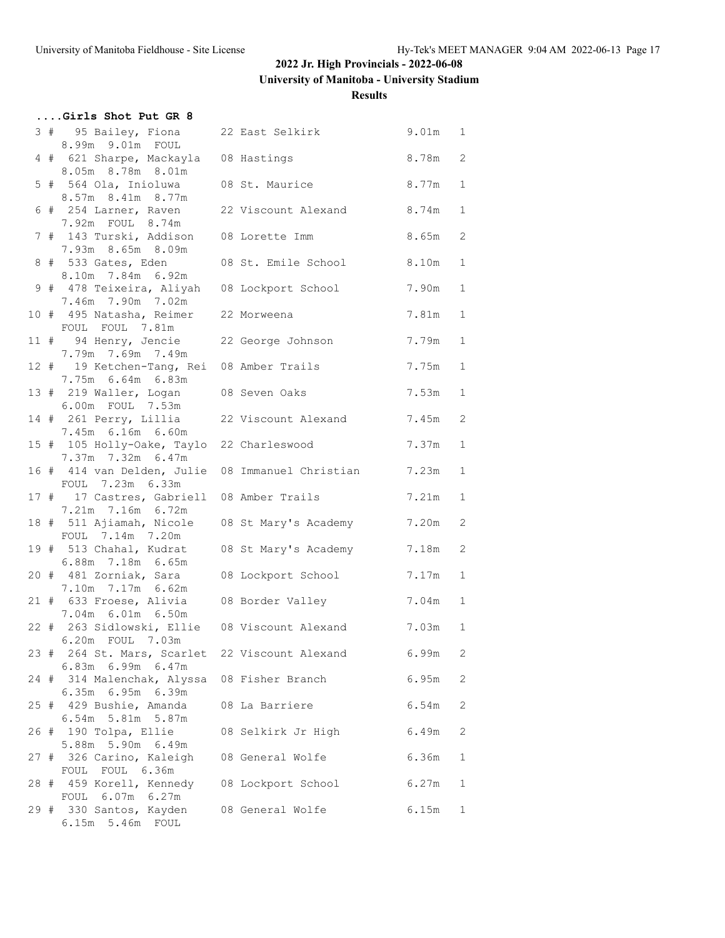**University of Manitoba - University Stadium**

### **Results**

|  | Girls Shot Put GR 8                                              |                                                  |           |              |
|--|------------------------------------------------------------------|--------------------------------------------------|-----------|--------------|
|  | 3 # 95 Bailey, Fiona<br>8.99m 9.01m FOUL                         | 22 East Selkirk                                  | 9.01m 1   |              |
|  | 4 # 621 Sharpe, Mackayla 08 Hastings<br>8.05m 8.78m 8.01m        |                                                  | 8.78m 2   |              |
|  | 5 # 564 Ola, Inioluwa<br>8.57m 8.41m 8.77m                       | 08 St. Maurice                                   | 8.77m     | $\mathbf{1}$ |
|  | 7.92m FOUL 8.74m                                                 | 6 # 254 Larner, Raven 22 Viscount Alexand 8.74m  |           | $\mathbf{1}$ |
|  | 7 # 143 Turski, Addison 08 Lorette Imm<br>7.93m 8.65m 8.09m      |                                                  | 8.65m     | 2            |
|  | 8 # 533 Gates, Eden<br>8.10m 7.84m 6.92m                         | 08 St. Emile School                              | 8.10m     | $\mathbf{1}$ |
|  | 9 # 478 Teixeira, Aliyah 08 Lockport School<br>7.46m 7.90m 7.02m |                                                  | 7.90m     | $\mathbf{1}$ |
|  | 10 # 495 Natasha, Reimer 22 Morweena<br>FOUL FOUL 7.81m          |                                                  | 7.81m     | $\mathbf{1}$ |
|  | 11 # 94 Henry, Jencie 22 George Johnson<br>7.79m 7.69m 7.49m     |                                                  | 7.79m     | $\mathbf{1}$ |
|  | 12 # 19 Ketchen-Tang, Rei 08 Amber Trails<br>7.75m 6.64m 6.83m   |                                                  | 7.75m     | $\mathbf{1}$ |
|  | 13 # 219 Waller, Logan 08 Seven Oaks<br>6.00m FOUL 7.53m         |                                                  | 7.53m     | $\mathbf{1}$ |
|  | 14 # 261 Perry, Lillia<br>7.45m 6.16m 6.60m                      | 22 Viscount Alexand                              | 7.45m     | 2            |
|  | 15 # 105 Holly-Oake, Taylo 22 Charleswood<br>7.37m 7.32m 6.47m   |                                                  | 7.37m     | $\mathbf{1}$ |
|  | FOUL 7.23m 6.33m                                                 | 16 # 414 van Delden, Julie 08 Immanuel Christian | 7.23m     | 1            |
|  | 17 # 17 Castres, Gabriell 08 Amber Trails<br>7.21m 7.16m 6.72m   |                                                  | 7.21m     | $\mathbf{1}$ |
|  | FOUL 7.14m 7.20m                                                 | 18 # 511 Ajiamah, Nicole 08 St Mary's Academy    | 7.20m     | 2            |
|  | 6.88m 7.18m 6.65m                                                | 19 # 513 Chahal, Kudrat 08 St Mary's Academy     | 7.18m     | 2            |
|  | 7.10m 7.17m 6.62m                                                | 20 # 481 Zorniak, Sara 08 Lockport School        | 7.17m     | $\mathbf{1}$ |
|  | 21 # 633 Froese, Alivia 08 Border Valley<br>7.04m 6.01m 6.50m    |                                                  | $7.04m$ 1 |              |
|  | 6.20m FOUL 7.03m                                                 | 22 # 263 Sidlowski, Ellie 08 Viscount Alexand    | $7.03m$ 1 |              |
|  | 6.83m 6.99m 6.47m                                                | 23 # 264 St. Mars, Scarlet 22 Viscount Alexand   | 6.99m     | 2            |
|  | 24 # 314 Malenchak, Alyssa 08 Fisher Branch<br>6.35m 6.95m 6.39m |                                                  | 6.95m     | 2            |
|  | 25 # 429 Bushie, Amanda<br>6.54m 5.81m 5.87m                     | 08 La Barriere                                   | 6.54m     | 2            |
|  | 26 # 190 Tolpa, Ellie<br>5.88m 5.90m 6.49m                       | 08 Selkirk Jr High                               | 6.49m     | 2            |
|  | 27 # 326 Carino, Kaleigh 08 General Wolfe<br>FOUL FOUL 6.36m     |                                                  | 6.36m     | $\mathbf{1}$ |
|  | 28 # 459 Korell, Kennedy 08 Lockport School<br>FOUL 6.07m 6.27m  |                                                  | 6.27m     | 1            |
|  | 29 # 330 Santos, Kayden<br>6.15m 5.46m FOUL                      | 08 General Wolfe                                 | 6.15m     | $\mathbf{1}$ |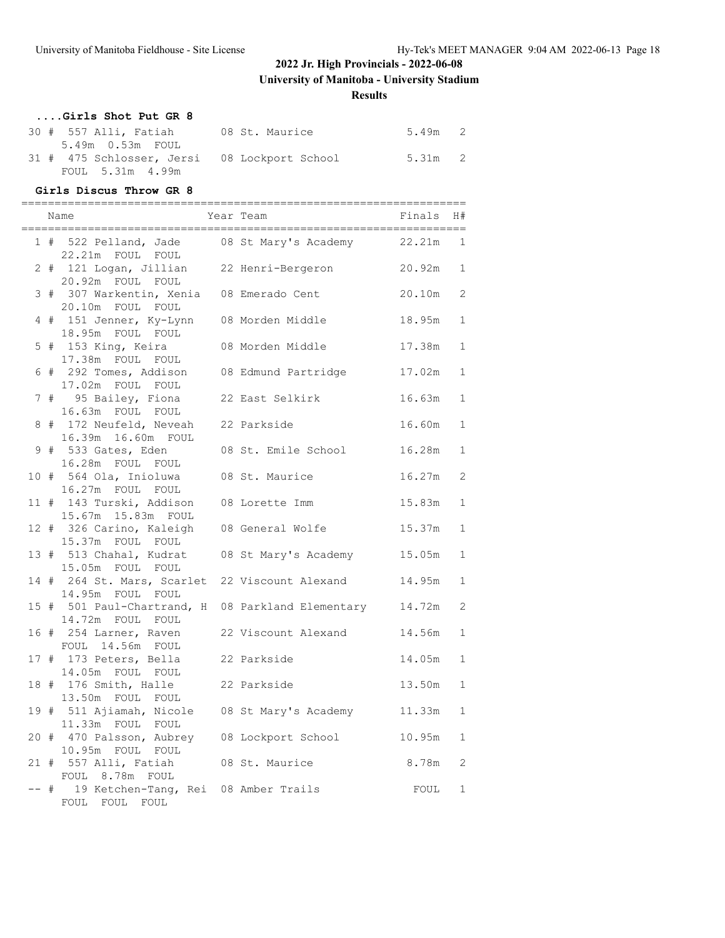**University of Manitoba - University Stadium**

**Results**

# **....Girls Shot Put GR 8**

| 30 # 557 Alli, Fatiah                        | 08 St. Maurice | 5.49m 2 |  |
|----------------------------------------------|----------------|---------|--|
| 5.49m 0.53m FOUL                             |                |         |  |
| 31 # 475 Schlosser, Jersi 08 Lockport School |                | 5.31m 2 |  |
| FOUL 5.31m 4.99m                             |                |         |  |

#### **Girls Discus Throw GR 8**

|      | Name                                                                     | Year Team           | Finals | H#           |
|------|--------------------------------------------------------------------------|---------------------|--------|--------------|
|      | 1 # 522 Pelland, Jade 08 St Mary's Academy<br>22.21m FOUL FOUL           |                     | 22.21m | 1            |
|      | 2 # 121 Logan, Jillian 22 Henri-Bergeron 20.92m<br>20.92m FOUL FOUL      |                     |        | $\mathbf{1}$ |
|      | 3 # 307 Warkentin, Xenia 08 Emerado Cent<br>20.10m FOUL FOUL             |                     | 20.10m | 2            |
|      | 4 # 151 Jenner, Ky-Lynn 08 Morden Middle<br>18.95m FOUL FOUL             |                     | 18.95m | $\mathbf{1}$ |
|      | 5 # 153 King, Keira     08 Morden Middle<br>17.38m FOUL FOUL             |                     | 17.38m | $\mathbf{1}$ |
|      | 6 # 292 Tomes, Addison 08 Edmund Partridge<br>17.02m FOUL FOUL           |                     | 17.02m | $\mathbf{1}$ |
|      | 7 # 95 Bailey, Fiona 22 East Selkirk<br>16.63m FOUL FOUL                 |                     | 16.63m | $\mathbf{1}$ |
|      | 8 # 172 Neufeld, Neveah 22 Parkside<br>16.39m  16.60m  FOUL              |                     | 16.60m | $\mathbf{1}$ |
|      | 9 # 533 Gates, Eden<br>16.28m FOUL FOUL                                  | 08 St. Emile School | 16.28m | $\mathbf{1}$ |
|      | 10 # 564 Ola, Inioluwa 08 St. Maurice<br>16.27m FOUL FOUL                |                     | 16.27m | 2            |
|      | 11 # 143 Turski, Addison 08 Lorette Imm<br>15.67m  15.83m  FOUL          |                     | 15.83m | $\mathbf{1}$ |
|      | 12 # 326 Carino, Kaleigh 08 General Wolfe<br>15.37m FOUL FOUL            |                     | 15.37m | $\mathbf{1}$ |
|      | 13 # 513 Chahal, Kudrat 08 St Mary's Academy<br>15.05m FOUL FOUL         |                     | 15.05m | $\mathbf{1}$ |
|      | 14 # 264 St. Mars, Scarlet 22 Viscount Alexand<br>14.95m FOUL FOUL       |                     | 14.95m | $\mathbf{1}$ |
|      | 15 # 501 Paul-Chartrand, H 08 Parkland Elementary<br>14.72m FOUL FOUL    |                     | 14.72m | 2            |
|      | 16 # 254 Larner, Raven 22 Viscount Alexand<br>FOUL 14.56m FOUL           |                     | 14.56m | $\mathbf{1}$ |
|      | 17 # 173 Peters, Bella 22 Parkside<br>14.05m FOUL FOUL                   |                     | 14.05m | $\mathbf{1}$ |
|      | 18 # 176 Smith, Halle<br>13.50m FOUL FOUL                                | 22 Parkside         | 13.50m | $\mathbf{1}$ |
|      | 19 # 511 Ajiamah, Nicole 08 St Mary's Academy 11.33m<br>11.33m FOUL FOUL |                     |        | $\mathbf{1}$ |
|      | 20 # 470 Palsson, Aubrey 08 Lockport School<br>10.95m FOUL FOUL          |                     | 10.95m | $\mathbf 1$  |
|      | 21 # 557 Alli, Fatiah 08 St. Maurice<br>FOUL 8.78m FOUL                  |                     | 8.78m  | 2            |
| -- # | 19 Ketchen-Tang, Rei 08 Amber Trails<br>FOUL FOUL FOUL                   |                     | FOUL   | $\mathbf{1}$ |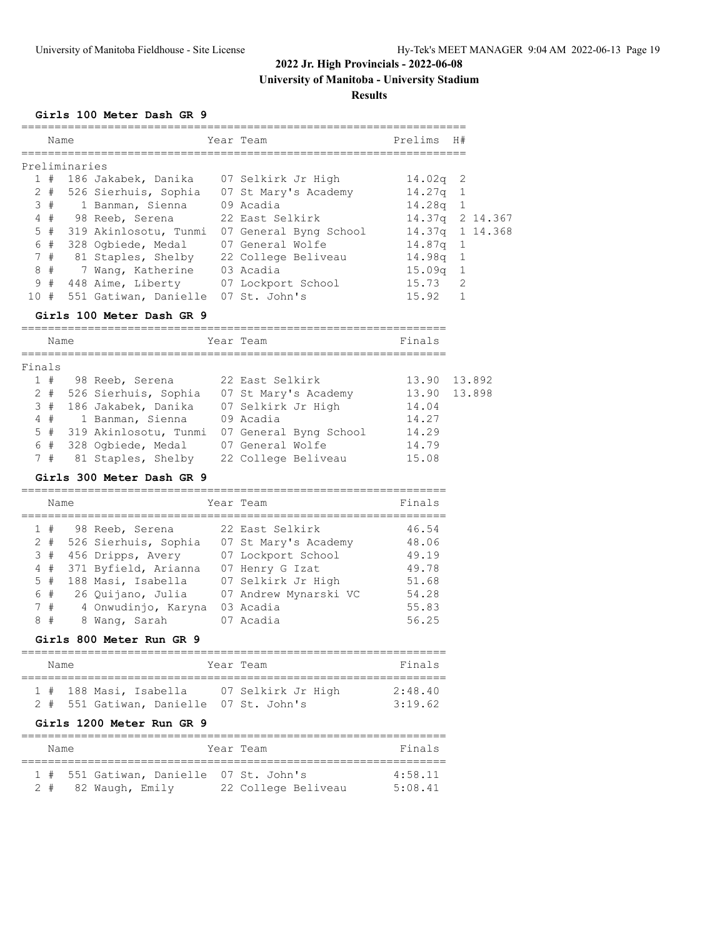**University of Manitoba - University Stadium**

**Results**

# **Girls 100 Meter Dash GR 9**

|               | Name  |  |                       |  | Year Team              | Prelims H#         |                |  |  |  |
|---------------|-------|--|-----------------------|--|------------------------|--------------------|----------------|--|--|--|
| Preliminaries |       |  |                       |  |                        |                    |                |  |  |  |
|               | 1#    |  | 186 Jakabek, Danika   |  | 07 Selkirk Jr High     | $14.02q$ 2         |                |  |  |  |
|               | $2 +$ |  | 526 Sierhuis, Sophia  |  | 07 St Mary's Academy   | 14.27g             |                |  |  |  |
|               | 3#    |  | 1 Banman, Sienna      |  | 09 Acadia              | 14.28g             | $\overline{1}$ |  |  |  |
|               | 4#    |  | 98 Reeb, Serena       |  | 22 East Selkirk        | 14.37q 2 14.367    |                |  |  |  |
|               | 5#    |  | 319 Akinlosotu, Tunmi |  | 07 General Byng School | 14.37q 1 14.368    |                |  |  |  |
|               | 6 #   |  | 328 Ogbiede, Medal    |  | 07 General Wolfe       | $14.87q$ 1         |                |  |  |  |
|               | 7#    |  | 81 Staples, Shelby    |  | 22 College Beliveau    | 14.98a             | $\overline{1}$ |  |  |  |
|               | 8#    |  | 7 Wang, Katherine     |  | 03 Acadia              | 15.09 <sub>q</sub> |                |  |  |  |
|               | 9#    |  | 448 Aime, Liberty     |  | 07 Lockport School     | 15.73              | $\mathcal{L}$  |  |  |  |
| 10#           |       |  | 551 Gatiwan, Danielle |  | 07 St. John's          | 15.92              |                |  |  |  |

#### **Girls 100 Meter Dash GR 9**

| Name   |       |  |                       | Year Team              | Finals |        |
|--------|-------|--|-----------------------|------------------------|--------|--------|
| Finals |       |  |                       |                        |        |        |
|        | 1#    |  | 98 Reeb, Serena       | 22 East Selkirk        | 13.90  | 13.892 |
|        | $2 +$ |  | 526 Sierhuis, Sophia  | 07 St Mary's Academy   | 13.90  | 13.898 |
|        | 3#    |  | 186 Jakabek, Danika   | 07 Selkirk Jr High     | 14.04  |        |
|        | 4#    |  | 1 Banman, Sienna      | 09 Acadia              | 14.27  |        |
|        | 5#    |  | 319 Akinlosotu, Tunmi | 07 General Byng School | 14.29  |        |
|        | 6#    |  | 328 Ogbiede, Medal    | 07 General Wolfe       | 14.79  |        |
|        | 7#    |  | 81 Staples, Shelby    | 22 College Beliveau    | 15.08  |        |

#### **Girls 300 Meter Dash GR 9**

| Name  |  |                      |  | Year Team             | Finals |
|-------|--|----------------------|--|-----------------------|--------|
| 1#    |  | 98 Reeb, Serena      |  | 22 East Selkirk       | 46.54  |
| $2 +$ |  | 526 Sierhuis, Sophia |  | 07 St Mary's Academy  | 48.06  |
| 3#    |  | 456 Dripps, Avery    |  | 07 Lockport School    | 49.19  |
| 4#    |  | 371 Byfield, Arianna |  | 07 Henry G Izat       | 49.78  |
| 5#    |  | 188 Masi, Isabella   |  | 07 Selkirk Jr High    | 51.68  |
| 6 #   |  | 26 Quijano, Julia    |  | 07 Andrew Mynarski VC | 54.28  |
| 7#    |  | 4 Onwudinjo, Karyna  |  | 03 Acadia             | 55.83  |
| 8#    |  | 8 Wang, Sarah        |  | 07 Acadia             | 56.25  |

### **Girls 800 Meter Run GR 9**

| Name |  |                        |                                         |  | Year Team |                    |  |  | Finals  |  |  |
|------|--|------------------------|-----------------------------------------|--|-----------|--------------------|--|--|---------|--|--|
|      |  | 1 # 188 Masi, Isabella |                                         |  |           | 07 Selkirk Jr High |  |  | 2:48.40 |  |  |
|      |  |                        | 2 # 551 Gatiwan, Danielle 07 St. John's |  |           |                    |  |  | 3.1962  |  |  |

#### **Girls 1200 Meter Run GR 9**

| Name |  |  |                                         | Year Team |                     |           |  |
|------|--|--|-----------------------------------------|-----------|---------------------|-----------|--|
|      |  |  | 1 # 551 Gatiwan, Danielle 07 St. John's |           |                     | $4.58$ 11 |  |
|      |  |  | 2 # 82 Waugh, Emily                     |           | 22 College Beliveau | 5:08.41   |  |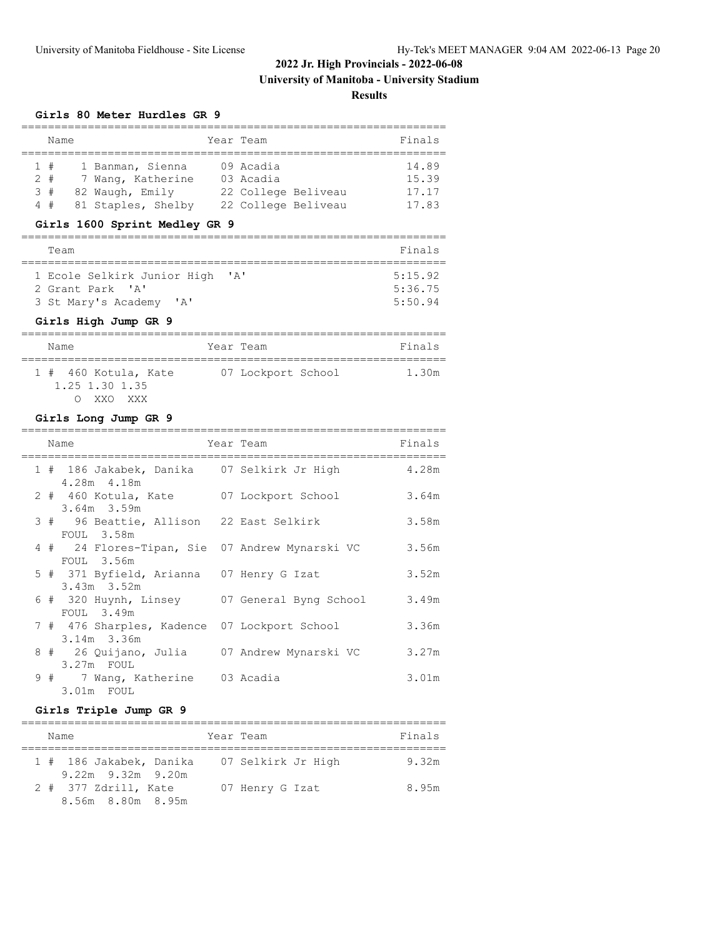**University of Manitoba - University Stadium**

**Results**

#### **Girls 80 Meter Hurdles GR 9**

|       | Name |                    | Year Team           | Finals |
|-------|------|--------------------|---------------------|--------|
|       | 1#   | 1 Banman, Sienna   | 09 Acadia           | 14.89  |
| $2 +$ |      | 7 Wang, Katherine  | 03 Acadia           | 15.39  |
| 3#    |      | 82 Waugh, Emily    | 22 College Beliveau | 17.17  |
|       | 4#   | 81 Staples, Shelby | 22 College Beliveau | 17.83  |

# **Girls 1600 Sprint Medley GR 9**

| Finals  |
|---------|
|         |
| 5:15.92 |
| 5:36.75 |
| 5:50.94 |
|         |

#### **Girls High Jump GR 9**

| Name                                              | Year Team          | Finals |
|---------------------------------------------------|--------------------|--------|
| 1 # 460 Kotula, Kate<br>1.25 1.30 1.35<br>XXO XXX | 07 Lockport School | 1.30m  |

#### **Girls Long Jump GR 9**

|  | Name                                                                       | Year Team | Finals |
|--|----------------------------------------------------------------------------|-----------|--------|
|  | 1 # 186 Jakabek, Danika 07 Selkirk Jr High<br>4.28m 4.18m                  |           | 4.28m  |
|  | 2 # 460 Kotula, Kate 07 Lockport School<br>$3.64m$ $3.59m$                 |           | 3.64m  |
|  | 3 # 96 Beattie, Allison 22 East Selkirk                                    |           | 3.58m  |
|  | FOUL 3.58m<br>4 # 24 Flores-Tipan, Sie 07 Andrew Mynarski VC<br>FOUL 3.56m |           | 3.56m  |
|  | 5 # 371 Byfield, Arianna 07 Henry G Izat<br>$3.43m$ $3.52m$                |           | 3.52m  |
|  | 6 # 320 Huynh, Linsey 07 General Byng School<br>FOUL 3.49m                 |           | 3.49m  |
|  | 7 # 476 Sharples, Kadence 07 Lockport School<br>3.14m 3.36m                |           | 3.36m  |
|  | 8 # 26 Quijano, Julia 07 Andrew Mynarski VC<br>3.27m FOUL                  |           | 3.27m  |
|  | 9 # 7 Wang, Katherine 03 Acadia<br>3.01m FOUL                              |           | 3.01m  |

### **Girls Triple Jump GR 9**

| Name                                               | Year Team          | Finals |
|----------------------------------------------------|--------------------|--------|
| 1 # 186 Jakabek, Danika<br>$9.22m$ $9.32m$ $9.20m$ | 07 Selkirk Jr High | 9.32m  |
| 2 # 377 Zdrill, Kate<br>8.56m 8.80m 8.95m          | 07 Henry G Izat    | 8.95m  |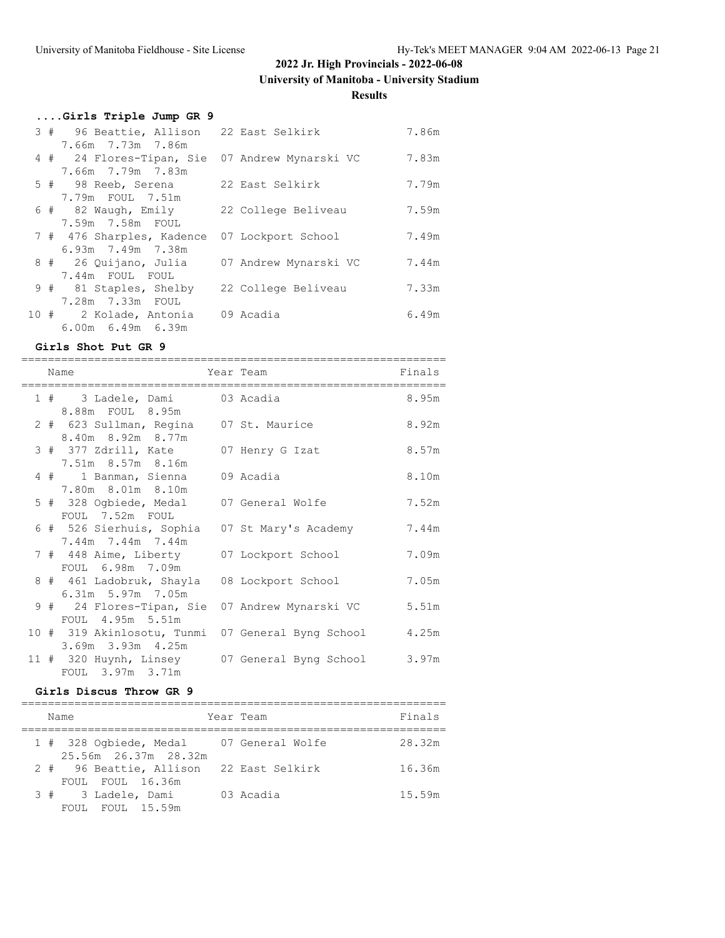**University of Manitoba - University Stadium**

### **Results**

|  | Girls Triple Jump GR 9                         |                       |       |
|--|------------------------------------------------|-----------------------|-------|
|  | 3 # 96 Beattie, Allison 22 East Selkirk        |                       | 7.86m |
|  | 7.66m 7.73m 7.86m                              |                       |       |
|  | 4 # 24 Flores-Tipan, Sie 07 Andrew Mynarski VC |                       | 7.83m |
|  | 7.66m 7.79m 7.83m                              |                       |       |
|  | 5 # 98 Reeb, Serena                            | 22 East Selkirk       | 7.79m |
|  | 7.79m FOUL 7.51m                               |                       |       |
|  | 6 # 82 Waugh, Emily                            | 22 College Beliveau   | 7.59m |
|  | 7.59m 7.58m FOUL                               |                       |       |
|  | 7 # 476 Sharples, Kadence 07 Lockport School   |                       | 7.49m |
|  | 6.93m 7.49m 7.38m                              |                       |       |
|  | 8 # 26 Quijano, Julia                          | 07 Andrew Mynarski VC | 7.44m |
|  | 7.44m FOUL FOUL                                |                       |       |
|  | 9 # 81 Staples, Shelby 22 College Beliveau     |                       | 7.33m |
|  | 7.28m  7.33m  FOUL                             |                       |       |
|  | 10 # 2 Kolade, Antonia 09 Acadia               |                       | 6.49m |
|  | $6.00m$ $6.49m$ $6.39m$                        |                       |       |

#### **Girls Shot Put GR 9**

|  | Name                                                               | Year Team                                               | Finals |
|--|--------------------------------------------------------------------|---------------------------------------------------------|--------|
|  | 1 # 3 Ladele, Dami 03 Acadia<br>8.88m FOUL 8.95m                   |                                                         | 8.95m  |
|  | 2 # 623 Sullman, Regina 07 St. Maurice<br>8.40m 8.92m 8.77m        |                                                         | 8.92m  |
|  | 3 # 377 Zdrill, Kate 07 Henry G Izat<br>7.51m 8.57m 8.16m          |                                                         | 8.57m  |
|  | 4 # 1 Banman, Sienna 09 Acadia<br>7.80m 8.01m 8.10m                |                                                         | 8.10m  |
|  | 5 # 328 Ogbiede, Medal 07 General Wolfe<br>FOUL 7.52m FOUL         |                                                         | 7.52m  |
|  | 6 # 526 Sierhuis, Sophia 07 St Mary's Academy<br>7.44m 7.44m 7.44m |                                                         | 7.44m  |
|  | 7 # 448 Aime, Liberty 07 Lockport School<br>FOUL 6.98m 7.09m       |                                                         | 7.09m  |
|  | 8 # 461 Ladobruk, Shayla 08 Lockport School<br>$6.31m$ 5.97m 7.05m |                                                         | 7.05m  |
|  | FOUL 4.95m 5.51m                                                   | 9 # 24 Flores-Tipan, Sie 07 Andrew Mynarski VC          | 5.51m  |
|  | 3.69m 3.93m 4.25m                                                  | 10 # 319 Akinlosotu, Tunmi 07 General Byng School 4.25m |        |
|  | FOUL 3.97m 3.71m                                                   | 11 # 320 Huynh, Linsey 07 General Byng School           | 3.97m  |

#### **Girls Discus Throw GR 9**

| Name |        |                                   | Year Team            | Finals                                  |        |
|------|--------|-----------------------------------|----------------------|-----------------------------------------|--------|
|      |        |                                   | 25.56m 26.37m 28.32m | 1 # 328 Ogbiede, Medal 07 General Wolfe | 28.32m |
|      |        | FOUL FOUL 16.36m                  |                      | 2 # 96 Beattie, Allison 22 East Selkirk | 16.36m |
|      | FOIIL. | 3 # 3 Ladele, Dami<br>FOUL 15.59m |                      | 03 Acadia                               | 15.59m |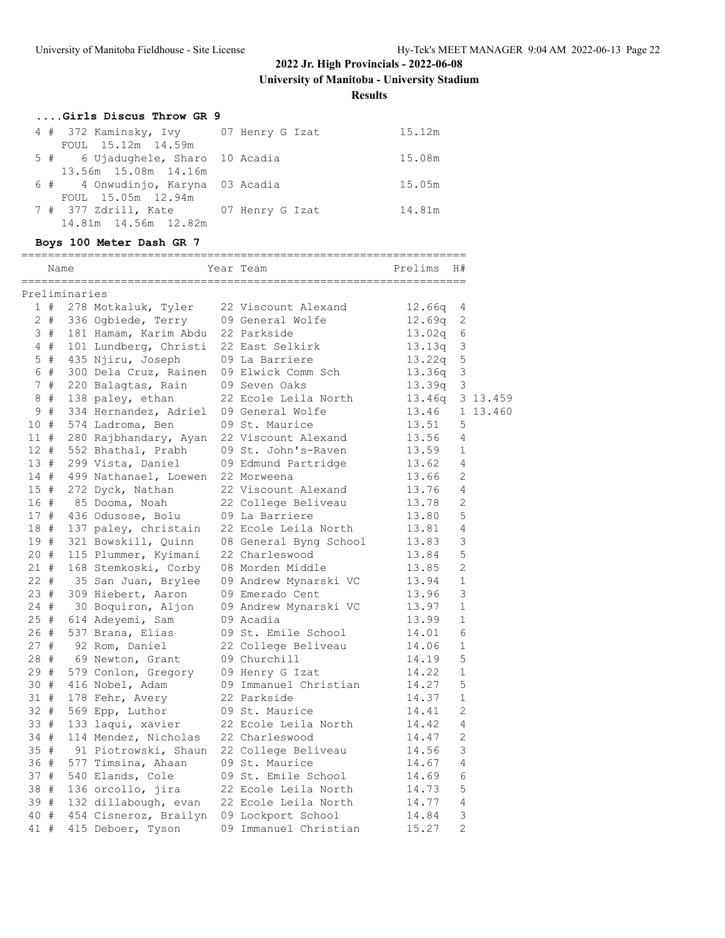**University of Manitoba - University Stadium**

**Results**

| Girls Discus Throw GR 9               |        |
|---------------------------------------|--------|
| 4 # 372 Kaminsky, Ivy 07 Henry G Izat | 15.12m |
| FOUL 15.12m 14.59m                    |        |
| 5 # 6 Ujadughele, Sharo 10 Acadia     | 15.08m |
| 13.56m 15.08m 14.16m                  |        |
| 6 # 4 Onwudinjo, Karyna 03 Acadia     | 15.05m |
| FOUL 15.05m 12.94m                    |        |
| 7 # 377 Zdrill, Kate 67 Henry G Izat  | 14.81m |
| 14.81m 14.56m 12.82m                  |        |

# **Boys 100 Meter Dash GR 7**

|        |       | Name          |                       | Year Team              | Prelims | H#             |          |
|--------|-------|---------------|-----------------------|------------------------|---------|----------------|----------|
|        |       | Preliminaries |                       |                        |         |                |          |
|        | 1#    |               | 278 Motkaluk, Tyler   | 22 Viscount Alexand    | 12.66q  | 4              |          |
|        | 2#    |               | 336 Ogbiede, Terry    | 09 General Wolfe       | 12.69q  | 2              |          |
|        | 3#    |               | 181 Hamam, Karim Abdu | 22 Parkside            | 13.02q  | 6              |          |
|        | 4#    |               | 101 Lundberg, Christi | 22 East Selkirk        | 13.13q  | 3              |          |
|        | $5$ # |               | 435 Njiru, Joseph     | 09 La Barriere         | 13.22q  | 5              |          |
|        | 6#    |               | 300 Dela Cruz, Rainen | 09 Elwick Comm Sch     | 13.36q  | 3              |          |
|        | 7#    |               | 220 Balagtas, Rain    | 09 Seven Oaks          | 13.39q  | 3              |          |
| 8      | #     |               | 138 paley, ethan      | 22 Ecole Leila North   | 13.46q  |                | 3 13.459 |
| 9      | #     |               | 334 Hernandez, Adriel | 09 General Wolfe       | 13.46   |                | 1 13.460 |
| 10     | #     |               | 574 Ladroma, Ben      | 09 St. Maurice         | 13.51   | 5              |          |
| 11#    |       |               | 280 Rajbhandary, Ayan | 22 Viscount Alexand    | 13.56   | 4              |          |
| $12 +$ |       |               | 552 Bhathal, Prabh    | 09 St. John's-Raven    | 13.59   | $\mathbf 1$    |          |
| 13#    |       |               | 299 Vista, Daniel     | 09 Edmund Partridge    | 13.62   | 4              |          |
| 14#    |       |               | 499 Nathanael, Loewen | 22 Morweena            | 13.66   | 2              |          |
| 15#    |       |               | 272 Dyck, Nathan      | 22 Viscount Alexand    | 13.76   | 4              |          |
| 16 #   |       |               | 85 Dooma, Noah        | 22 College Beliveau    | 13.78   | 2              |          |
| 17#    |       |               | 436 Odusose, Bolu     | 09 La Barriere         | 13.80   | 5              |          |
| 18 #   |       |               | 137 paley, christain  | 22 Ecole Leila North   | 13.81   | 4              |          |
| 19#    |       |               | 321 Bowskill, Quinn   | 08 General Byng School | 13.83   | 3              |          |
| 20#    |       |               | 115 Plummer, Kyimani  | 22 Charleswood         | 13.84   | 5              |          |
| 21#    |       |               | 168 Stemkoski, Corby  | 08 Morden Middle       | 13.85   | 2              |          |
| $22 +$ |       |               | 35 San Juan, Brylee   | 09 Andrew Mynarski VC  | 13.94   | $\mathbf 1$    |          |
| 23#    |       |               | 309 Hiebert, Aaron    | 09 Emerado Cent        | 13.96   | 3              |          |
| 24#    |       |               | 30 Boquiron, Aljon    | 09 Andrew Mynarski VC  | 13.97   | $\mathbf 1$    |          |
| 25#    |       |               | 614 Adeyemi, Sam      | 09 Acadia              | 13.99   | $\mathbf{1}$   |          |
| 26#    |       |               | 537 Brana, Elias      | 09 St. Emile School    | 14.01   | 6              |          |
| 27#    |       |               | 92 Rom, Daniel        | 22 College Beliveau    | 14.06   | $\mathbf 1$    |          |
| 28 #   |       |               | 69 Newton, Grant      | 09 Churchill           | 14.19   | 5              |          |
| 29#    |       |               | 579 Conlon, Gregory   | 09 Henry G Izat        | 14.22   | $\mathbf{1}$   |          |
| 30 #   |       |               | 416 Nobel, Adam       | 09 Immanuel Christian  | 14.27   | 5              |          |
| 31 #   |       |               | 178 Fehr, Avery       | 22 Parkside            | 14.37   | $\mathbf{1}$   |          |
| $32 +$ |       |               | 569 Epp, Luthor       | 09 St. Maurice         | 14.41   | $\overline{2}$ |          |
| 33 #   |       |               | 133 laqui, xavier     | 22 Ecole Leila North   | 14.42   | 4              |          |
| 34#    |       |               | 114 Mendez, Nicholas  | 22 Charleswood         | 14.47   | 2              |          |
| 35#    |       |               | 91 Piotrowski, Shaun  | 22 College Beliveau    | 14.56   | 3              |          |
| 36 #   |       |               | 577 Timsina, Ahaan    | 09 St. Maurice         | 14.67   | 4              |          |
| 37 #   |       |               | 540 Elands, Cole      | 09 St. Emile School    | 14.69   | 6              |          |
| 38 #   |       |               | 136 orcollo, jira     | 22 Ecole Leila North   | 14.73   | 5              |          |
| 39#    |       |               | 132 dillabough, evan  | 22 Ecole Leila North   | 14.77   | 4              |          |
| 40     | #     |               | 454 Cisneroz, Brailyn | 09 Lockport School     | 14.84   | 3              |          |
| 41     | #     |               | 415 Deboer, Tyson     | 09 Immanuel Christian  | 15.27   | $\overline{2}$ |          |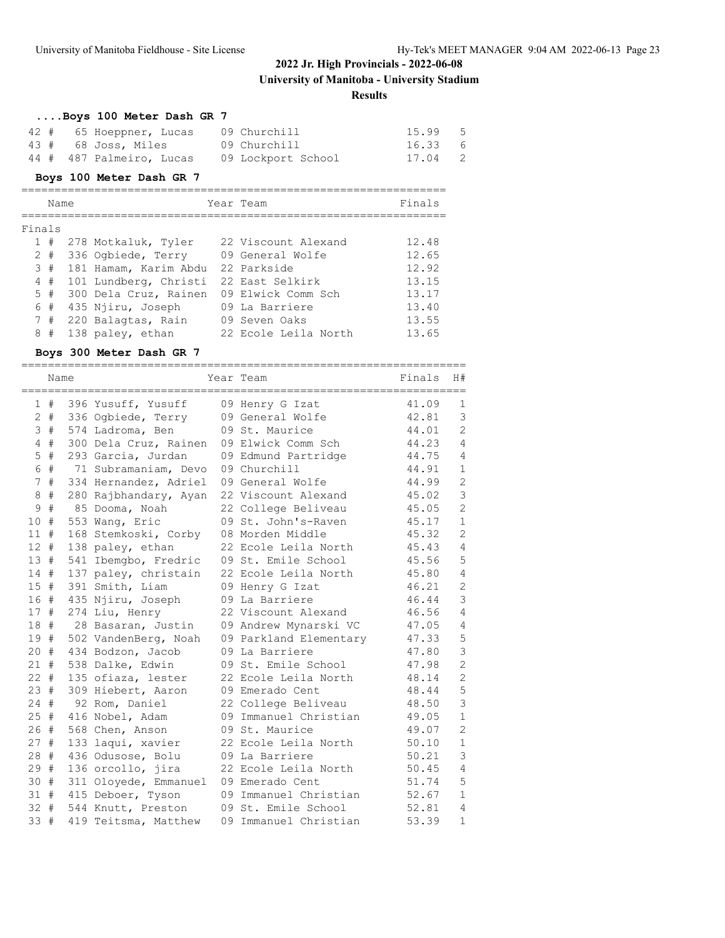**University of Manitoba - University Stadium**

**Results**

|  | Boys 100 Meter Dash GR 7 |  |                    |       |                            |
|--|--------------------------|--|--------------------|-------|----------------------------|
|  | 42 # 65 Hoeppner, Lucas  |  | 09 Churchill       | 15.99 | - 5                        |
|  | 43 # 68 Joss, Miles      |  | 09 Churchill       | 16.33 | - 6                        |
|  | 44 # 487 Palmeiro, Lucas |  | 09 Lockport School | 17.04 | $\overline{\phantom{0}}^2$ |

### **Boys 100 Meter Dash GR 7**

|              | Name |                       | Year Team            | Finals |
|--------------|------|-----------------------|----------------------|--------|
| Finals       |      |                       |                      |        |
| $\mathbf{1}$ | #    | 278 Motkaluk, Tyler   | 22 Viscount Alexand  | 12.48  |
| 2            | #    | 336 Oqbiede, Terry    | 09 General Wolfe     | 12.65  |
|              | 3#   | 181 Hamam, Karim Abdu | 22 Parkside          | 12.92  |
|              | 4#   | 101 Lundberg, Christi | 22 East Selkirk      | 13.15  |
|              | 5#   | 300 Dela Cruz, Rainen | 09 Elwick Comm Sch   | 13.17  |
|              | 6#   | 435 Njiru, Joseph     | 09 La Barriere       | 13.40  |
|              | 7#   | 220 Balagtas, Rain    | 09 Seven Oaks        | 13.55  |
| 8            | #    | 138 paley, ethan      | 22 Ecole Leila North | 13.65  |

#### **Boys 300 Meter Dash GR 7**

|               | Name  |                                          | Year Team              | Finals | H#             |
|---------------|-------|------------------------------------------|------------------------|--------|----------------|
|               |       |                                          |                        |        |                |
|               | 1#    | 396 Yusuff, Yusuff                       | 09 Henry G Izat        | 41.09  | $\mathbf{1}$   |
|               | $2 +$ | 336 Ogbiede, Terry                       | 09 General Wolfe       | 42.81  | 3              |
| $\mathcal{S}$ | #     | 574 Ladroma, Ben                         | 09 St. Maurice         | 44.01  | $\overline{c}$ |
|               | 4#    | 300 Dela Cruz, Rainen 09 Elwick Comm Sch |                        | 44.23  | $\overline{4}$ |
| 5             | $\#$  | 293 Garcia, Jurdan                       | 09 Edmund Partridge    | 44.75  | $\overline{4}$ |
| $\epsilon$    | $\#$  | 71 Subramaniam, Devo 09 Churchill        |                        | 44.91  | $\mathbf{1}$   |
|               | 7#    | 334 Hernandez, Adriel 09 General Wolfe   |                        | 44.99  | $\overline{c}$ |
| 8             | #     | 280 Rajbhandary, Ayan                    | 22 Viscount Alexand    | 45.02  | 3              |
| 9             | $\#$  | 85 Dooma, Noah                           | 22 College Beliveau    | 45.05  | $\overline{c}$ |
| 10#           |       | 553 Wang, Eric                           | 09 St. John's-Raven    | 45.17  | $\mathbf{1}$   |
| $11$ #        |       | 168 Stemkoski, Corby                     | 08 Morden Middle       | 45.32  | $\overline{2}$ |
| 12#           |       | 138 paley, ethan                         | 22 Ecole Leila North   | 45.43  | $\overline{4}$ |
| 13 #          |       | 541 Ibemgbo, Fredric                     | 09 St. Emile School    | 45.56  | 5              |
| 14#           |       | 137 paley, christain                     | 22 Ecole Leila North   | 45.80  | $\overline{4}$ |
| 15#           |       | 391 Smith, Liam                          | 09 Henry G Izat        | 46.21  | $\mathbf{2}$   |
| 16 #          |       | 435 Njiru, Joseph                        | 09 La Barriere         | 46.44  | 3              |
| 17#           |       | 274 Liu, Henry                           | 22 Viscount Alexand    | 46.56  | $\overline{4}$ |
| 18#           |       | 28 Basaran, Justin                       | 09 Andrew Mynarski VC  | 47.05  | 4              |
| 19 #          |       | 502 VandenBerg, Noah                     | 09 Parkland Elementary | 47.33  | 5              |
| $20 +$        |       | 434 Bodzon, Jacob                        | 09 La Barriere         | 47.80  | 3              |
| 21#           |       | 538 Dalke, Edwin                         | 09 St. Emile School    | 47.98  | $\overline{c}$ |
| $22 +$        |       | 135 ofiaza, lester                       | 22 Ecole Leila North   | 48.14  | $\overline{c}$ |
| 23#           |       | 309 Hiebert, Aaron                       | 09 Emerado Cent        | 48.44  | 5              |
| $24 +$        |       | 92 Rom, Daniel                           | 22 College Beliveau    | 48.50  | 3              |
| 25#           |       | 416 Nobel, Adam                          | 09 Immanuel Christian  | 49.05  | $\mathbf{1}$   |
| 26#           |       | 568 Chen, Anson                          | 09 St. Maurice         | 49.07  | $\mathbf{2}$   |
| 27#           |       | 133 laqui, xavier                        | 22 Ecole Leila North   | 50.10  | $1\,$          |
| 28#           |       | 436 Odusose, Bolu                        | 09 La Barriere         | 50.21  | 3              |
| 29#           |       | 136 orcollo, jira                        | 22 Ecole Leila North   | 50.45  | $\overline{4}$ |
| 30 #          |       | 311 Oloyede, Emmanuel                    | 09 Emerado Cent        | 51.74  | 5              |
| 31#           |       | 415 Deboer, Tyson                        | 09 Immanuel Christian  | 52.67  | $\mathbf{1}$   |
| $32 +$        |       | 544 Knutt, Preston                       | 09 St. Emile School    | 52.81  | $\overline{4}$ |
| 33#           |       | 419 Teitsma, Matthew                     | 09 Immanuel Christian  | 53.39  | $\mathbf{1}$   |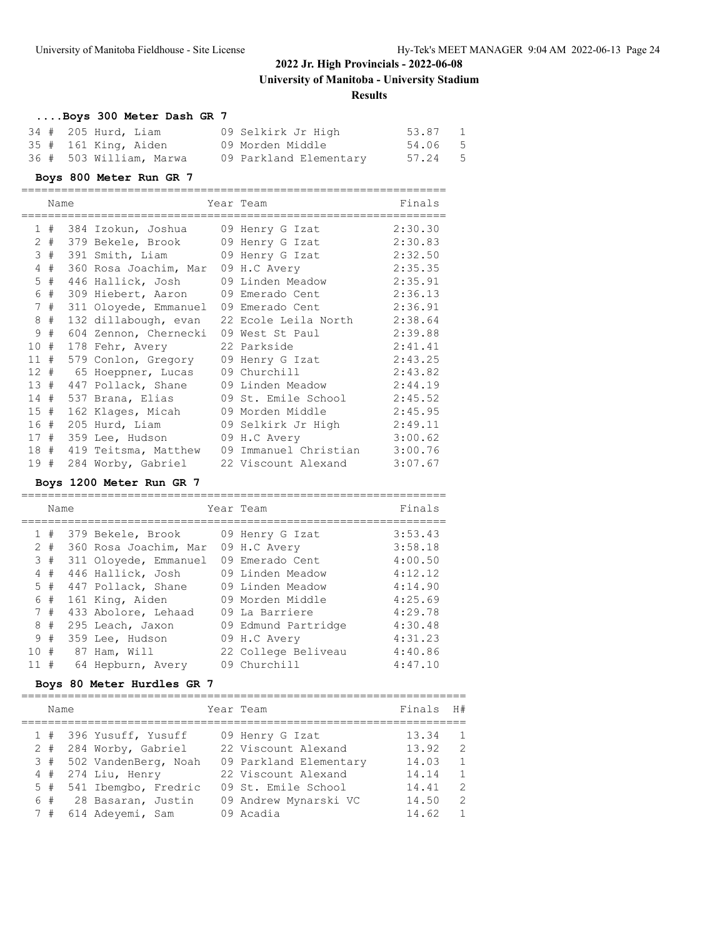#### **Results**

### **....Boys 300 Meter Dash GR 7** 34 # 205 Hurd, Liam 09 Selkirk Jr High 53.87 1 35 # 161 King, Aiden 09 Morden Middle 54.06 5 36 # 503 William, Marwa 09 Parkland Elementary 57.24 5

#### **Boys 800 Meter Run GR 7**

|     | Name  |                                        | Year Team                                       | Finals  |
|-----|-------|----------------------------------------|-------------------------------------------------|---------|
|     |       | 1 # 384 Izokun, Joshua 09 Henry G Izat |                                                 | 2:30.30 |
|     |       |                                        | 2 # 379 Bekele, Brook 09 Henry G Izat           | 2:30.83 |
|     | 3#    | 391 Smith, Liam 09 Henry G Izat        |                                                 | 2:32.50 |
| 4   | #     | 360 Rosa Joachim, Mar 09 H.C Avery     |                                                 | 2:35.35 |
|     | $5$ # | 446 Hallick, Josh 09 Linden Meadow     |                                                 | 2:35.91 |
|     | 6#    | 309 Hiebert, Aaron 09 Emerado Cent     |                                                 | 2:36.13 |
|     | 7#    | 311 Oloyede, Emmanuel 09 Emerado Cent  |                                                 | 2:36.91 |
| 8   | #     | 132 dillabough, evan                   | 22 Ecole Leila North                            | 2:38.64 |
| 9   | #     | 604 Zennon, Chernecki                  | 09 West St Paul                                 | 2:39.88 |
| 10# |       | 178 Fehr, Avery                        | 22 Parkside                                     | 2:41.41 |
|     | 11#   | 579 Conlon, Gregory                    | 09 Henry G Izat                                 | 2:43.25 |
|     | 12#   | 65 Hoeppner, Lucas                     | 09 Churchill                                    | 2:43.82 |
|     | 13#   | 447 Pollack, Shane 09 Linden Meadow    |                                                 | 2:44.19 |
|     | 14#   | 537 Brana, Elias                       | 09 St. Emile School                             | 2:45.52 |
|     | 15#   | 162 Klages, Micah                      | 09 Morden Middle                                | 2:45.95 |
|     | 16 #  |                                        | 205 Hurd, Liam (09 Selkirk Jr High              | 2:49.11 |
|     | 17#   | 359 Lee, Hudson                        | 09 H.C Avery                                    | 3:00.62 |
|     |       |                                        | 18 # 419 Teitsma, Matthew 09 Immanuel Christian | 3:00.76 |
|     | 19#   | 284 Worby, Gabriel                     | 22 Viscount Alexand                             | 3:07.67 |

#### **Boys 1200 Meter Run GR 7**

|    | Name  |  | Year Team             | Finals              |         |
|----|-------|--|-----------------------|---------------------|---------|
|    |       |  |                       |                     |         |
|    | #     |  | 379 Bekele, Brook     | 09 Henry G Izat     | 3:53.43 |
|    | $2 +$ |  | 360 Rosa Joachim, Mar | 09 H.C Avery        | 3:58.18 |
|    | 3#    |  | 311 Olovede, Emmanuel | 09 Emerado Cent     | 4:00.50 |
| 4  | #     |  | 446 Hallick, Josh     | 09 Linden Meadow    | 4:12.12 |
|    | 5#    |  | 447 Pollack, Shane    | 09 Linden Meadow    | 4:14.90 |
|    | 6 #   |  | 161 King, Aiden       | 09 Morden Middle    | 4:25.69 |
|    | 7#    |  | 433 Abolore, Lehaad   | 09 La Barriere      | 4:29.78 |
| 8  | #     |  | 295 Leach, Jaxon      | 09 Edmund Partridge | 4:30.48 |
| 9  | #     |  | 359 Lee, Hudson       | 09 H.C Avery        | 4:31.23 |
| 10 | #     |  | 87 Ham, Will          | 22 College Beliveau | 4:40.86 |
| 11 | #     |  | 64 Hepburn, Avery     | 09 Churchill        | 4:47.10 |

#### **Boys 80 Meter Hurdles GR 7**

| Name |                          | Year Team              | Finals | H#             |
|------|--------------------------|------------------------|--------|----------------|
|      | 1 # 396 Yusuff, Yusuff   | 09 Henry G Izat        | 13.34  | $\overline{1}$ |
|      | 2 # 284 Worby, Gabriel   | 22 Viscount Alexand    | 13.92  | $\overline{2}$ |
|      | 3 # 502 VandenBerg, Noah | 09 Parkland Elementary | 14.03  | $\overline{1}$ |
|      | $4$ # 274 Liu, Henry     | 22 Viscount Alexand    | 14.14  | $\overline{1}$ |
|      | 5 # 541 Ibemgbo, Fredric | 09 St. Emile School    | 14.41  | 2              |
|      | 6 # 28 Basaran, Justin   | 09 Andrew Mynarski VC  | 14.50  | 2              |
|      | 7 # 614 Adeyemi, Sam     | 09 Acadia              | 14.62  | $\overline{1}$ |
|      |                          |                        |        |                |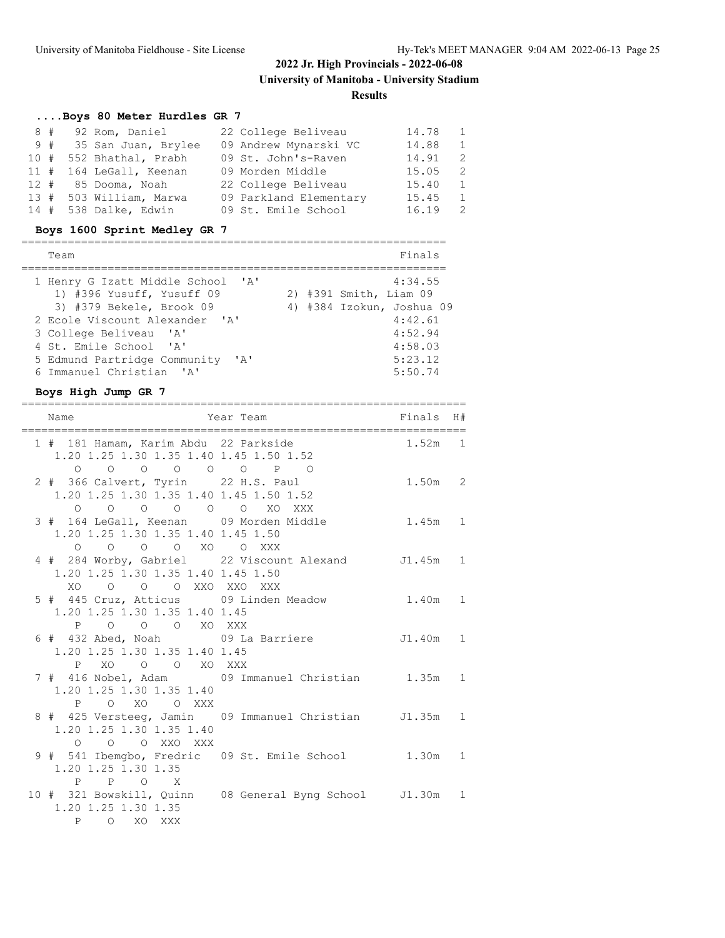================================================================

# **....Boys 80 Meter Hurdles GR 7**

| 8# |    |                                                                                                                                                                        | 14.78                                                                                                                                                           | $\mathbf{1}$ |
|----|----|------------------------------------------------------------------------------------------------------------------------------------------------------------------------|-----------------------------------------------------------------------------------------------------------------------------------------------------------------|--------------|
|    |    |                                                                                                                                                                        | 14.88                                                                                                                                                           | 1            |
|    |    |                                                                                                                                                                        | 14.91                                                                                                                                                           | -2           |
|    |    |                                                                                                                                                                        | 15.05                                                                                                                                                           | 2            |
|    |    |                                                                                                                                                                        | 15.40                                                                                                                                                           | $\mathbf{1}$ |
|    |    |                                                                                                                                                                        | 15.45                                                                                                                                                           | 1            |
|    |    |                                                                                                                                                                        | 16.19                                                                                                                                                           | -2           |
|    | 9# | 92 Rom, Daniel<br>35 San Juan, Brylee<br>10 # 552 Bhathal, Prabh<br>11 # 164 LeGall, Keenan<br>12 # 85 Dooma, Noah<br>13 # 503 William, Marwa<br>14 # 538 Dalke, Edwin | 22 College Beliveau<br>09 Andrew Mynarski VC<br>09 St. John's-Raven<br>09 Morden Middle<br>22 College Beliveau<br>09 Parkland Elementary<br>09 St. Emile School |              |

### **Boys 1600 Sprint Medley GR 7**

| Team                                                                                       |  | Finals                                                         |
|--------------------------------------------------------------------------------------------|--|----------------------------------------------------------------|
| 1 Henry G Izatt Middle School 'A'<br>1) #396 Yusuff, Yusuff 09<br>3) #379 Bekele, Brook 09 |  | 4:34.55<br>2) #391 Smith, Liam 09<br>4) #384 Izokun, Joshua 09 |
| 2 Ecole Viscount Alexander 'A'                                                             |  | 4:42.61                                                        |
| 3 College Beliveau 'A'                                                                     |  | 4:52.94                                                        |
| 4 St. Emile School 'A'                                                                     |  | 4:58.03                                                        |
| 5 Edmund Partridge Community 'A'<br>6 Immanuel Christian 'A'                               |  | 5:23.12<br>5:50.74                                             |

### **Boys High Jump GR 7**

| ===========<br>Name                     | ===========<br>Year Team                                 | Finals H#  |  |
|-----------------------------------------|----------------------------------------------------------|------------|--|
|                                         |                                                          |            |  |
| 1 # 181 Hamam, Karim Abdu 22 Parkside   |                                                          | $1.52m$ 1  |  |
| 1.20 1.25 1.30 1.35 1.40 1.45 1.50 1.52 |                                                          |            |  |
|                                         |                                                          |            |  |
| 2 # 366 Calvert, Tyrin 22 H.S. Paul     |                                                          | $1.50m$ 2  |  |
| 1.20 1.25 1.30 1.35 1.40 1.45 1.50 1.52 |                                                          |            |  |
| 0 0 0 0 0 0 XO XXX                      |                                                          |            |  |
| 3 # 164 LeGall, Keenan 09 Morden Middle |                                                          | 1.45m 1    |  |
| 1.20 1.25 1.30 1.35 1.40 1.45 1.50      |                                                          |            |  |
| 0 0 0 0 XO 0 XXX                        |                                                          |            |  |
|                                         | 4 # 284 Worby, Gabriel 22 Viscount Alexand J1.45m 1      |            |  |
| 1.20 1.25 1.30 1.35 1.40 1.45 1.50      |                                                          |            |  |
| XO O O O XXO XXO XXX                    |                                                          |            |  |
|                                         | 5 # 445 Cruz, Atticus 09 Linden Meadow 1.40m 1           |            |  |
| 1.20 1.25 1.30 1.35 1.40 1.45           |                                                          |            |  |
| P O O O XO XXX                          |                                                          |            |  |
| 6 # 432 Abed, Noah 09 La Barriere       |                                                          | $J1.40m$ 1 |  |
| 1.20 1.25 1.30 1.35 1.40 1.45           |                                                          |            |  |
| P XO O O XO XXX                         |                                                          |            |  |
|                                         | 7 # 416 Nobel, Adam 09 Immanuel Christian 1.35m 1        |            |  |
| 1.20 1.25 1.30 1.35 1.40                |                                                          |            |  |
| O XO O XXX<br>$\mathbf{P}$              |                                                          |            |  |
|                                         | 8 # 425 Versteeg, Jamin 09 Immanuel Christian J1.35m 1   |            |  |
| 1.20 1.25 1.30 1.35 1.40                |                                                          |            |  |
| O O O XXO XXX                           |                                                          |            |  |
|                                         | 9 # 541 Ibemgbo, Fredric 09 St. Emile School 1.30m 1     |            |  |
| 1.20 1.25 1.30 1.35                     |                                                          |            |  |
| P P O X                                 |                                                          |            |  |
|                                         | 10 # 321 Bowskill, Quinn 08 General Byng School J1.30m 1 |            |  |
| 1.20 1.25 1.30 1.35                     |                                                          |            |  |
| P O XO XXX                              |                                                          |            |  |
|                                         |                                                          |            |  |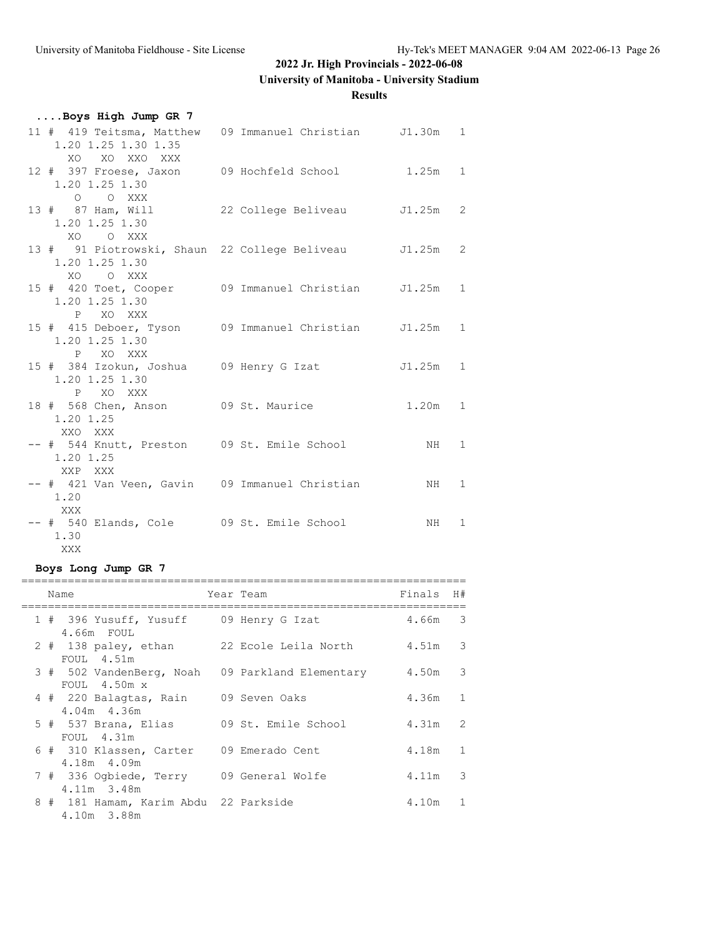# **University of Manitoba - University Stadium**

**Results**

| Boys High Jump GR 7                                                                 |                            |            |  |
|-------------------------------------------------------------------------------------|----------------------------|------------|--|
| 11 # 419 Teitsma, Matthew 09 Immanuel Christian J1.30m 1<br>1.20 1.25 1.30 1.35     |                            |            |  |
| XO XO XXO XXX<br>12 # 397 Froese, Jaxon                                             | 09 Hochfeld School 1.25m 1 |            |  |
| 1.20 1.25 1.30<br>O O XXX<br>13 # 87 Ham, Will 22 College Beliveau J1.25m 2         |                            |            |  |
| 1.20 1.25 1.30<br>XO OXXX                                                           |                            |            |  |
| 13 # 91 Piotrowski, Shaun 22 College Beliveau J1.25m 2<br>1.20 1.25 1.30            |                            |            |  |
| XO OXXX<br>15 # 420 Toet, Cooper 09 Immanuel Christian J1.25m 1<br>1.20 1.25 1.30   |                            |            |  |
| P XO XXX<br>15 # 415 Deboer, Tyson 09 Immanuel Christian J1.25m 1<br>1.20 1.25 1.30 |                            |            |  |
| P XO XXX<br>15 # 384 Izokun, Joshua 09 Henry G Izat<br>1.20 1.25 1.30               |                            | $J1.25m$ 1 |  |
| P XO XXX<br>18 # 568 Chen, Anson 09 St. Maurice<br>1.20 1.25                        |                            | $1.20m$ 1  |  |
| XXO XXX<br>-- # 544 Knutt, Preston 09 St. Emile School<br>1.20 1.25                 |                            | NH 1       |  |
| XXP XXX<br>-- # 421 Van Veen, Gavin 09 Immanuel Christian<br>1.20                   |                            | NH 1       |  |
| XXX<br>-- # 540 Elands, Cole 09 St. Emile School<br>1.30                            |                            | NH 1       |  |
| XXX                                                                                 |                            |            |  |

# **Boys Long Jump GR 7**

|  | Name                                                                      | Year Team              | Finals H# |              |
|--|---------------------------------------------------------------------------|------------------------|-----------|--------------|
|  | 1 # 396 Yusuff, Yusuff 09 Henry G Izat<br>4.66m FOUL                      |                        | 4.66m 3   |              |
|  | 2 # 138 paley, ethan 22 Ecole Leila North<br>FOUL 4.51m                   |                        | 4.51m 3   |              |
|  | 3 # 502 VandenBerg, Noah<br>FOUL $4.50m \times$                           | 09 Parkland Elementary | 4.50m 3   |              |
|  | 4 # 220 Balagtas, Rain                                                    | 09 Seven Oaks          | $4.36m$ 1 |              |
|  | $4.04m$ $4.36m$<br>5 # 537 Brana, Elias 09 St. Emile School<br>FOUL 4.31m |                        | 4.31m 2   |              |
|  | 6 # 310 Klassen, Carter<br>4.18m 4.09m                                    | 09 Emerado Cent        | 4.18m     | $\mathbf{1}$ |
|  | 7 # 336 Ogbiede, Terry 09 General Wolfe<br>4.11m 3.48m                    |                        | 4.11m     | 3            |
|  | 8 # 181 Hamam, Karim Abdu 22 Parkside<br>4.10m 3.88m                      |                        | 4.10m     | $\mathbf{1}$ |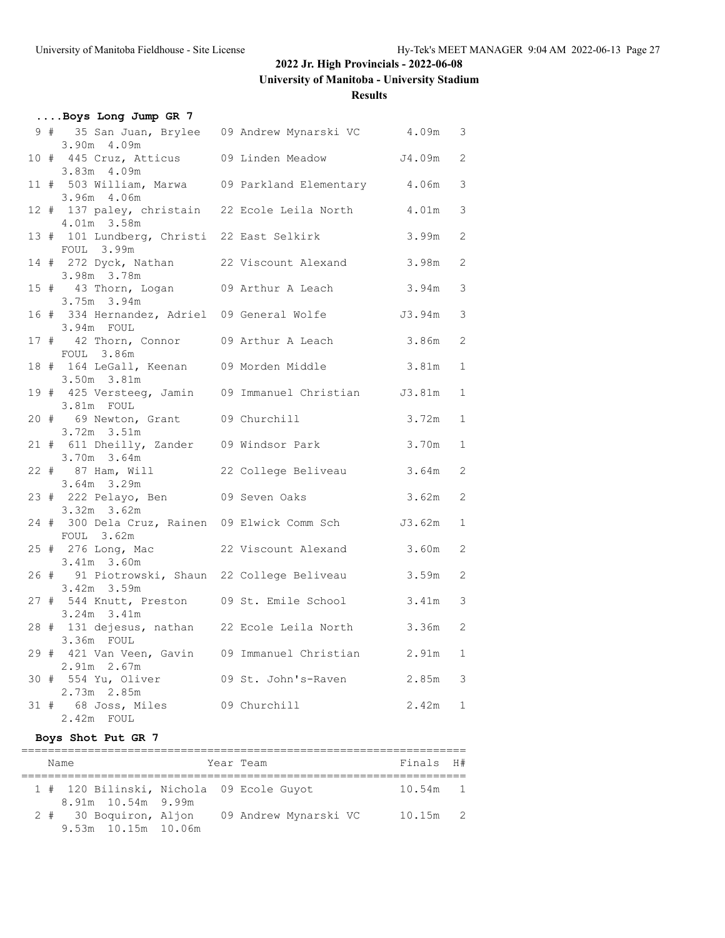**University of Manitoba - University Stadium**

### **Results**

| Boys Long Jump GR 7                                                      |                     |           |                |
|--------------------------------------------------------------------------|---------------------|-----------|----------------|
| 9 # 35 San Juan, Brylee 09 Andrew Mynarski VC 4.09m 3<br>3.90m 4.09m     |                     |           |                |
| 10 # 445 Cruz, Atticus 09 Linden Meadow<br>3.83m 4.09m                   |                     | J4.09m    | 2              |
| 11 # 503 William, Marwa 09 Parkland Elementary 4.06m                     |                     |           | 3              |
| 3.96m 4.06m<br>12 # 137 paley, christain 22 Ecole Leila North            |                     | 4.01m     | 3              |
| 4.01m 3.58m<br>13 # 101 Lundberg, Christi 22 East Selkirk                |                     | 3.99m     | $\overline{2}$ |
| FOUL 3.99m<br>14 # 272 Dyck, Nathan 22 Viscount Alexand                  |                     | 3.98m     | 2              |
| 3.98m 3.78m<br>15 # 43 Thorn, Logan 09 Arthur A Leach                    |                     | 3.94m     | 3              |
| 3.75m 3.94m<br>16 # 334 Hernandez, Adriel 09 General Wolfe 53.94m        |                     |           | 3              |
| 3.94m FOUL<br>17 # 42 Thorn, Connor 09 Arthur A Leach                    |                     | 3.86m     | 2              |
| FOUL 3.86m<br>18 # 164 LeGall, Keenan 09 Morden Middle 3.81m             |                     |           | $\mathbf{1}$   |
| $3.50m$ $3.81m$<br>19 # 425 Versteeg, Jamin 09 Immanuel Christian J3.81m |                     |           | $\mathbf{1}$   |
| 3.81m FOUL<br>20 # 69 Newton, Grant 09 Churchill                         |                     | 3.72m     | $\mathbf{1}$   |
| $3.72m$ $3.51m$                                                          |                     |           |                |
| 21 # 611 Dheilly, Zander 09 Windsor Park<br>3.70m 3.64m                  |                     | 3.70m     | $\mathbf{1}$   |
| 22 # 87 Ham, Will 22 College Beliveau<br>3.64m 3.29m                     |                     | 3.64m     | 2              |
| 23 # 222 Pelayo, Ben 09 Seven Oaks<br>$3.32m$ $3.62m$                    |                     | 3.62m     | 2              |
| 24 # 300 Dela Cruz, Rainen 09 Elwick Comm Sch J3.62m<br>FOUL 3.62m       |                     |           | $\mathbf{1}$   |
| 25 # 276 Long, Mac<br>3.41m 3.60m                                        | 22 Viscount Alexand | 3.60m     | 2              |
| 26 # 91 Piotrowski, Shaun 22 College Beliveau<br>3.42m 3.59m             |                     | 3.59m     | 2              |
| 27 # 544 Knutt, Preston 09 St. Emile School<br>$3.24m$ $3.41m$           |                     | 3.41m     | 3              |
| 28 # 131 dejesus, nathan 22 Ecole Leila North<br>3.36m FOUL              |                     | 3.36m     | 2              |
| 29 # 421 Van Veen, Gavin 09 Immanuel Christian<br>2.91m 2.67m            |                     | 2.91m     | $\mathbf{1}$   |
| 30 # 554 Yu, Oliver 09 St. John's-Raven                                  |                     | 2.85m     | 3              |
| 2.73m 2.85m<br>31 # 68 Joss, Miles 09 Churchill<br>$2.42m$ FOUL          |                     | $2.42m$ 1 |                |
|                                                                          |                     |           |                |

### **Boys Shot Put GR 7**

|  | Name                                                           | Year Team             | Finals H#  |  |
|--|----------------------------------------------------------------|-----------------------|------------|--|
|  | 1 # 120 Bilinski, Nichola 09 Ecole Guyot<br>8.91m 10.54m 9.99m |                       | $10.54m$ 1 |  |
|  | 2 # 30 Boquiron, Aljon<br>9.53m 10.15m 10.06m                  | 09 Andrew Mynarski VC | $10.15m$ 2 |  |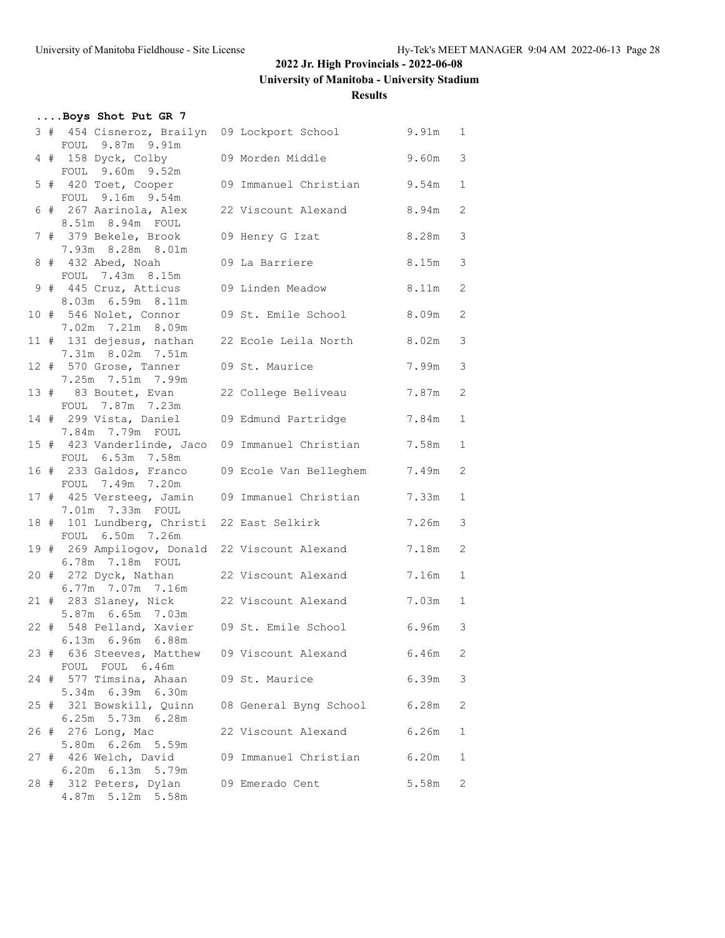**University of Manitoba - University Stadium**

#### **Results**

| Boys Shot Put GR 7                                                   |                                                      |           |               |
|----------------------------------------------------------------------|------------------------------------------------------|-----------|---------------|
| FOUL 9.87m 9.91m                                                     | 3 # 454 Cisneroz, Brailyn 09 Lockport School 9.91m 1 |           |               |
| 4 # 158 Dyck, Colby                                                  | 09 Morden Middle                                     | 9.60m     | $\mathcal{S}$ |
| FOUL 9.60m 9.52m<br>5 # 420 Toet, Cooper                             | 09 Immanuel Christian                                | 9.54m     | $\mathbf{1}$  |
| FOUL 9.16m 9.54m<br>6 # 267 Aarinola, Alex                           | 22 Viscount Alexand                                  | 8.94m     | 2             |
| 8.51m 8.94m FOUL                                                     |                                                      |           |               |
| 7 # 379 Bekele, Brook<br>7.93m 8.28m 8.01m                           | 09 Henry G Izat                                      | 8.28m     | 3             |
| 8 # 432 Abed, Noah<br>FOUL 7.43m 8.15m                               | 09 La Barriere                                       | 8.15m     | 3             |
| 9 # 445 Cruz, Atticus<br>8.03m 6.59m 8.11m                           | 09 Linden Meadow                                     | 8.11m 2   |               |
| 10 # 546 Nolet, Connor                                               | 09 St. Emile School                                  | 8.09m     | 2             |
| 7.02m 7.21m 8.09m<br>11 # 131 dejesus, nathan                        | 22 Ecole Leila North                                 | $8.02m$ 3 |               |
| 7.31m 8.02m 7.51m<br>12 # 570 Grose, Tanner                          | 09 St. Maurice                                       | 7.99m     | 3             |
| 7.25m 7.51m 7.99m<br>13 # 83 Boutet, Evan                            | 22 College Beliveau                                  | 7.87m     | 2             |
| FOUL 7.87m 7.23m<br>14 # 299 Vista, Daniel                           | 09 Edmund Partridge                                  | 7.84m     | $\mathbf{1}$  |
| 7.84m 7.79m FOUL                                                     |                                                      | 7.58m     | $\mathbf{1}$  |
| FOUL 6.53m 7.58m                                                     | 15 # 423 Vanderlinde, Jaco 09 Immanuel Christian     |           |               |
| 16 # 233 Galdos, Franco<br>FOUL 7.49m 7.20m                          | 09 Ecole Van Belleghem                               | 7.49m     | 2             |
| 17 # 425 Versteeg, Jamin 09 Immanuel Christian<br>7.01m 7.33m FOUL   |                                                      | 7.33m     | $\mathbf{1}$  |
| 18 # 101 Lundberg, Christi 22 East Selkirk<br>FOUL 6.50m 7.26m       |                                                      | 7.26m     | 3             |
| 19 # 269 Ampilogov, Donald 22 Viscount Alexand<br>6.78m  7.18m  FOUL |                                                      | 7.18m     | 2             |
| 20 # 272 Dyck, Nathan                                                | 22 Viscount Alexand                                  | 7.16m     | $\mathbf{1}$  |
| 6.77m 7.07m 7.16m<br>21 # 283 Slaney, Nick                           | 22 Viscount Alexand                                  | 7.03m     | $\mathbf{1}$  |
| 5.87m 6.65m 7.03m                                                    | 22 # 548 Pelland, Xavier 09 St. Emile School 6.96m 3 |           |               |
| $6.13m$ $6.96m$ $6.88m$                                              | 23 # 636 Steeves, Matthew 09 Viscount Alexand        | 6.46m     | 2             |
| FOUL FOUL 6.46m<br>24 # 577 Timsina, Ahaan                           | 09 St. Maurice                                       | 6.39m     | 3             |
| 5.34m 6.39m 6.30m                                                    |                                                      |           |               |
| 25 # 321 Bowskill, Quinn<br>6.25m 5.73m 6.28m                        | 08 General Byng School                               | 6.28m     | 2             |
| 26 # 276 Long, Mac<br>5.80m 6.26m 5.59m                              | 22 Viscount Alexand                                  | 6.26m     | 1             |
| 27 # 426 Welch, David<br>6.20m 6.13m 5.79m                           | 09 Immanuel Christian                                | 6.20m     | 1             |
| 28 # 312 Peters, Dylan<br>4.87m 5.12m 5.58m                          | 09 Emerado Cent                                      | 5.58m     | 2             |
|                                                                      |                                                      |           |               |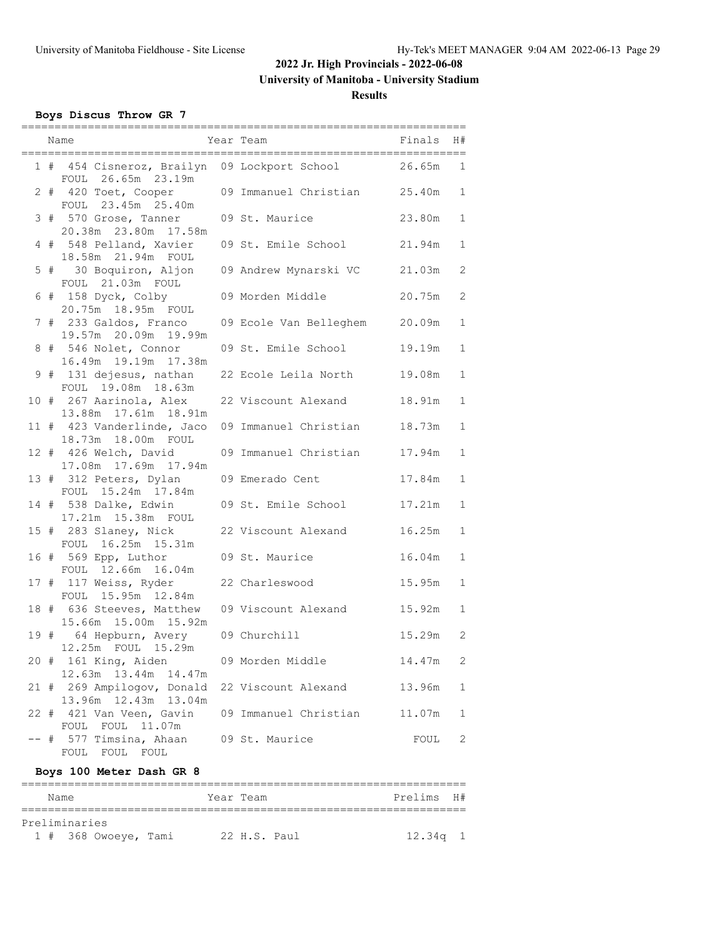**University of Manitoba - University Stadium**

### **Results**

### **Boys Discus Throw GR 7**

|      | Name                                                               | Year Team                     | Finals | H#           |
|------|--------------------------------------------------------------------|-------------------------------|--------|--------------|
|      | 1 # 454 Cisneroz, Brailyn 09 Lockport School<br>FOUL 26.65m 23.19m |                               | 26.65m | $\mathbf{1}$ |
|      | 2 # 420 Toet, Cooper<br>FOUL 23.45m 25.40m                         | 09 Immanuel Christian 25.40m  |        | $\mathbf{1}$ |
|      | 3 # 570 Grose, Tanner<br>20.38m  23.80m  17.58m                    | 09 St. Maurice                | 23.80m | $\mathbf{1}$ |
|      | 4 # 548 Pelland, Xavier<br>18.58m 21.94m FOUL                      | 09 St. Emile School           | 21.94m | $\mathbf{1}$ |
|      | 5 # 30 Boquiron, Aljon<br>FOUL 21.03m FOUL                         | 09 Andrew Mynarski VC         | 21.03m | 2            |
|      | 6 # 158 Dyck, Colby<br>20.75m 18.95m FOUL                          | 09 Morden Middle              | 20.75m | $\mathbf{2}$ |
|      | 7 # 233 Galdos, Franco<br>19.57m 20.09m 19.99m                     | 09 Ecole Van Belleghem 20.09m |        | $\mathbf{1}$ |
|      | 8 # 546 Nolet, Connor<br>16.49m  19.19m  17.38m                    | 09 St. Emile School           | 19.19m | $\mathbf{1}$ |
|      | 9 # 131 dejesus, nathan<br>FOUL 19.08m 18.63m                      | 22 Ecole Leila North          | 19.08m | $\mathbf{1}$ |
|      | 10 # 267 Aarinola, Alex<br>13.88m  17.61m  18.91m                  | 22 Viscount Alexand           | 18.91m | $\mathbf{1}$ |
|      | 11 # 423 Vanderlinde, Jaco<br>18.73m  18.00m  FOUL                 | 09 Immanuel Christian         | 18.73m | $\mathbf{1}$ |
|      | 12 # 426 Welch, David<br>17.08m  17.69m  17.94m                    | 09 Immanuel Christian         | 17.94m | $\mathbf{1}$ |
|      | 13 # 312 Peters, Dylan<br>FOUL 15.24m 17.84m                       | 09 Emerado Cent               | 17.84m | $\mathbf{1}$ |
|      | 14 # 538 Dalke, Edwin<br>17.21m  15.38m  FOUL                      | 09 St. Emile School           | 17.21m | $\mathbf{1}$ |
|      | 15 # 283 Slaney, Nick<br>FOUL 16.25m 15.31m                        | 22 Viscount Alexand           | 16.25m | $\mathbf{1}$ |
|      | 16 # 569 Epp, Luthor<br>FOUL 12.66m 16.04m                         | 09 St. Maurice                | 16.04m | $\mathbf{1}$ |
|      | 17 # 117 Weiss, Ryder<br>FOUL 15.95m 12.84m                        | 22 Charleswood                | 15.95m | $\mathbf{1}$ |
|      | 18 # 636 Steeves, Matthew<br>15.66m 15.00m 15.92m                  | 09 Viscount Alexand           | 15.92m | $\mathbf{1}$ |
|      | 19 # 64 Hepburn, Avery<br>12.25m FOUL 15.29m                       | 09 Churchill                  | 15.29m | -2           |
|      | 20 # 161 King, Aiden<br>12.63m  13.44m  14.47m                     | 09 Morden Middle              | 14.47m | 2            |
|      | 21 # 269 Ampilogov, Donald<br>13.96m 12.43m 13.04m                 | 22 Viscount Alexand           | 13.96m | 1            |
|      | 22 # 421 Van Veen, Gavin<br>FOUL 11.07m<br>FOUL                    | 09 Immanuel Christian         | 11.07m | 1            |
| $--$ | # 577 Timsina, Ahaan<br>FOUL FOUL FOUL                             | 09 St. Maurice                | FOUL   | 2            |

# **Boys 100 Meter Dash GR 8**

| Name |               |                        |  | Year Team      |  | Prelims H# |  |
|------|---------------|------------------------|--|----------------|--|------------|--|
|      | Preliminaries |                        |  |                |  |            |  |
|      |               | $1$ # 368 Owoeye, Tami |  | $22$ H.S. Paul |  | $12.34q$ 1 |  |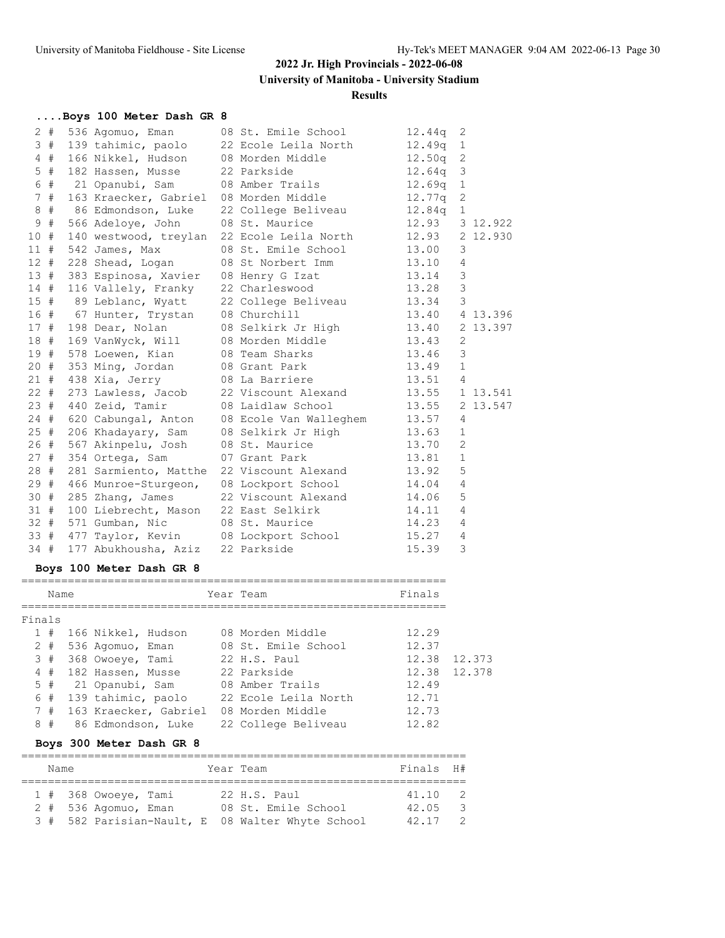**University of Manitoba - University Stadium**

#### **Results**

| Boys 100 Meter Dash GR 8 |  |  |  |  |  |  |
|--------------------------|--|--|--|--|--|--|
|--------------------------|--|--|--|--|--|--|

| $2 +$  |    | 536 Agomuo, Eman          | 08 St. Emile School                             | 12.44q         | 2              |          |
|--------|----|---------------------------|-------------------------------------------------|----------------|----------------|----------|
|        | 3# | 139 tahimic, paolo        | 22 Ecole Leila North                            | $12.49q$ 1     |                |          |
|        | 4# | 166 Nikkel, Hudson        | 08 Morden Middle                                | $12.50q$ 2     |                |          |
| $5$ #  |    | 182 Hassen, Musse         | 22 Parkside                                     | $12.64q$ 3     |                |          |
| 6 #    |    | 21 Opanubi, Sam           | 08 Amber Trails                                 | $12.69q$ 1     |                |          |
| 7#     |    | 163 Kraecker, Gabriel     | 08 Morden Middle                                | 12.77q 2       |                |          |
| 8#     |    | 86 Edmondson, Luke        | 22 College Beliveau                             | $12.84q$ 1     |                |          |
| 9#     |    | 566 Adeloye, John         | 08 St. Maurice                                  | 12.93 3 12.922 |                |          |
| 10#    |    | 140 westwood, treylan     | 22 Ecole Leila North 12.93                      |                |                | 2 12.930 |
| $11$ # |    | 542 James, Max            | 08 St. Emile School 13.00                       |                | 3              |          |
|        |    | 12 # 228 Shead, Logan     | 08 St Norbert Imm                               | 13.10          | $\overline{4}$ |          |
|        |    | 13 # 383 Espinosa, Xavier | 08 Henry G Izat                                 | 13.14          | $\mathcal{S}$  |          |
| 14#    |    | 116 Vallely, Franky       | 22 Charleswood 13.28                            |                | 3              |          |
|        |    | 15 # 89 Leblanc, Wyatt    | 22 College Beliveau                             | 13.34          | 3              |          |
|        |    | 16 # 67 Hunter, Trystan   | 08 Churchill                                    | 13.40 4 13.396 |                |          |
|        |    | 17 # 198 Dear, Nolan      | 08 Selkirk Jr High 13.40                        |                |                | 2 13.397 |
|        |    | 18 # 169 VanWyck, Will    | 08 Morden Middle 13.43                          |                | 2              |          |
|        |    | 19 # 578 Loewen, Kian     | 13.46<br>08 Team Sharks                         |                | 3              |          |
|        |    | 20 # 353 Ming, Jordan     | 08 Grant Park                                   | 13.49          | $\overline{1}$ |          |
|        |    | 21 # 438 Xia, Jerry       | 08 La Barriere                                  | 13.51          | $\overline{4}$ |          |
| $22 +$ |    | 273 Lawless, Jacob        | 22 Viscount Alexand 13.55 1 13.541              |                |                |          |
|        |    | 23 # 440 Zeid, Tamir      | 08 Laidlaw School                               | 13.55          |                | 2 13.547 |
|        |    | 24 # 620 Cabungal, Anton  | 08 Ecole Van Walleghem                          | 13.57          | $\overline{4}$ |          |
|        |    | 25 # 206 Khadayary, Sam   | 08 Selkirk Jr High                              | 13.63          | $\mathbf{1}$   |          |
| 26 #   |    | 567 Akinpelu, Josh        | 08 St. Maurice 13.70                            |                | $\overline{2}$ |          |
|        |    | 27 # 354 Ortega, Sam      | 07 Grant Park                                   | 13.81          | $\mathbf{1}$   |          |
| 28 #   |    | 281 Sarmiento, Matthe     | 22 Viscount Alexand                             | 13.92          | 5              |          |
| 29#    |    | 466 Munroe-Sturgeon,      | 08 Lockport School                              | 14.04          | $\overline{4}$ |          |
| 30#    |    | 285 Zhang, James          | 22 Viscount Alexand                             | 14.06          | 5              |          |
|        |    | 31 # 100 Liebrecht, Mason | 22 East Selkirk                                 | 14.11          | $\overline{4}$ |          |
|        |    | 32 # 571 Gumban, Nic      | 14.23<br>08 St. Maurice                         |                | $\overline{4}$ |          |
|        |    |                           | 33 # 477 Taylor, Kevin 08 Lockport School 15.27 |                | $\overline{4}$ |          |
| 34#    |    | 177 Abukhousha, Aziz      | 22 Parkside                                     | 15.39          | 3              |          |

#### **Boys 100 Meter Dash GR 8**

|              | Name  |                    |                       | Year Team |                      | Finals |
|--------------|-------|--------------------|-----------------------|-----------|----------------------|--------|
|              |       |                    |                       |           |                      |        |
| Finals       |       |                    |                       |           |                      |        |
| $\mathbf{1}$ | #     | 166 Nikkel, Hudson |                       |           | 08 Morden Middle     | 12.29  |
|              | $2 +$ | 536 Agomuo, Eman   |                       |           | 08 St. Emile School  | 12.37  |
|              | 3#    | 368 Owoeye, Tami   |                       |           | $22$ H.S. Paul       | 12.38  |
|              | 4#    | 182 Hassen, Musse  |                       |           | 22 Parkside          | 12.38  |
|              | 5#    | 21 Opanubi, Sam    |                       |           | 08 Amber Trails      | 12.49  |
| 6            | #     | 139 tahimic, paolo |                       |           | 22 Ecole Leila North | 12.71  |
|              | 7#    |                    | 163 Kraecker, Gabriel |           | 08 Morden Middle     | 12.73  |
| 8            | #     | 86 Edmondson, Luke |                       |           | 22 College Beliveau  | 12.82  |

#### **Boys 300 Meter Dash GR 8**

|  | Name |                        |  | Year Team                                        | Finals H#    |               |
|--|------|------------------------|--|--------------------------------------------------|--------------|---------------|
|  |      |                        |  |                                                  |              |               |
|  |      | $1$ # 368 Owoeye, Tami |  | $22$ H.S. Paul                                   | $41.10 \t 2$ |               |
|  |      | 2 # 536 Agomuo, Eman   |  | 08 St. Emile School                              | 42.05        | $\mathcal{R}$ |
|  |      |                        |  | 3 # 582 Parisian-Nault, E 08 Walter Whyte School | $42.17$ 2    |               |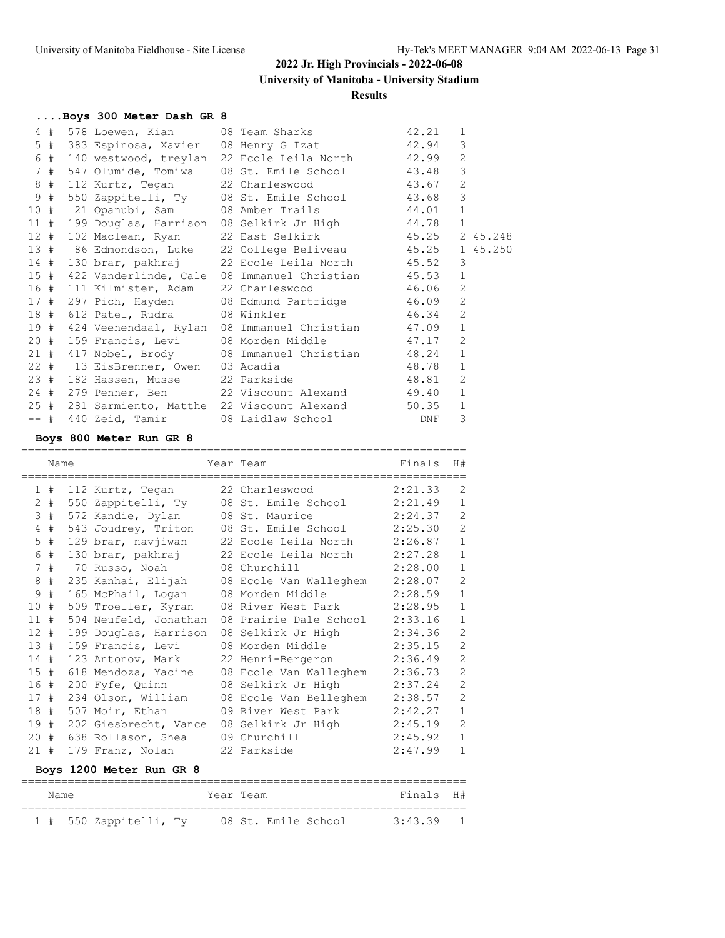#### **Results**

| Boys 300 Meter Dash GR 8 |                                                                                               |       |                |
|--------------------------|-----------------------------------------------------------------------------------------------|-------|----------------|
|                          | 4 # 578 Loewen, Kian 08 Team Sharks 42.21 1                                                   |       |                |
|                          | 5 # 383 Espinosa, Xavier 08 Henry G Izat 42.94                                                |       | 3              |
|                          | 6 # 140 westwood, treylan 22 Ecole Leila North 42.99                                          |       | 2              |
|                          | 7 # 547 Olumide, Tomiwa 08 St. Emile School 43.48                                             |       | $\mathcal{E}$  |
| 8 # 112 Kurtz, Tegan     | 22 Charleswood 43.67                                                                          |       | 2              |
|                          | 9 # 550 Zappitelli, Ty 08 St. Emile School 43.68                                              |       | $\mathbf{3}$   |
|                          | 10 # 21 Opanubi, Sam 08 Amber Trails 44.01                                                    |       | 1              |
|                          | 11 # 199 Douglas, Harrison 08 Selkirk Jr High 44.78                                           |       | 1              |
| 12 # 102 Maclean, Ryan   | 22 East Selkirk 45.25 2 45.248                                                                |       |                |
|                          | 13 # 86 Edmondson, Luke 22 College Beliveau 45.25 1 45.250                                    |       |                |
|                          | 14 # 130 brar, pakhraj 22 Ecole Leila North 45.52                                             |       | 3              |
|                          | 15 # 422 Vanderlinde, Cale 08 Immanuel Christian 45.53                                        |       | 1              |
|                          | 16 # 111 Kilmister, Adam 22 Charleswood 46.06                                                 |       | 2              |
|                          | 17 # 297 Pich, Hayden 08 Edmund Partridge 46.09 2<br>18 # 612 Patel, Rudra 08 Winkler 46.34 2 |       |                |
|                          |                                                                                               |       |                |
|                          | 19 # 424 Veenendaal, Rylan 08 Immanuel Christian 47.09                                        |       | 1              |
|                          | 20 # 159 Francis, Levi 08 Morden Middle 47.17                                                 |       | 2              |
|                          | 21 # 417 Nobel, Brody 08 Immanuel Christian 48.24                                             |       | $\mathbf{1}$   |
|                          | 22 # 13 EisBrenner, Owen 03 Acadia                                                            | 48.78 | $\mathbf{1}$   |
|                          | 23 # 182 Hassen, Musse 22 Parkside 48.81                                                      |       | $\overline{2}$ |
|                          | 24 # 279 Penner, Ben 22 Viscount Alexand 49.40 1                                              |       |                |
|                          | 25 # 281 Sarmiento, Matthe 22 Viscount Alexand 50.35                                          |       | 1              |
|                          | -- # 440 Zeid, Tamir 08 Laidlaw School DNF                                                    |       | 3              |

### **Boys 800 Meter Run GR 8**

|                | Name  | ===========================      | Year Team<br>==========================   | Finals  | H#             |
|----------------|-------|----------------------------------|-------------------------------------------|---------|----------------|
|                | 1#    | 112 Kurtz, Tegan                 | 22 Charleswood                            | 2:21.33 | 2              |
|                | $2 +$ | 550 Zappitelli, Ty               | 08 St. Emile School                       | 2:21.49 | $\mathbf{1}$   |
| $\mathcal{S}$  | #     | 572 Kandie, Dylan 08 St. Maurice |                                           | 2:24.37 | $\overline{2}$ |
| 4              | #     |                                  | 543 Joudrey, Triton 08 St. Emile School   | 2:25.30 | $\mathbf{2}$   |
| 5              | #     |                                  | 129 brar, navjiwan 22 Ecole Leila North   | 2:26.87 | $\mathbf{1}$   |
| 6              | #     |                                  |                                           | 2:27.28 | $\mathbf 1$    |
| 7 <sup>1</sup> | #     | 70 Russo, Noah                   | 08 Churchill                              | 2:28.00 | $\mathbf 1$    |
| 8              | #     |                                  | 235 Kanhai, Elijah 08 Ecole Van Walleghem | 2:28.07 | $\mathbf{2}$   |
| 9              | #     | 165 McPhail, Logan               | 08 Morden Middle                          | 2:28.59 | $\mathbf{1}$   |
| 10             | #     |                                  | 509 Troeller, Kyran 08 River West Park    | 2:28.95 | $\mathbf{1}$   |
| 11             | #     | 504 Neufeld, Jonathan            | 08 Prairie Dale School                    | 2:33.16 | $\mathbf 1$    |
| $12 +$         |       | 199 Douglas, Harrison            | 08 Selkirk Jr High                        | 2:34.36 | $\overline{2}$ |
| 13#            |       | 159 Francis, Levi                | 08 Morden Middle                          | 2:35.15 | $\mathbf{2}$   |
| 14#            |       | 123 Antonov, Mark                | 22 Henri-Bergeron                         | 2:36.49 | $\mathbf{2}$   |
| 15#            |       | 618 Mendoza, Yacine              | 08 Ecole Van Walleghem                    | 2:36.73 | $\overline{2}$ |
| 16#            |       | 200 Fyfe, Quinn                  | 08 Selkirk Jr High                        | 2:37.24 | $\mathbf{2}$   |
| 17#            |       | 234 Olson, William               | 08 Ecole Van Belleghem                    | 2:38.57 | $\mathbf{2}$   |
| 18#            |       | 507 Moir, Ethan                  | 09 River West Park                        | 2:42.27 | $\mathbf{1}$   |
| 19#            |       | 202 Giesbrecht, Vance            | 08 Selkirk Jr High                        | 2:45.19 | $\overline{2}$ |
| 20             | #     | 638 Rollason, Shea               | 09 Churchill                              | 2:45.92 | $\mathbf 1$    |
| 21#            |       | 179 Franz, Nolan                 | 22 Parkside                               | 2:47.99 | $\mathbf{1}$   |

### **Boys 1200 Meter Run GR 8**

| Name |                        | Year Team |  |                     | Finals H# |  |
|------|------------------------|-----------|--|---------------------|-----------|--|
|      | 1 # 550 Zappitelli, Ty |           |  | 08 St. Emile School | 3:43.39   |  |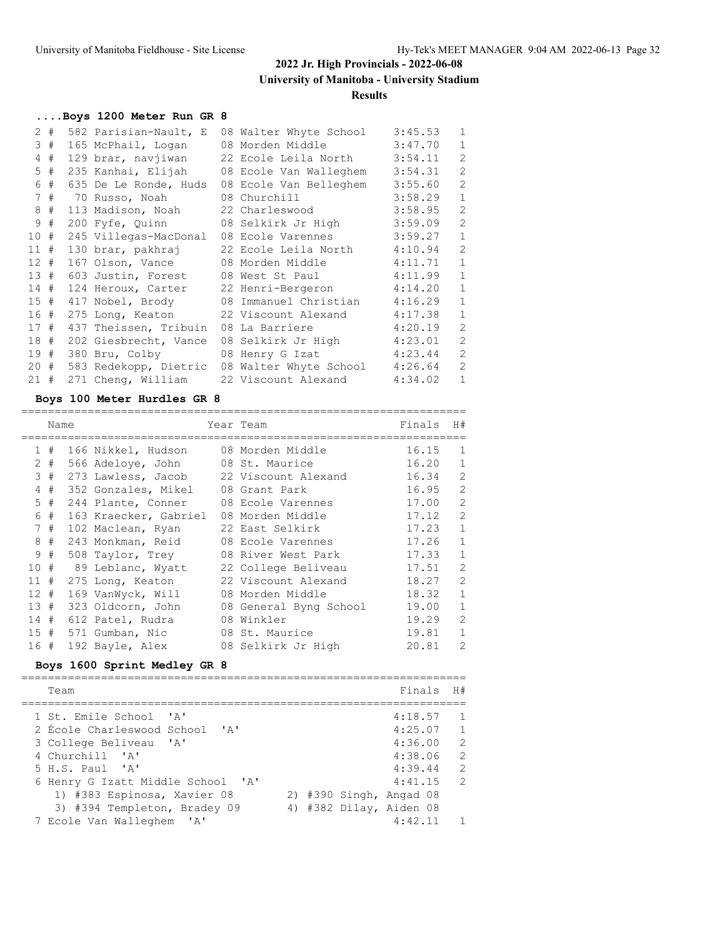#### **Results**

# **....Boys 1200 Meter Run GR 8**

|        | 2#    |                       | 582 Parisian-Nault, E 08 Walter Whyte School | 3:45.53 | $\mathbf{1}$   |
|--------|-------|-----------------------|----------------------------------------------|---------|----------------|
|        | 3#    | 165 McPhail, Logan    | 08 Morden Middle                             | 3:47.70 | $\mathbf{1}$   |
|        | $4$ # |                       | 129 brar, navjiwan 22 Ecole Leila North      | 3:54.11 | $\overline{c}$ |
|        | $5$ # |                       | 235 Kanhai, Elijah 08 Ecole Van Walleghem    | 3:54.31 | $\mathbf{2}$   |
|        | 6#    |                       | 635 De Le Ronde, Huds 08 Ecole Van Belleghem | 3:55.60 | 2              |
|        | 7#    | 70 Russo, Noah        | 08 Churchill                                 | 3:58.29 | $\mathbf{1}$   |
|        | 8#    |                       |                                              | 3:58.95 | 2              |
|        | 9#    | 200 Fyfe, Quinn       | 08 Selkirk Jr High                           | 3:59.09 | $\mathbf{2}$   |
| 10#    |       |                       | 245 Villegas-MacDonal 08 Ecole Varennes      | 3:59.27 | $\mathbf{1}$   |
| 11#    |       |                       | 130 brar, pakhraj 22 Ecole Leila North       | 4:10.94 | 2              |
| 12#    |       |                       | 167 Olson, Vance 08 Morden Middle            | 4:11.71 | $\mathbf{1}$   |
| 13#    |       |                       | 603 Justin, Forest 08 West St Paul           | 4:11.99 | $\mathbf{1}$   |
| 14#    |       |                       | 124 Heroux, Carter 22 Henri-Bergeron         | 4:14.20 | $\mathbf{1}$   |
| 15#    |       |                       | 417 Nobel, Brody 08 Immanuel Christian       | 4:16.29 | 1              |
| 16#    |       |                       | 275 Long, Keaton 22 Viscount Alexand         | 4:17.38 | $\mathbf{1}$   |
| 17#    |       | 437 Theissen, Tribuin | 08 La Barriere                               | 4:20.19 | 2              |
| 18#    |       |                       | 202 Giesbrecht, Vance 08 Selkirk Jr High     | 4:23.01 | 2              |
| 19#    |       |                       | 380 Bru, Colby 08 Henry G Izat               | 4:23.44 | 2              |
| $20 +$ |       |                       | 583 Redekopp, Dietric 08 Walter Whyte School | 4:26.64 | 2              |
| 21#    |       |                       | 271 Cheng, William 22 Viscount Alexand       | 4:34.02 | $\mathbf{1}$   |

#### **Boys 100 Meter Hurdles GR 8**

|                      | Name |                                        | Year Team              | Finals | H#             |
|----------------------|------|----------------------------------------|------------------------|--------|----------------|
|                      |      |                                        |                        |        |                |
| $\mathbf{1}$         | #    | 166 Nikkel, Hudson 08 Morden Middle    |                        | 16.15  | $\mathbf{1}$   |
| $\mathbf{2}^{\circ}$ | #    | 566 Adeloye, John                      | 08 St. Maurice         | 16.20  | 1              |
| 3                    | #    | 273 Lawless, Jacob 22 Viscount Alexand |                        | 16.34  | $\overline{2}$ |
| 4                    | #    | 352 Gonzales, Mikel 08 Grant Park      |                        | 16.95  | $\overline{2}$ |
| 5.                   | #    | 244 Plante, Conner                     | 08 Ecole Varennes      | 17.00  | $\overline{2}$ |
| 6                    | #    | 163 Kraecker, Gabriel                  | 08 Morden Middle       | 17.12  | $\overline{2}$ |
| $7\phantom{0}$       | #    | 102 Maclean, Ryan                      | 22 East Selkirk        | 17.23  | $\mathbf{1}$   |
| 8                    | #    | 243 Monkman, Reid                      | 08 Ecole Varennes      | 17.26  | $\mathbf{1}$   |
| 9                    | #    | 508 Taylor, Trey                       | 08 River West Park     | 17.33  | $\mathbf{1}$   |
| 10#                  |      | 89 Leblanc, Wyatt                      | 22 College Beliveau    | 17.51  | $\overline{2}$ |
| 11                   | #    | 275 Long, Keaton                       | 22 Viscount Alexand    | 18.27  | $\mathfrak{D}$ |
| 12 <sup>7</sup>      | #    | 169 VanWyck, Will                      | 08 Morden Middle       | 18.32  | $\mathbf{1}$   |
| 13#                  |      | 323 Oldcorn, John                      | 08 General Byng School | 19.00  | $\mathbf{1}$   |
| 14#                  |      | 612 Patel, Rudra                       | 08 Winkler             | 19.29  | $\mathcal{L}$  |
| 15#                  |      | 571 Gumban, Nic                        | 08 St. Maurice         | 19.81  | $\mathbf{1}$   |
| 16 #                 |      | 192 Bayle, Alex                        | 08 Selkirk Jr High     | 20.81  | $\mathcal{L}$  |

### **Boys 1600 Sprint Medley GR 8**

| Finals H#<br>Team                                       |                |
|---------------------------------------------------------|----------------|
| 4:18.57<br>1 St. Emile School 'A'                       | $\mathbf{1}$   |
| 2 Ecole Charleswood School 'A'<br>4:25.07               | $\overline{1}$ |
| 4:36.00<br>3 College Beliveau 'A'                       | $\overline{2}$ |
| 4 Churchill 'A'<br>4:38.06                              | 2              |
| 4:39.44<br>$5 H.S.$ Paul 'A'                            | 2              |
| 4:41.15<br>6 Henry G Izatt Middle School 'A'            | $\overline{2}$ |
| 1) #383 Espinosa, Xavier 08<br>2) #390 Singh, Angad 08  |                |
| 4) #382 Dilay, Aiden 08<br>3) #394 Templeton, Bradey 09 |                |
| 4:42.11<br>7 Ecole Van Walleghem 'A'                    | $\overline{1}$ |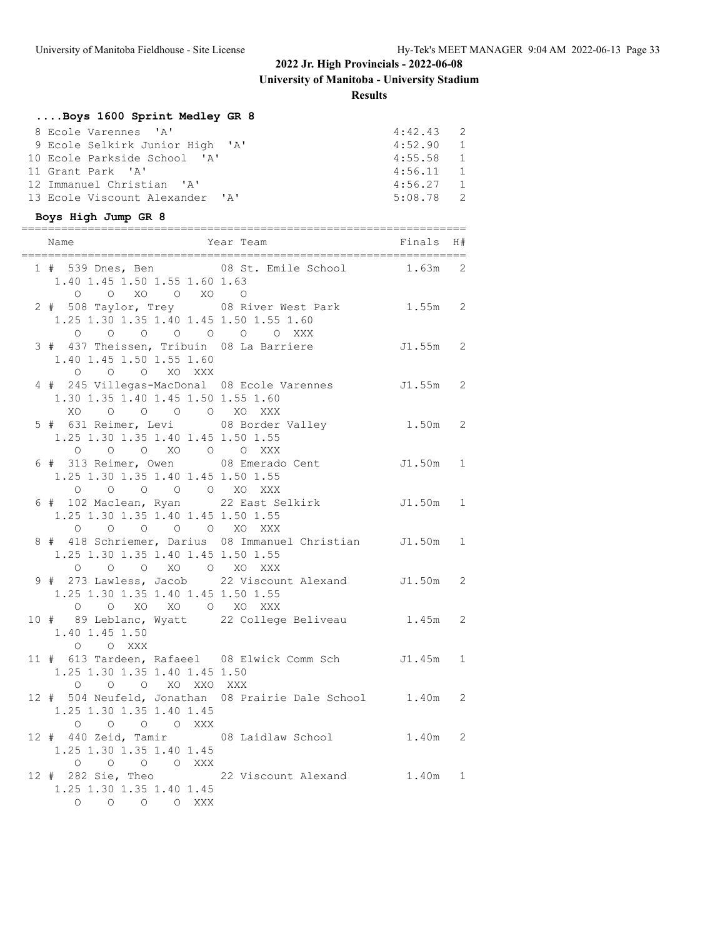### **Results**

# **....Boys 1600 Sprint Medley GR 8**

| 8 Ecole Varennes 'A'            | $4:42.43$ 2 |  |
|---------------------------------|-------------|--|
| 9 Ecole Selkirk Junior High 'A' | 4:52.90 1   |  |
| 10 Ecole Parkside School 'A'    | $4:55.58$ 1 |  |
| 11 Grant Park 'A'               | $4:56.11$ 1 |  |
| 12 Immanuel Christian 'A'       | $4:56.27$ 1 |  |
| 13 Ecole Viscount Alexander 'A' | $5:08.78$ 2 |  |

# **Boys High Jump GR 8**

| Name                                                         | ====================<br>Year Team <b>Finals</b>                            | H# |
|--------------------------------------------------------------|----------------------------------------------------------------------------|----|
| 1.40 1.45 1.50 1.55 1.60 1.63<br>0 0 XO 0 XO 0               | 1 # 539 Dnes, Ben 08 St. Emile School 1.63m 2                              |    |
| 1.25 1.30 1.35 1.40 1.45 1.50 1.55 1.60<br>0 0 0 0 0 0 0 XXX | 2 # 508 Taylor, Trey 08 River West Park 1.55m 2                            |    |
| 1.40 1.45 1.50 1.55 1.60<br>O O O XO XXX                     | 3 # 437 Theissen, Tribuin 08 La Barriere 51.55m 2                          |    |
| 1.30 1.35 1.40 1.45 1.50 1.55 1.60<br>XO O O O O XO XXX      | 4 # 245 Villegas-MacDonal 08 Ecole Varennes J1.55m 2                       |    |
| 1.25 1.30 1.35 1.40 1.45 1.50 1.55                           |                                                                            |    |
| 1.25 1.30 1.35 1.40 1.45 1.50 1.55                           | 0 0 0 XO 0 0 XXX<br>6 # 313 Reimer, Owen 08 Emerado Cent J1.50m 1          |    |
| 1.25 1.30 1.35 1.40 1.45 1.50 1.55<br>0 0 0 0 0 XO XXX       | 0 0 0 0 0 0 XO XXX<br>6 # 102 Maclean, Ryan 22 East Selkirk 51.50m 1       |    |
| 1.25 1.30 1.35 1.40 1.45 1.50 1.55                           | 8 # 418 Schriemer, Darius 08 Immanuel Christian J1.50m 1                   |    |
| 1.25 1.30 1.35 1.40 1.45 1.50 1.55                           | 0 0 0 0 XO 0 XO XXX<br>9 # 273 Lawless, Jacob 22 Viscount Alexand J1.50m 2 |    |
| 1.40 1.45 1.50<br>O O XXX                                    | 0 0 XO XO O XO XXX<br>10 # 89 Leblanc, Wyatt 22 College Beliveau 1.45m 2   |    |
| 1.25 1.30 1.35 1.40 1.45 1.50<br>O O XO XXO XXX<br>$\circ$   | 11 # 613 Tardeen, Rafaeel 08 Elwick Comm Sch J1.45m 1                      |    |
| 1.25 1.30 1.35 1.40 1.45<br>0 0 0 0 XXX                      | 12 # 504 Neufeld, Jonathan 08 Prairie Dale School 1.40m 2                  |    |
| 1.25 1.30 1.35 1.40 1.45                                     | 12 # 440 Zeid, Tamir 08 Laidlaw School 1.40m 2                             |    |
| 0 0 0 0 XXX<br>1.25 1.30 1.35 1.40 1.45<br>O O O O XXX       | 12 # 282 Sie, Theo 22 Viscount Alexand 1.40m 1                             |    |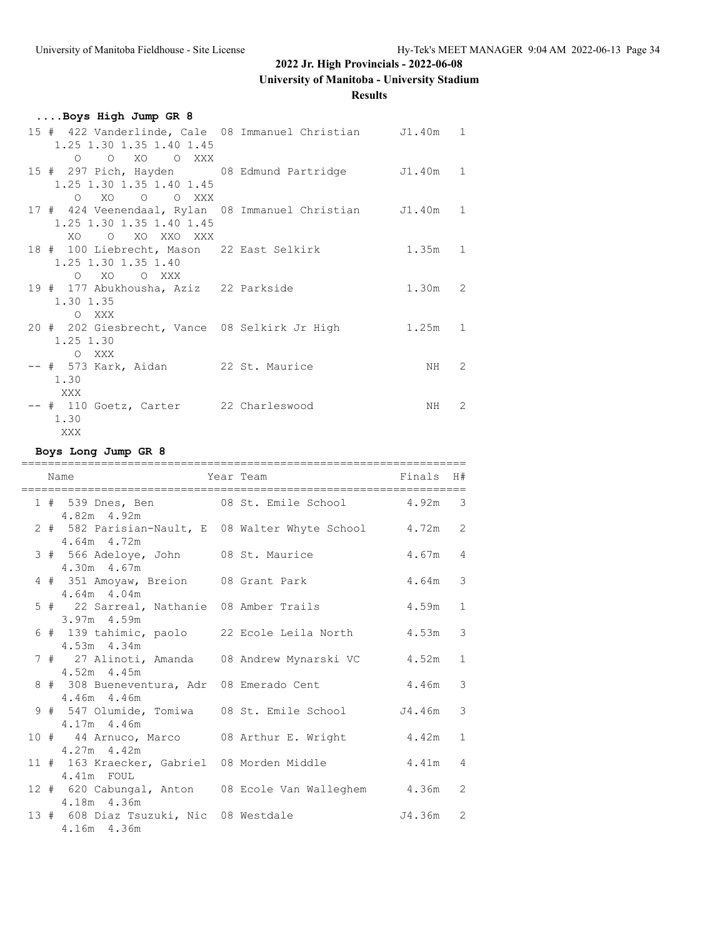# **University of Manitoba - University Stadium**

**Results**

| Boys High Jump GR 8                                                                   |  |           |               |
|---------------------------------------------------------------------------------------|--|-----------|---------------|
| 15 # 422 Vanderlinde, Cale 08 Immanuel Christian J1.40m 1<br>1.25 1.30 1.35 1.40 1.45 |  |           |               |
| O O XO O XXX                                                                          |  |           |               |
| 15 # 297 Pich, Hayden 08 Edmund Partridge J1.40m 1<br>1.25 1.30 1.35 1.40 1.45        |  |           |               |
| O XO O O XXX                                                                          |  |           |               |
| 17 # 424 Veenendaal, Rylan 08 Immanuel Christian J1.40m 1                             |  |           |               |
| 1.25 1.30 1.35 1.40 1.45<br>XO O XO XXO XXX                                           |  |           |               |
| 18 # 100 Liebrecht, Mason 22 East Selkirk                                             |  | $1.35m$ 1 |               |
| 1.25 1.30 1.35 1.40<br>O XO O XXX                                                     |  |           |               |
| 19 # 177 Abukhousha, Aziz 22 Parkside                                                 |  | $1.30m$ 2 |               |
| 1.30 1.35                                                                             |  |           |               |
| O XXX<br>20 # 202 Giesbrecht, Vance 08 Selkirk Jr High                                |  | $1.25m$ 1 |               |
| 1.25 1.30                                                                             |  |           |               |
| O XXX                                                                                 |  |           |               |
| -- # 573 Kark, Aidan 22 St. Maurice                                                   |  | NH        | 2             |
| 1.30<br>XXX                                                                           |  |           |               |
| -- # 110 Goetz, Carter 22 Charleswood                                                 |  | NH        | $\mathcal{L}$ |
| 1.30                                                                                  |  |           |               |
| XXX                                                                                   |  |           |               |

**Boys Long Jump GR 8**

|  | Name                                                                        | Year Team | Finals H# |               |
|--|-----------------------------------------------------------------------------|-----------|-----------|---------------|
|  | 1 # 539 Dnes, Ben 08 St. Emile School 4.92m 3<br>4.82m 4.92m                |           |           |               |
|  | 2 # 582 Parisian-Nault, E 08 Walter Whyte School 4.72m 2<br>$4.64m$ $4.72m$ |           |           |               |
|  | 3 # 566 Adeloye, John 08 St. Maurice<br>4.30m 4.67m                         |           | $4.67m$ 4 |               |
|  | 4 # 351 Amoyaw, Breion 08 Grant Park<br>$4.64m$ $4.04m$                     |           | $4.64m$ 3 |               |
|  | 5 # 22 Sarreal, Nathanie 08 Amber Trails<br>3.97m 4.59m                     |           | 4.59m     | $\mathbf{1}$  |
|  | 6 # 139 tahimic, paolo 22 Ecole Leila North<br>4.53m 4.34m                  |           | 4.53m     | $\mathcal{S}$ |
|  | 7 # 27 Alinoti, Amanda 08 Andrew Mynarski VC<br>$4.52m$ $4.45m$             |           | 4.52m     | $\mathbf{1}$  |
|  | 8 # 308 Bueneventura, Adr 08 Emerado Cent<br>4.46m 4.46m                    |           | 4.46m     | 3             |
|  | 9 # 547 Olumide, Tomiwa 08 St. Emile School 54.46m<br>$4.17m$ $4.46m$       |           |           | 3             |
|  | 10 # 44 Arnuco, Marco 08 Arthur E. Wright<br>$4.27m$ $4.42m$                |           | 4.42m     | $\mathbf{1}$  |
|  | 11 # 163 Kraecker, Gabriel 08 Morden Middle<br>4.41m FOUL                   |           | $4.41m$ 4 |               |
|  | 12 # 620 Cabungal, Anton 08 Ecole Van Walleghem 4.36m 2<br>4.18m 4.36m      |           |           |               |
|  | 13 # 608 Diaz Tsuzuki, Nic 08 Westdale<br>4.16m 4.36m                       |           | J4.36m 2  |               |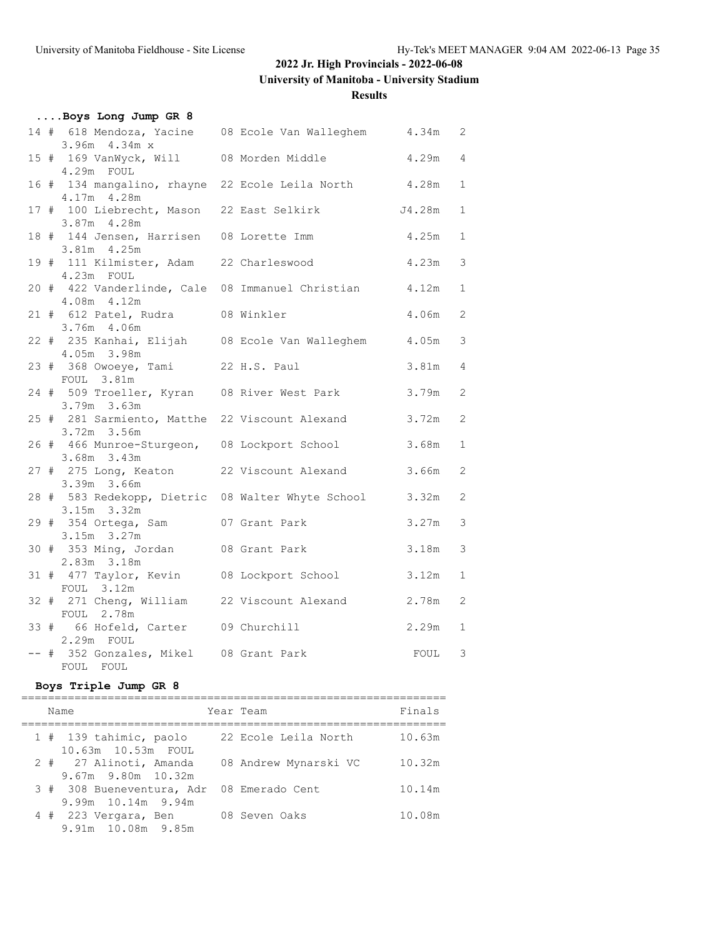**University of Manitoba - University Stadium**

**Results**

| Boys Long Jump GR 8                                           |               |       |                |
|---------------------------------------------------------------|---------------|-------|----------------|
| 14 # 618 Mendoza, Yacine 08 Ecole Van Walleghem 4.34m 2       |               |       |                |
| $3.96m$ 4.34m $x$                                             |               |       |                |
| 15 # 169 VanWyck, Will 08 Morden Middle                       |               | 4.29m | $\overline{4}$ |
| 4.29m FOUL                                                    |               |       |                |
| 16 # 134 mangalino, rhayne 22 Ecole Leila North 4.28m         |               |       | $\mathbf{1}$   |
| 4.17m 4.28m                                                   |               |       |                |
| 17 # 100 Liebrecht, Mason 22 East Selkirk 54.28m              |               |       | $\mathbf{1}$   |
| 3.87m 4.28m                                                   |               |       |                |
| 18 # 144 Jensen, Harrisen 08 Lorette Imm<br>3.81m 4.25m       |               | 4.25m | $\mathbf{1}$   |
| 19 # 111 Kilmister, Adam 22 Charleswood                       |               | 4.23m | 3              |
| 4.23m FOUL                                                    |               |       |                |
| 20 # 422 Vanderlinde, Cale 08 Immanuel Christian 4.12m        |               |       | $\mathbf{1}$   |
| 4.08m 4.12m                                                   |               |       |                |
| 21 # 612 Patel, Rudra 08 Winkler                              |               | 4.06m | 2              |
| 3.76m 4.06m                                                   |               |       |                |
| 22 # 235 Kanhai, Elijah 08 Ecole Van Walleghem                |               | 4.05m | 3              |
| 4.05m 3.98m                                                   |               |       |                |
| 23 # 368 Owoeye, Tami 22 H.S. Paul                            |               | 3.81m | $\overline{4}$ |
| FOUL 3.81m                                                    |               |       |                |
| 24 # 509 Troeller, Kyran 08 River West Park                   |               | 3.79m | 2              |
| 3.79m 3.63m<br>25 # 281 Sarmiento, Matthe 22 Viscount Alexand |               | 3.72m | 2              |
| 3.72m 3.56m                                                   |               |       |                |
| 26 # 466 Munroe-Sturgeon, 08 Lockport School                  |               | 3.68m | $\mathbf{1}$   |
| 3.68m 3.43m                                                   |               |       |                |
| 27 # 275 Long, Keaton 22 Viscount Alexand                     |               | 3.66m | 2              |
| 3.39m 3.66m                                                   |               |       |                |
| 28 # 583 Redekopp, Dietric 08 Walter Whyte School             |               | 3.32m | 2              |
| 3.15m 3.32m                                                   |               |       |                |
| 29 # 354 Ortega, Sam                                          | 07 Grant Park | 3.27m | 3              |
| $3.15m$ $3.27m$                                               |               |       |                |
| 30 # 353 Ming, Jordan 08 Grant Park<br>2.83m 3.18m            |               | 3.18m | 3              |
| 31 # 477 Taylor, Kevin 08 Lockport School                     |               | 3.12m | $\mathbf{1}$   |
| FOUL 3.12m                                                    |               |       |                |
| 32 # 271 Cheng, William 22 Viscount Alexand                   |               | 2.78m | 2              |
| FOUL 2.78m                                                    |               |       |                |
| 33 # 66 Hofeld, Carter 09 Churchill                           |               | 2.29m | $\mathbf{1}$   |
| 2.29m FOUL                                                    |               |       |                |
| -- # 352 Gonzales, Mikel 08 Grant Park                        |               | FOUL  | 3              |
| FOUL FOUL                                                     |               |       |                |

### **Boys Triple Jump GR 8**

| Name                                               | Year Team |                       | Finals |
|----------------------------------------------------|-----------|-----------------------|--------|
| 1 # 139 tahimic, paolo<br>10.63m 10.53m FOUL       |           | 22 Ecole Leila North  | 10.63m |
| 2 # 27 Alinoti, Amanda<br>$9.67m$ $9.80m$ $10.32m$ |           | 08 Andrew Mynarski VC | 10.32m |
| 3 # 308 Bueneventura, Adr<br>$9.99m$ 10.14m 9.94m  |           | 08 Emerado Cent       | 10.14m |
| 4 # 223 Vergara, Ben<br>9.91m 10.08m 9.85m         |           | 08 Seven Oaks         | 10.08m |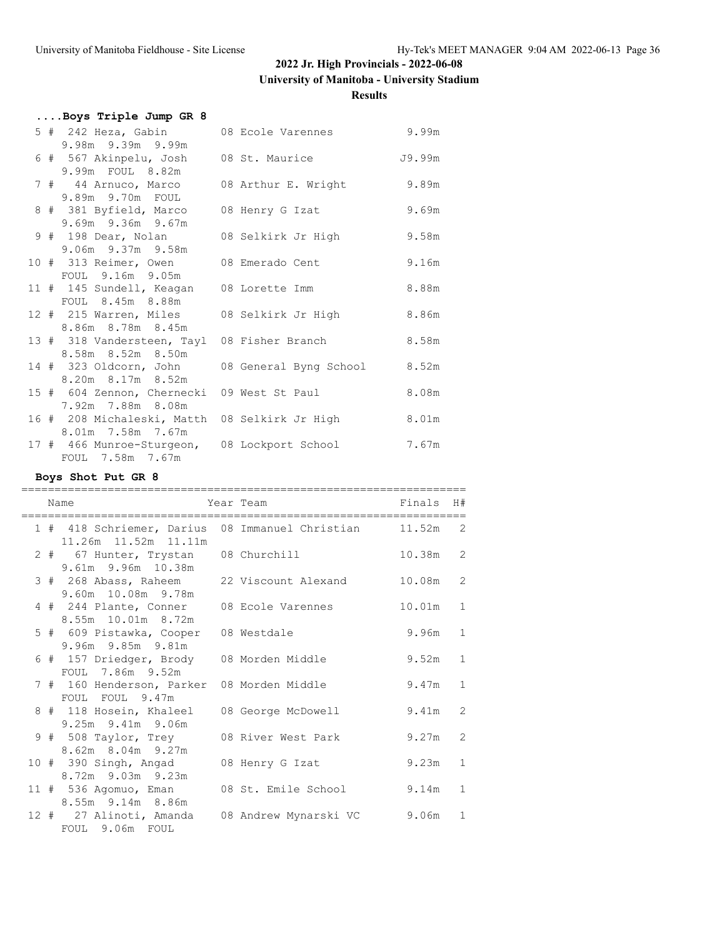# **University of Manitoba - University Stadium**

#### **Results**

|  | Boys Triple Jump GR 8                                              |                                        |       |
|--|--------------------------------------------------------------------|----------------------------------------|-------|
|  | 5 # 242 Heza, Gabin                                                | 08 Ecole Varennes 9.99m                |       |
|  | 9.98m 9.39m 9.99m                                                  |                                        |       |
|  | 6 # 567 Akinpelu, Josh                                             | 08 St. Maurice<br>ли и против и 19.99m |       |
|  | 9.99m FOUL 8.82m                                                   |                                        |       |
|  | 7 # 44 Arnuco, Marco 08 Arthur E. Wright                           |                                        | 9.89m |
|  | 9.89m 9.70m FOUL                                                   |                                        |       |
|  | 8 # 381 Byfield, Marco                                             | 08 Henry G Izat                        | 9.69m |
|  | 9.69m 9.36m 9.67m                                                  |                                        |       |
|  | 9 # 198 Dear, Nolan                                                | 08 Selkirk Jr High                     | 9.58m |
|  | 9.06m 9.37m 9.58m                                                  |                                        |       |
|  | 10 # 313 Reimer, Owen 08 Emerado Cent                              |                                        | 9.16m |
|  | FOUL 9.16m 9.05m                                                   |                                        |       |
|  | 11 # 145 Sundell, Keagan 08 Lorette Imm                            |                                        | 8.88m |
|  | FOUL 8.45m 8.88m                                                   |                                        |       |
|  | 12 # 215 Warren, Miles                                             | 08 Selkirk Jr High                     | 8.86m |
|  | 8.86m 8.78m 8.45m                                                  |                                        |       |
|  | 13 # 318 Vandersteen, Tayl 08 Fisher Branch                        |                                        | 8.58m |
|  | 8.58m 8.52m 8.50m                                                  |                                        |       |
|  | 14 # 323 Oldcorn, John       08 General Byng School                |                                        | 8.52m |
|  | 8.20m 8.17m 8.52m                                                  |                                        |       |
|  | 15 # 604 Zennon, Chernecki 09 West St Paul                         |                                        | 8.08m |
|  | 7.92m 7.88m 8.08m                                                  |                                        |       |
|  | 16 # 208 Michaleski, Matth 08 Selkirk Jr High<br>8.01m 7.58m 7.67m |                                        | 8.01m |
|  |                                                                    |                                        | 7.67m |
|  | 17 # 466 Munroe-Sturgeon, 08 Lockport School<br>FOUL 7.58m 7.67m   |                                        |       |
|  |                                                                    |                                        |       |

# **Boys Shot Put GR 8**

|  | =======<br>Name                                                                | Year Team             | Finals   | H#             |
|--|--------------------------------------------------------------------------------|-----------------------|----------|----------------|
|  | 1 # 418 Schriemer, Darius 08 Immanuel Christian 11.52m<br>11.26m 11.52m 11.11m |                       |          | 2              |
|  | 2 # 67 Hunter, Trystan 08 Churchill<br>9.61m 9.96m 10.38m                      |                       | 10.38m 2 |                |
|  | 3 # 268 Abass, Raheem 22 Viscount Alexand<br>9.60m 10.08m 9.78m                |                       | 10.08m   | 2              |
|  | 4 # 244 Plante, Conner 08 Ecole Varennes<br>8.55m 10.01m 8.72m                 |                       | 10.01m   | $\mathbf{1}$   |
|  | 5 # 609 Pistawka, Cooper<br>9.96m 9.85m 9.81m                                  | 08 Westdale           | 9.96m    | $\mathbf{1}$   |
|  | 6 # 157 Driedger, Brody 08 Morden Middle<br>FOUL 7.86m 9.52m                   |                       | 9.52m    | $\mathbf{1}$   |
|  | 7 # 160 Henderson, Parker 08 Morden Middle<br>FOUL FOUL 9.47m                  |                       | 9.47m    | $\mathbf{1}$   |
|  | 8 # 118 Hosein, Khaleel<br>9.25m 9.41m 9.06m                                   | 08 George McDowell    | 9.41m    | $\overline{2}$ |
|  | 9 # 508 Taylor, Trey<br>$8.62m$ $8.04m$ $9.27m$                                | 08 River West Park    | 9.27m    | $\overline{2}$ |
|  | 10 # 390 Singh, Angad<br>8.72m 9.03m 9.23m                                     | 08 Henry G Izat       | 9.23m    | $\mathbf{1}$   |
|  | 11 # 536 Agomuo, Eman<br>8.55m 9.14m 8.86m                                     | 08 St. Emile School   | 9.14m    | $\mathbf{1}$   |
|  | 12 # 27 Alinoti, Amanda<br>FOUL 9.06m FOUL                                     | 08 Andrew Mynarski VC | 9.06m    | $\mathbf{1}$   |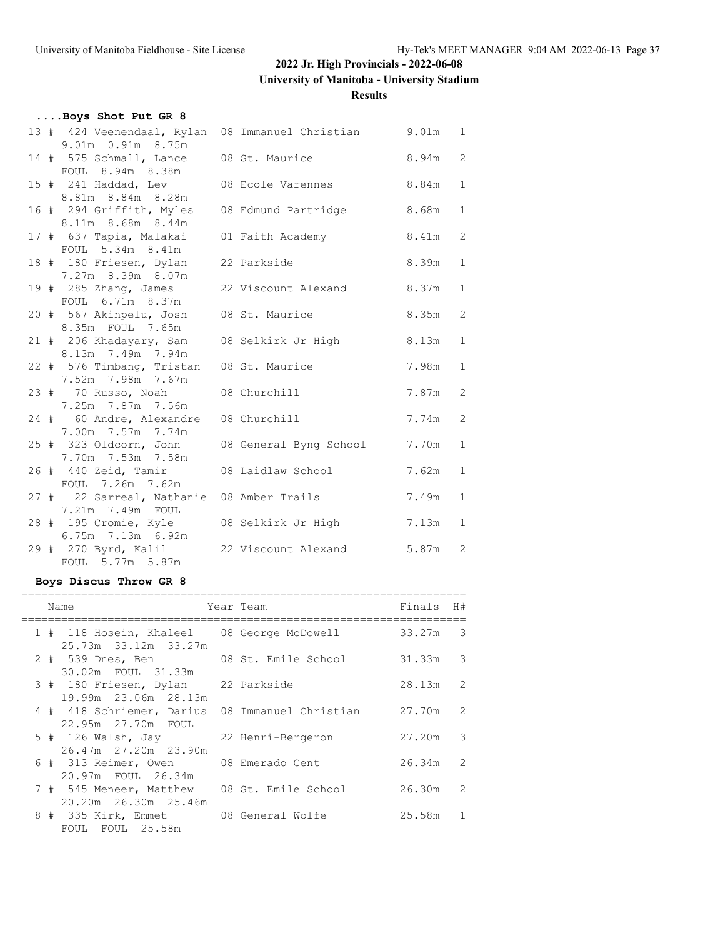**University of Manitoba - University Stadium**

**Results**

| Boys Shot Put GR 8                                            |                                                          |       |              |
|---------------------------------------------------------------|----------------------------------------------------------|-------|--------------|
| 9.01m  0.91m  8.75m                                           | 13 # 424 Veenendaal, Rylan 08 Immanuel Christian 9.01m 1 |       |              |
| 14 # 575 Schmall, Lance 08 St. Maurice<br>FOUL 8.94m 8.38m    |                                                          | 8.94m | 2            |
| 8.81m 8.84m 8.28m                                             | 15 # 241 Haddad, Lev 08 Ecole Varennes                   | 8.84m | $\mathbf{1}$ |
| 16 # 294 Griffith, Myles                                      | 08 Edmund Partridge 8.68m                                |       | $\mathbf{1}$ |
| 8.11m 8.68m 8.44m<br>FOUL 5.34m 8.41m                         | 17 # 637 Tapia, Malakai 01 Faith Academy 8.41m           |       | 2            |
| 18 # 180 Friesen, Dylan 22 Parkside<br>7.27m 8.39m 8.07m      | 8.39m                                                    |       | $\mathbf{1}$ |
| FOUL 6.71m 8.37m                                              | 19 # 285 Zhang, James 22 Viscount Alexand 8.37m          |       | $\mathbf{1}$ |
| 20 # 567 Akinpelu, Josh 08 St. Maurice<br>8.35m FOUL 7.65m    |                                                          | 8.35m | 2            |
| 8.13m 7.49m 7.94m                                             | 21 # 206 Khadayary, Sam 08 Selkirk Jr High               | 8.13m | $\mathbf{1}$ |
| 22 # 576 Timbang, Tristan 08 St. Maurice<br>7.52m 7.98m 7.67m |                                                          | 7.98m | $\mathbf{1}$ |
| 23 # 70 Russo, Noah 08 Churchill<br>7.25m 7.87m 7.56m         |                                                          | 7.87m | 2            |
| 24 # 60 Andre, Alexandre 08 Churchill<br>7.00m 7.57m 7.74m    |                                                          | 7.74m | 2            |
| 25 # 323 Oldcorn, John<br>7.70m 7.53m 7.58m                   | 08 General Byng School                                   | 7.70m | $\mathbf{1}$ |
| 26 # 440 Zeid, Tamir 08 Laidlaw School<br>FOUL 7.26m 7.62m    |                                                          | 7.62m | $\mathbf{1}$ |
| 7.21m 7.49m FOUL                                              | 27 # 22 Sarreal, Nathanie 08 Amber Trails                | 7.49m | $\mathbf{1}$ |
| 6.75m 7.13m 6.92m                                             | 28 # 195 Cromie, Kyle 08 Selkirk Jr High                 | 7.13m | $\mathbf{1}$ |
| FOUL 5.77m 5.87m                                              | 29 # 270 Byrd, Kalil 22 Viscount Alexand                 | 5.87m | 2            |

# **Boys Discus Throw GR 8**

|  | Name                                                                  | Year Team        | Finals     | H#             |
|--|-----------------------------------------------------------------------|------------------|------------|----------------|
|  | 1 # 118 Hosein, Khaleel 08 George McDowell<br>25.73m 33.12m 33.27m    |                  | $33.27m$ 3 |                |
|  | 2 # 539 Dnes, Ben 68 St. Emile School<br>30.02m FOUL 31.33m           |                  | $31.33m$ 3 |                |
|  | 3 # 180 Friesen, Dylan 22 Parkside<br>19.99m 23.06m 28.13m            |                  | 28.13m 2   |                |
|  | 4 # 418 Schriemer, Darius 08 Immanuel Christian<br>22.95m 27.70m FOUL |                  | 27.70m 2   |                |
|  | 5 # 126 Walsh, Jay 22 Henri-Bergeron<br>26.47m 27.20m 23.90m          |                  | 27.20m 3   |                |
|  | 6 # 313 Reimer, Owen<br>20.97m FOUL 26.34m                            | 08 Emerado Cent  | $26.34m$ 2 |                |
|  | 7 # 545 Meneer, Matthew 08 St. Emile School<br>20.20m 26.30m 25.46m   |                  | 26.30m 2   |                |
|  | 8 # 335 Kirk, Emmet<br>FOUL FOUL 25.58m                               | 08 General Wolfe | 25.58m     | $\overline{1}$ |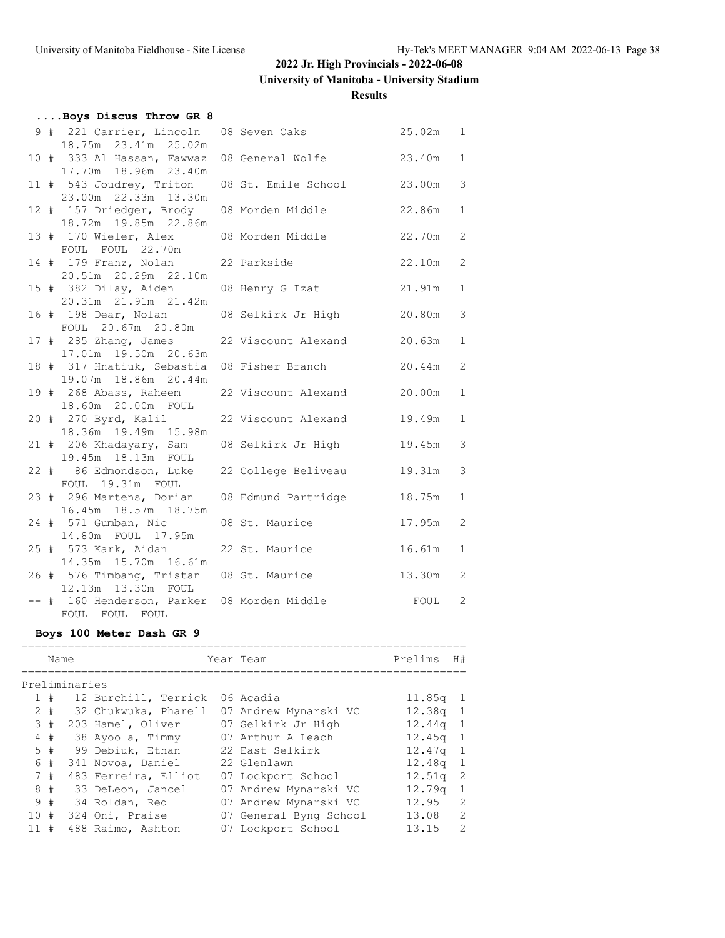**University of Manitoba - University Stadium**

#### **Results**

| Boys Discus Throw GR 8                                                     |                            |        |              |
|----------------------------------------------------------------------------|----------------------------|--------|--------------|
| 9 # 221 Carrier, Lincoln<br>18.75m 23.41m 25.02m                           | 25.02m 1<br>08 Seven Oaks  |        |              |
| 10 # 333 Al Hassan, Fawwaz<br>17.70m  18.96m  23.40m                       | 08 General Wolfe 23.40m    |        | $\mathbf{1}$ |
| 11 # 543 Joudrey, Triton 08 St. Emile School<br>23.00m  22.33m  13.30m     |                            | 23.00m | 3            |
| 12 # 157 Driedger, Brody 08 Morden Middle 22.86m<br>18.72m  19.85m  22.86m |                            |        | $\mathbf{1}$ |
| 13 # 170 Wieler, Alex 08 Morden Middle<br>FOUL FOUL 22.70m                 | 22.70m                     |        | 2            |
| 14 # 179 Franz, Nolan 22 Parkside<br>20.51m 20.29m 22.10m                  |                            | 22.10m | 2            |
| 15 # 382 Dilay, Aiden 08 Henry G Izat 21.91m                               |                            |        | $\mathbf{1}$ |
| 20.31m 21.91m 21.42m<br>16 # 198 Dear, Nolan                               | 08 Selkirk Jr High 20.80m  |        | 3            |
| FOUL 20.67m 20.80m<br>$17$ # 285 Zhang, James                              | 22 Viscount Alexand 20.63m |        | $\mathbf{1}$ |
| 17.01m  19.50m  20.63m<br>18 # 317 Hnatiuk, Sebastia                       | 08 Fisher Branch           | 20.44m | 2            |
| 19.07m 18.86m 20.44m<br>19 # 268 Abass, Raheem                             | 22 Viscount Alexand 20.00m |        | $\mathbf{1}$ |
| 18.60m  20.00m  FOUL<br>20 # 270 Byrd, Kalil                               | 22 Viscount Alexand        | 19.49m | $\mathbf{1}$ |
| 18.36m 19.49m 15.98m<br>21 # 206 Khadayary, Sam                            | 08 Selkirk Jr High 19.45m  |        | 3            |
| 19.45m 18.13m FOUL<br>22 # 86 Edmondson, Luke 22 College Beliveau          |                            | 19.31m | 3            |
| FOUL 19.31m FOUL<br>23 # 296 Martens, Dorian                               | 08 Edmund Partridge        | 18.75m | $\mathbf{1}$ |
| 16.45m 18.57m 18.75m<br>24 # 571 Gumban, Nic                               | 08 St. Maurice             | 17.95m | 2            |
| 14.80m FOUL 17.95m<br>25 # 573 Kark, Aidan 22 St. Maurice                  |                            | 16.61m | $\mathbf{1}$ |
| 14.35m 15.70m 16.61m<br>26 # 576 Timbang, Tristan 08 St. Maurice 13.30m    |                            |        | 2            |
| 12.13m  13.30m  FOUL<br>-- # 160 Henderson, Parker 08 Morden Middle        |                            | FOUL   | 2            |
| FOUL FOUL FOUL                                                             |                            |        |              |

# **Boys 100 Meter Dash GR 9**

|     | Name  |               |                      | Year Team              | Prelims            | H#            |
|-----|-------|---------------|----------------------|------------------------|--------------------|---------------|
|     |       |               |                      |                        |                    |               |
|     |       | Preliminaries |                      |                        |                    |               |
|     | 1#    |               | 12 Burchill, Terrick | 06 Acadia              | 11.85 <sub>q</sub> | - 1           |
|     | $2 +$ |               | 32 Chukwuka, Pharell | 07 Andrew Mynarski VC  | $12.38q$ 1         |               |
| 3#  |       |               | 203 Hamel, Oliver    | 07 Selkirk Jr High     | 12.44q             | 1             |
|     | 4#    |               | 38 Ayoola, Timmy     | 07 Arthur A Leach      | $12.45q$ 1         |               |
|     | 5#    |               | 99 Debiuk, Ethan     | 22 East Selkirk        | 12.47q             | -1            |
| 6   | #     |               | 341 Novoa, Daniel    | 22 Glenlawn            | 12.48a             | 1             |
|     | 7#    |               | 483 Ferreira, Elliot | 07 Lockport School     | 12.51q             | 2             |
| 8   | #     |               | 33 DeLeon, Jancel    | 07 Andrew Mynarski VC  | 12.79q             | 1             |
|     | 9#    |               | 34 Roldan, Red       | 07 Andrew Mynarski VC  | 12.95              | 2             |
| 10# |       |               | 324 Oni, Praise      | 07 General Byng School | 13.08              | 2             |
| 11  | #     |               | 488 Raimo, Ashton    | 07 Lockport School     | 13.15              | $\mathcal{D}$ |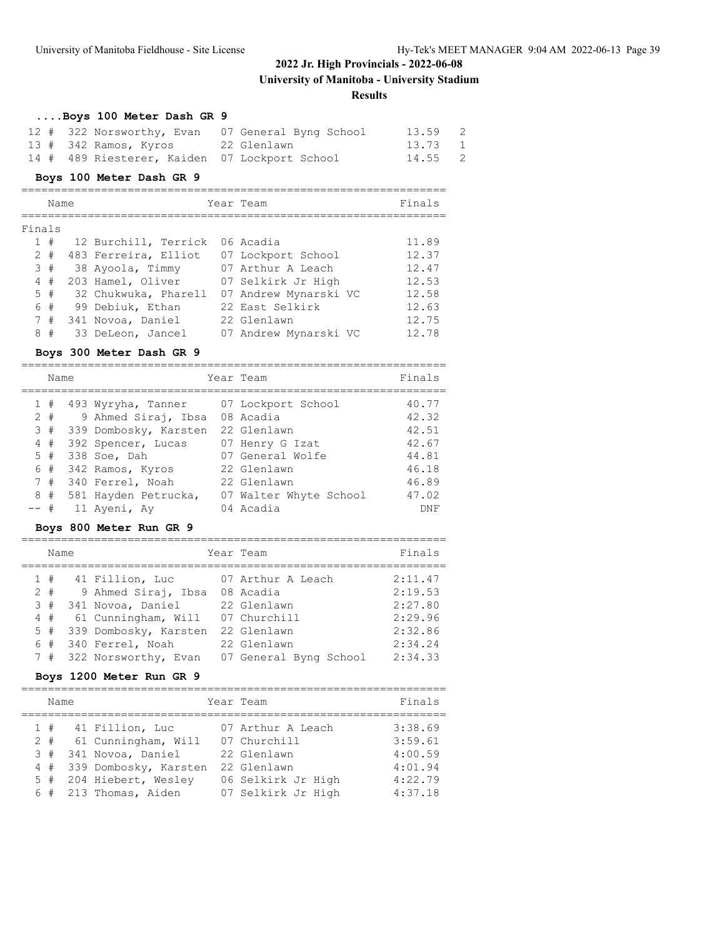**University of Manitoba - University Stadium**

**Results**

| Boys 100 Meter Dash GR 9                      |                                                  |         |     |
|-----------------------------------------------|--------------------------------------------------|---------|-----|
|                                               | 12 # 322 Norsworthy, Evan 07 General Byng School | 13.59   | - 2 |
| 13 # 342 Ramos, Kyros     22 Glenlawn         |                                                  | 13.73 1 |     |
| 14 # 489 Riesterer, Kaiden 07 Lockport School |                                                  | 14.55 2 |     |

#### **Boys 100 Meter Dash GR 9**

|        | Name  |  |                      | Year Team             | Finals |
|--------|-------|--|----------------------|-----------------------|--------|
| Finals |       |  |                      |                       |        |
|        | 1#    |  | 12 Burchill, Terrick | 06 Acadia             | 11.89  |
|        | $2 +$ |  | 483 Ferreira, Elliot | 07 Lockport School    | 12.37  |
|        | 3#    |  | 38 Ayoola, Timmy     | 07 Arthur A Leach     | 12.47  |
|        | 4#    |  | 203 Hamel, Oliver    | 07 Selkirk Jr High    | 12.53  |
|        | 5#    |  | 32 Chukwuka, Pharell | 07 Andrew Mynarski VC | 12.58  |
|        | 6 #   |  | 99 Debiuk, Ethan     | 22 East Selkirk       | 12.63  |
|        | 7#    |  | 341 Novoa, Daniel    | 22 Glenlawn           | 12.75  |
| 8      | #     |  | 33 DeLeon, Jancel    | 07 Andrew Mynarski VC | 12.78  |

#### **Boys 300 Meter Dash GR 9**

|       | Name |                               | Year Team              | Finals     |
|-------|------|-------------------------------|------------------------|------------|
|       | #    | 493 Wyryha, Tanner            | 07 Lockport School     | 40.77      |
| $2 +$ |      | 9 Ahmed Siraj, Ibsa 08 Acadia |                        | 42.32      |
|       | 3#   | 339 Dombosky, Karsten         | 22 Glenlawn            | 42.51      |
|       | 4#   | 392 Spencer, Lucas            | 07 Henry G Izat        | 42.67      |
|       | 5#   | 338 Soe, Dah                  | 07 General Wolfe       | 44.81      |
|       | 6#   | 342 Ramos, Kyros              | 22 Glenlawn            | 46.18      |
|       | 7#   | 340 Ferrel, Noah              | 22 Glenlawn            | 46.89      |
|       | 8#   | 581 Hayden Petrucka,          | 07 Walter Whyte School | 47.02      |
| -- #  |      | 11 Ayeni, Ay                  | 04 Acadia              | <b>DNF</b> |

### **Boys 800 Meter Run GR 9**

| Name  |                       | Year Team              | Finals  |
|-------|-----------------------|------------------------|---------|
| 1#    | 41 Fillion, Luc       | 07 Arthur A Leach      | 2:11.47 |
| $2 +$ | 9 Ahmed Siraj, Ibsa   | 08 Acadia              | 2:19.53 |
| 3#    | 341 Novoa, Daniel     | 22 Glenlawn            | 2:27.80 |
| 4#    | 61 Cunningham, Will   | 07 Churchill           | 2:29.96 |
| 5#    | 339 Dombosky, Karsten | 22 Glenlawn            | 2:32.86 |
| 6 #   | 340 Ferrel, Noah      | 22 Glenlawn            | 2:34.24 |
| 7#    | 322 Norsworthy, Evan  | 07 General Byng School | 2:34.33 |

### **Boys 1200 Meter Run GR 9**

| Name                    |                                                                                                                                          | Year Team                                                                                                   | Finals                                                         |
|-------------------------|------------------------------------------------------------------------------------------------------------------------------------------|-------------------------------------------------------------------------------------------------------------|----------------------------------------------------------------|
| 1#<br>$2 +$<br>3#<br>4# | 41 Fillion, Luc<br>61 Cunningham, Will<br>341 Novoa, Daniel<br>339 Dombosky, Karsten<br>5 # 204 Hiebert, Wesley<br>6 # 213 Thomas, Aiden | 07 Arthur A Leach<br>07 Churchill<br>22 Glenlawn<br>22 Glenlawn<br>06 Selkirk Jr High<br>07 Selkirk Jr High | 3:38.69<br>3:59.61<br>4:00.59<br>4:01.94<br>4:22.79<br>4:37.18 |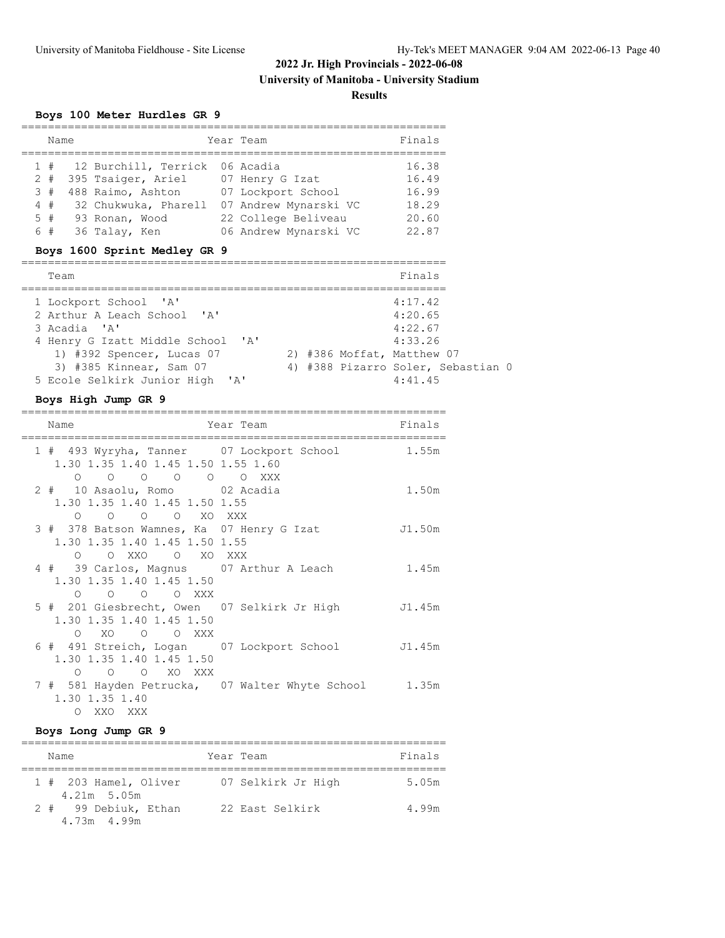#### **Results**

### **Boys 100 Meter Hurdles GR 9**

| Name  |                                | Year Team             | Finals |
|-------|--------------------------------|-----------------------|--------|
| 1#    | 12 Burchill, Terrick 06 Acadia |                       | 16.38  |
| $2 +$ | 395 Tsaiger, Ariel             | 07 Henry G Izat       | 16.49  |
| 3#    | 488 Raimo, Ashton              | 07 Lockport School    | 16.99  |
| 4#    | 32 Chukwuka, Pharell           | 07 Andrew Mynarski VC | 18.29  |
| 5#    | 93 Ronan, Wood                 | 22 College Beliveau   | 20.60  |
| 6#    | 36 Talay, Ken                  | 06 Andrew Mynarski VC | 22.87  |
|       | Boys 1600 Sprint Modley CP 9   |                       |        |

#### **Boys 1600 Sprint Medley GR 9**

| Team                              |  | Finals                             |  |
|-----------------------------------|--|------------------------------------|--|
| 1 Lockport School 'A'             |  | 4:17.42                            |  |
| 2 Arthur A Leach School 'A'       |  | 4:20.65                            |  |
| 3 Acadia 'A'                      |  | 4:22.67                            |  |
| 4 Henry G Izatt Middle School 'A' |  | 4:33.26                            |  |
| 1) #392 Spencer, Lucas 07         |  | 2) #386 Moffat, Matthew 07         |  |
| 3) #385 Kinnear, Sam 07           |  | 4) #388 Pizarro Soler, Sebastian 0 |  |
| 5 Ecole Selkirk Junior High 'A'   |  | 4:41.45                            |  |

#### **Boys High Jump GR 9**

| Name                                                                                                                               | Year Team in the Search State of the Search State of the Search State of the Search State of the Search State | Finals |
|------------------------------------------------------------------------------------------------------------------------------------|---------------------------------------------------------------------------------------------------------------|--------|
| 1 # 493 Wyryha, Tanner 07 Lockport School<br>1.30 1.35 1.40 1.45 1.50 1.55 1.60                                                    | 1.55m                                                                                                         |        |
| $\begin{matrix} 0 & 0 & 0 & 0 & 0 & 0 & \text{XXX} \end{matrix}$<br>2 # 10 Asaolu, Romo 02 Acadia<br>1.30 1.35 1.40 1.45 1.50 1.55 |                                                                                                               | 1.50m  |
| O O O O XO XXX<br>3 # 378 Batson Wamnes, Ka 07 Henry G Izat<br>1.30 1.35 1.40 1.45 1.50 1.55                                       |                                                                                                               | J1.50m |
| O OXXO OXOXXX<br>4 # 39 Carlos, Magnus 07 Arthur A Leach<br>1.30 1.35 1.40 1.45 1.50                                               |                                                                                                               | 1.45m  |
| $O$ $O$ $O$ $O$ $XXX$<br>1.30 1.35 1.40 1.45 1.50                                                                                  | 5 # 201 Giesbrecht, Owen 07 Selkirk Jr High 51.45m                                                            |        |
| $\circ$<br>XOOOXXX<br>6 # 491 Streich, Logan 07 Lockport School<br>1.30 1.35 1.40 1.45 1.50                                        | J1.45m                                                                                                        |        |
| O O XO XXX<br>$\Omega$<br>1.30 1.35 1.40                                                                                           | 7 # 581 Hayden Petrucka, 07 Walter Whyte School 1.35m                                                         |        |
| O XXO XXX                                                                                                                          |                                                                                                               |        |

#### **Boys Long Jump GR 9**

| Name                                   | Year Team          | Finals |
|----------------------------------------|--------------------|--------|
| 1 # 203 Hamel, Oliver<br>$4.21m$ 5.05m | 07 Selkirk Jr High | 5.05m  |
| 2 # 99 Debiuk, Ethan<br>4.73m 4.99m    | 22 East Selkirk    | 4.99m  |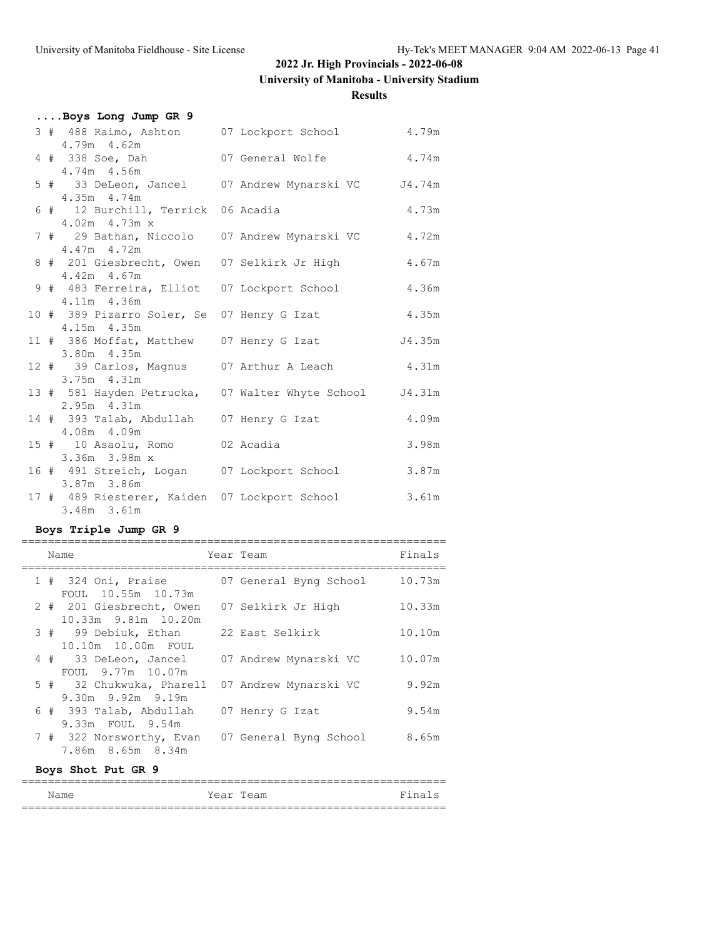# **University of Manitoba - University Stadium**

#### **Results**

|  | Boys Long Jump GR 9                                                    |  |       |
|--|------------------------------------------------------------------------|--|-------|
|  | 3 # 488 Raimo, Ashton 07 Lockport School 4.79m<br>$4.79m$ $4.62m$      |  |       |
|  | 4 # 338 Soe, Dah 67 General Wolfe 6 4.74m<br>4.74m 4.56m               |  |       |
|  | 5 # 33 DeLeon, Jancel 07 Andrew Mynarski VC J4.74m<br>4.35m 4.74m      |  |       |
|  | 6 # 12 Burchill, Terrick 06 Acadia<br>4.02m 4.73m x                    |  | 4.73m |
|  | 7 # 29 Bathan, Niccolo 07 Andrew Mynarski VC 4.72m<br>4.47m 4.72m      |  |       |
|  | 8 # 201 Giesbrecht, Owen 07 Selkirk Jr High<br>$4.42m$ $4.67m$         |  | 4.67m |
|  | 9 # 483 Ferreira, Elliot 07 Lockport School<br>4.11m 4.36m             |  | 4.36m |
|  | 10 # 389 Pizarro Soler, Se 07 Henry G Izat<br>4.15m 4.35m              |  | 4.35m |
|  | 11 # 386 Moffat, Matthew 07 Henry G Izat 54.35m<br>3.80m 4.35m         |  |       |
|  | 12 # 39 Carlos, Magnus 07 Arthur A Leach 4.31m<br>3.75m 4.31m          |  |       |
|  | 13 # 581 Hayden Petrucka, 07 Walter Whyte School J4.31m<br>2.95m 4.31m |  |       |
|  | 14 # 393 Talab, Abdullah 07 Henry G Izat<br>4.08m 4.09m                |  | 4.09m |
|  | 15 # 10 Asaolu, Romo 02 Acadia<br>3.36m 3.98m x                        |  | 3.98m |
|  | 16 # 491 Streich, Logan 07 Lockport School<br>3.87m 3.86m              |  | 3.87m |
|  | 17 # 489 Riesterer, Kaiden 07 Lockport School<br>3.48m 3.61m           |  | 3.61m |

### **Boys Triple Jump GR 9**

|  | Name                                                | Year Team              | Finals |
|--|-----------------------------------------------------|------------------------|--------|
|  | 1 # 324 Oni, Praise<br>FOUL 10.55m 10.73m           | 07 General Byng School | 10.73m |
|  | 2 # 201 Giesbrecht, Owen<br>10.33m 9.81m 10.20m     | 07 Selkirk Jr High     | 10.33m |
|  | 3 # 99 Debiuk, Ethan<br>10.10m 10.00m FOUL          | – 22 East Selkirk      | 10.10m |
|  | 4 # 33 DeLeon, Jancel<br>FOUL 9.77m 10.07m          | 07 Andrew Mynarski VC  | 10.07m |
|  | 5 # 32 Chukwuka, Pharell<br>$9.30m$ $9.92m$ $9.19m$ | 07 Andrew Mynarski VC  | 9.92m  |
|  | 6 # 393 Talab, Abdullah<br>9.33m FOUL 9.54m         | 07 Henry G Izat        | 9.54m  |
|  | 7 # 322 Norsworthy, Evan<br>7.86m 8.65m 8.34m       | 07 General Byng School | 8.65m  |

### **Boys Shot Put GR 9**

| Name |           | Year Team | Finals |
|------|-----------|-----------|--------|
|      | _________ |           |        |